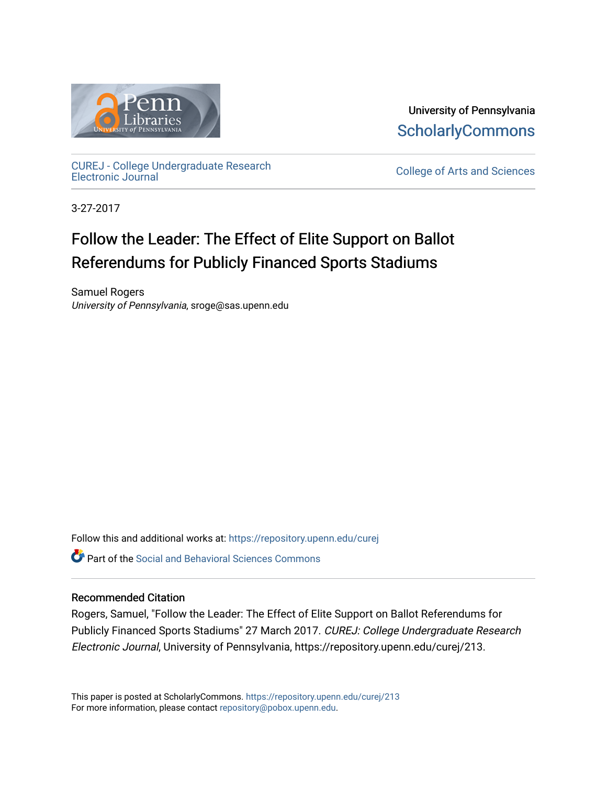

University of Pennsylvania **ScholarlyCommons** 

[CUREJ - College Undergraduate Research](https://repository.upenn.edu/curej) 

College of Arts and Sciences

3-27-2017

# Follow the Leader: The Effect of Elite Support on Ballot Referendums for Publicly Financed Sports Stadiums

Samuel Rogers University of Pennsylvania, sroge@sas.upenn.edu

Follow this and additional works at: [https://repository.upenn.edu/curej](https://repository.upenn.edu/curej?utm_source=repository.upenn.edu%2Fcurej%2F213&utm_medium=PDF&utm_campaign=PDFCoverPages) **P** Part of the Social and Behavioral Sciences Commons

## Recommended Citation

Rogers, Samuel, "Follow the Leader: The Effect of Elite Support on Ballot Referendums for Publicly Financed Sports Stadiums" 27 March 2017. CUREJ: College Undergraduate Research Electronic Journal, University of Pennsylvania, https://repository.upenn.edu/curej/213.

This paper is posted at ScholarlyCommons.<https://repository.upenn.edu/curej/213> For more information, please contact [repository@pobox.upenn.edu.](mailto:repository@pobox.upenn.edu)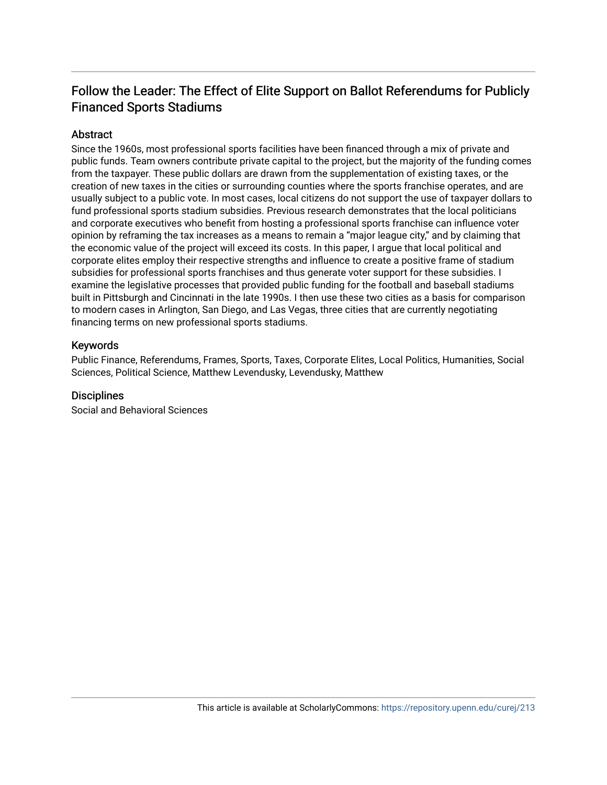# Follow the Leader: The Effect of Elite Support on Ballot Referendums for Publicly Financed Sports Stadiums

# **Abstract**

Since the 1960s, most professional sports facilities have been financed through a mix of private and public funds. Team owners contribute private capital to the project, but the majority of the funding comes from the taxpayer. These public dollars are drawn from the supplementation of existing taxes, or the creation of new taxes in the cities or surrounding counties where the sports franchise operates, and are usually subject to a public vote. In most cases, local citizens do not support the use of taxpayer dollars to fund professional sports stadium subsidies. Previous research demonstrates that the local politicians and corporate executives who benefit from hosting a professional sports franchise can influence voter opinion by reframing the tax increases as a means to remain a "major league city," and by claiming that the economic value of the project will exceed its costs. In this paper, I argue that local political and corporate elites employ their respective strengths and influence to create a positive frame of stadium subsidies for professional sports franchises and thus generate voter support for these subsidies. I examine the legislative processes that provided public funding for the football and baseball stadiums built in Pittsburgh and Cincinnati in the late 1990s. I then use these two cities as a basis for comparison to modern cases in Arlington, San Diego, and Las Vegas, three cities that are currently negotiating financing terms on new professional sports stadiums.

## Keywords

Public Finance, Referendums, Frames, Sports, Taxes, Corporate Elites, Local Politics, Humanities, Social Sciences, Political Science, Matthew Levendusky, Levendusky, Matthew

## **Disciplines**

Social and Behavioral Sciences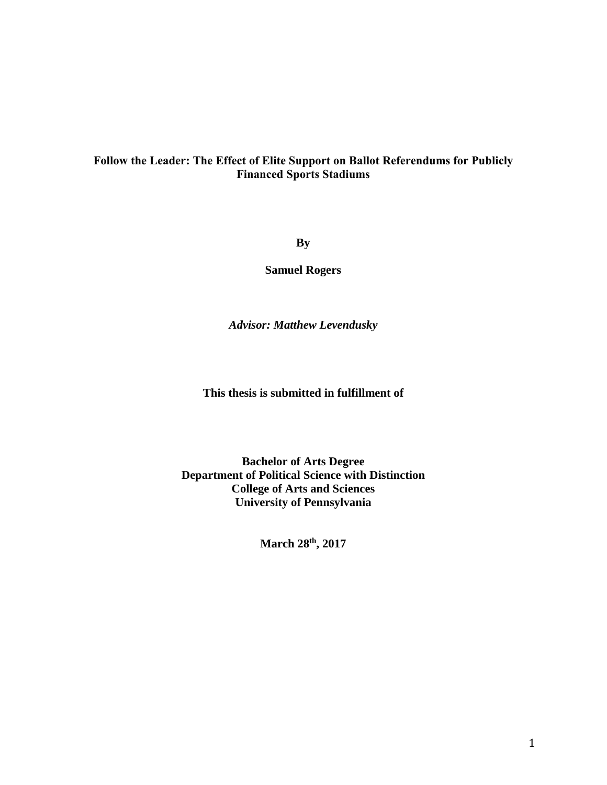# Follow the Leader: The Effect of Elite Support on Ballot Referendums for Publicly Financed Sports Stadiums

**By**

**Samuel Rogers**

*Advisor: Matthew Levendusky*

**This thesis is submitted in fulfillment of** 

**Bachelor of Arts Degree Department of Political Science with Distinction College of Arts and Sciences University of Pennsylvania**

**March 28th , 2017**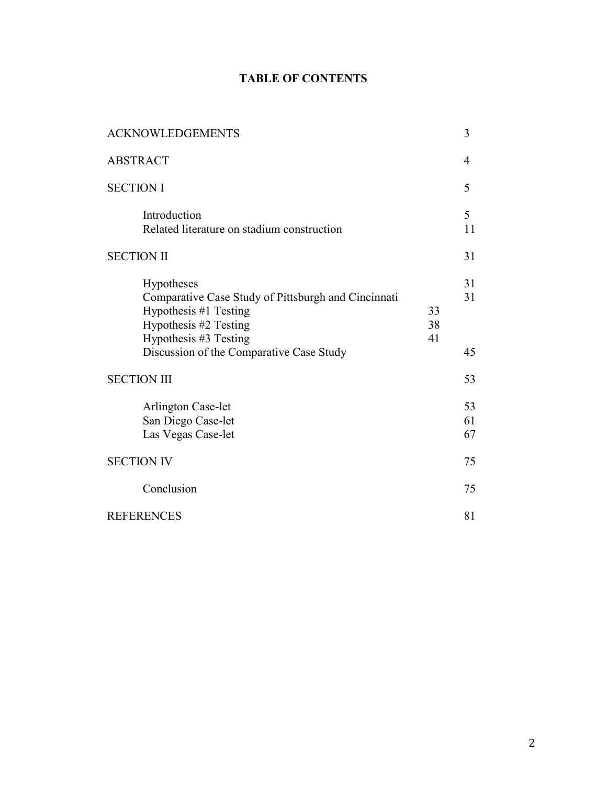# TABLE OF CONTENTS

| <b>ACKNOWLEDGEMENTS</b>                                                                                                                      |                | 3              |
|----------------------------------------------------------------------------------------------------------------------------------------------|----------------|----------------|
| <b>ABSTRACT</b>                                                                                                                              |                | 4              |
| <b>SECTION I</b>                                                                                                                             |                | 5              |
| Introduction<br>Related literature on stadium construction                                                                                   |                | 5<br>11        |
| <b>SECTION II</b>                                                                                                                            |                | 31             |
| Hypotheses<br>Comparative Case Study of Pittsburgh and Cincinnati<br>Hypothesis #1 Testing<br>Hypothesis #2 Testing<br>Hypothesis #3 Testing | 33<br>38<br>41 | 31<br>31       |
| Discussion of the Comparative Case Study                                                                                                     |                | 45             |
| <b>SECTION III</b>                                                                                                                           |                | 53             |
| <b>Arlington Case-let</b><br>San Diego Case-let<br>Las Vegas Case-let                                                                        |                | 53<br>61<br>67 |
| <b>SECTION IV</b>                                                                                                                            |                | 75             |
| Conclusion                                                                                                                                   |                | 75             |
| <b>REFERENCES</b>                                                                                                                            |                | 81             |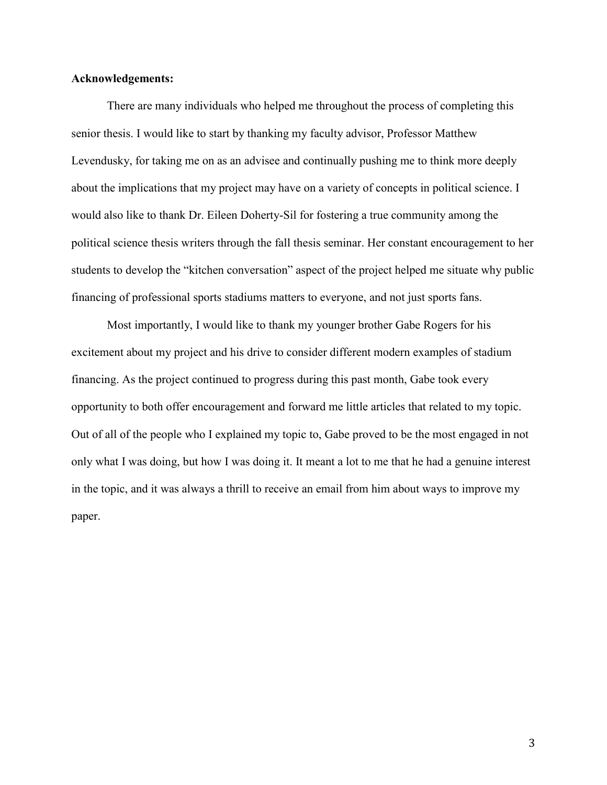## Acknowledgements:

There are many individuals who helped me throughout the process of completing this senior thesis. I would like to start by thanking my faculty advisor, Professor Matthew Levendusky, for taking me on as an advisee and continually pushing me to think more deeply about the implications that my project may have on a variety of concepts in political science. I would also like to thank Dr. Eileen Doherty-Sil for fostering a true community among the political science thesis writers through the fall thesis seminar. Her constant encouragement to her students to develop the "kitchen conversation" aspect of the project helped me situate why public financing of professional sports stadiums matters to everyone, and not just sports fans.

Most importantly, I would like to thank my younger brother Gabe Rogers for his excitement about my project and his drive to consider different modern examples of stadium financing. As the project continued to progress during this past month, Gabe took every opportunity to both offer encouragement and forward me little articles that related to my topic. Out of all of the people who I explained my topic to, Gabe proved to be the most engaged in not only what I was doing, but how I was doing it. It meant a lot to me that he had a genuine interest in the topic, and it was always a thrill to receive an email from him about ways to improve my paper.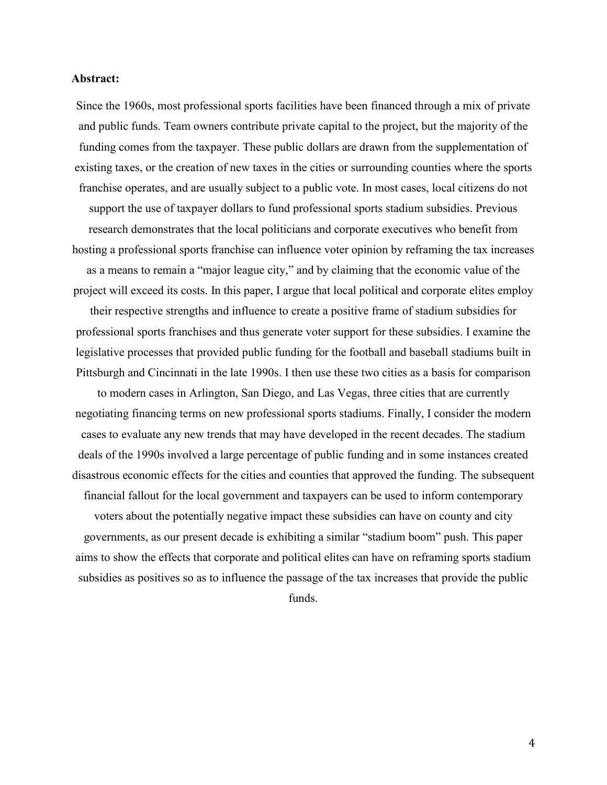#### Abstract:

Since the 1960s, most professional sports facilities have been financed through a mix of private and public funds. Team owners contribute private capital to the project, but the majority of the funding comes from the taxpayer. These public dollars are drawn from the supplementation of existing taxes, or the creation of new taxes in the cities or surrounding counties where the sports franchise operates, and are usually subject to a public vote. In most cases, local citizens do not support the use of taxpayer dollars to fund professional sports stadium subsidies. Previous research demonstrates that the local politicians and corporate executives who benefit from hosting a professional sports franchise can influence voter opinion by reframing the tax increases as a means to remain a "major league city," and by claiming that the economic value of the project will exceed its costs. In this paper, I argue that local political and corporate elites employ their respective strengths and influence to create a positive frame of stadium subsidies for professional sports franchises and thus generate voter support for these subsidies. I examine the legislative processes that provided public funding for the football and baseball stadiums built in Pittsburgh and Cincinnati in the late 1990s. I then use these two cities as a basis for comparison

to modern cases in Arlington, San Diego, and Las Vegas, three cities that are currently negotiating financing terms on new professional sports stadiums. Finally, I consider the modern cases to evaluate any new trends that may have developed in the recent decades. The stadium deals of the 1990s involved a large percentage of public funding and in some instances created disastrous economic effects for the cities and counties that approved the funding. The subsequent financial fallout for the local government and taxpayers can be used to inform contemporary

voters about the potentially negative impact these subsidies can have on county and city governments, as our present decade is exhibiting a similar "stadium boom" push. This paper aims to show the effects that corporate and political elites can have on reframing sports stadium subsidies as positives so as to influence the passage of the tax increases that provide the public funds.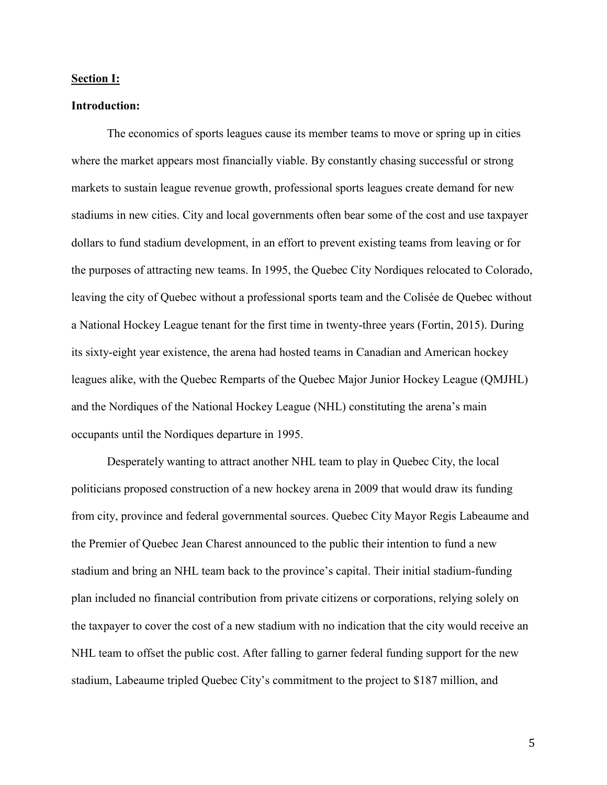#### Section I:

#### Introduction:

The economics of sports leagues cause its member teams to move or spring up in cities where the market appears most financially viable. By constantly chasing successful or strong markets to sustain league revenue growth, professional sports leagues create demand for new stadiums in new cities. City and local governments often bear some of the cost and use taxpayer dollars to fund stadium development, in an effort to prevent existing teams from leaving or for the purposes of attracting new teams. In 1995, the Quebec City Nordiques relocated to Colorado, leaving the city of Quebec without a professional sports team and the Colisée de Quebec without a National Hockey League tenant for the first time in twenty-three years (Fortin, 2015). During its sixty-eight year existence, the arena had hosted teams in Canadian and American hockey leagues alike, with the Quebec Remparts of the Quebec Major Junior Hockey League (QMJHL) and the Nordiques of the National Hockey League (NHL) constituting the arena's main occupants until the Nordiques departure in 1995.

Desperately wanting to attract another NHL team to play in Quebec City, the local politicians proposed construction of a new hockey arena in 2009 that would draw its funding from city, province and federal governmental sources. Quebec City Mayor Regis Labeaume and the Premier of Quebec Jean Charest announced to the public their intention to fund a new stadium and bring an NHL team back to the province's capital. Their initial stadium-funding plan included no financial contribution from private citizens or corporations, relying solely on the taxpayer to cover the cost of a new stadium with no indication that the city would receive an NHL team to offset the public cost. After falling to garner federal funding support for the new stadium, Labeaume tripled Quebec City's commitment to the project to \$187 million, and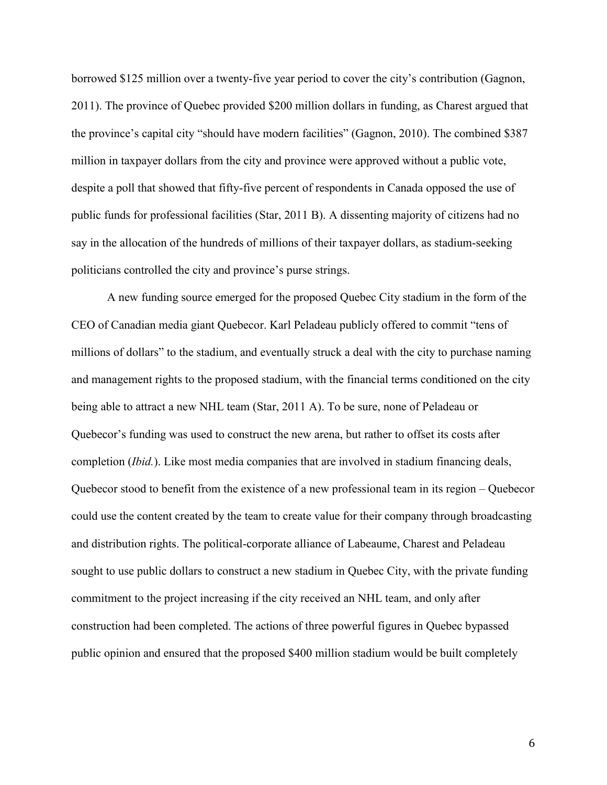borrowed \$125 million over a twenty-five year period to cover the city's contribution (Gagnon, 2011). The province of Quebec provided \$200 million dollars in funding, as Charest argued that the province's capital city "should have modern facilities" (Gagnon, 2010). The combined \$387 million in taxpayer dollars from the city and province were approved without a public vote, despite a poll that showed that fifty-five percent of respondents in Canada opposed the use of public funds for professional facilities (Star, 2011 B). A dissenting majority of citizens had no say in the allocation of the hundreds of millions of their taxpayer dollars, as stadium-seeking politicians controlled the city and province's purse strings.

A new funding source emerged for the proposed Quebec City stadium in the form of the CEO of Canadian media giant Quebecor. Karl Peladeau publicly offered to commit "tens of millions of dollars" to the stadium, and eventually struck a deal with the city to purchase naming and management rights to the proposed stadium, with the financial terms conditioned on the city being able to attract a new NHL team (Star, 2011 A). To be sure, none of Peladeau or Quebecor's funding was used to construct the new arena, but rather to offset its costs after completion (*Ibid.*). Like most media companies that are involved in stadium financing deals, Quebecor stood to benefit from the existence of a new professional team in its region – Quebecor could use the content created by the team to create value for their company through broadcasting and distribution rights. The political-corporate alliance of Labeaume, Charest and Peladeau sought to use public dollars to construct a new stadium in Quebec City, with the private funding commitment to the project increasing if the city received an NHL team, and only after construction had been completed. The actions of three powerful figures in Quebec bypassed public opinion and ensured that the proposed \$400 million stadium would be built completely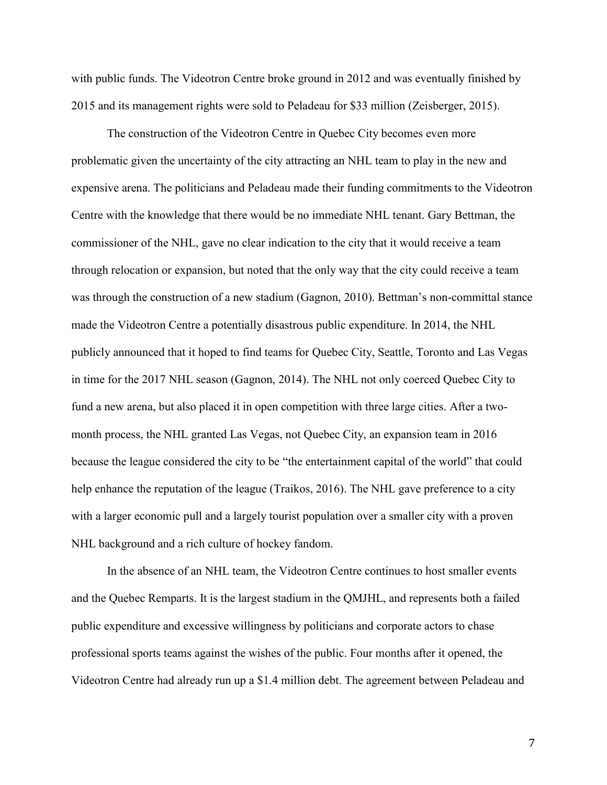with public funds. The Videotron Centre broke ground in 2012 and was eventually finished by 2015 and its management rights were sold to Peladeau for \$33 million (Zeisberger, 2015).

The construction of the Videotron Centre in Quebec City becomes even more problematic given the uncertainty of the city attracting an NHL team to play in the new and expensive arena. The politicians and Peladeau made their funding commitments to the Videotron Centre with the knowledge that there would be no immediate NHL tenant. Gary Bettman, the commissioner of the NHL, gave no clear indication to the city that it would receive a team through relocation or expansion, but noted that the only way that the city could receive a team was through the construction of a new stadium (Gagnon, 2010). Bettman's non-committal stance made the Videotron Centre a potentially disastrous public expenditure. In 2014, the NHL publicly announced that it hoped to find teams for Quebec City, Seattle, Toronto and Las Vegas in time for the 2017 NHL season (Gagnon, 2014). The NHL not only coerced Quebec City to fund a new arena, but also placed it in open competition with three large cities. After a twomonth process, the NHL granted Las Vegas, not Quebec City, an expansion team in 2016 because the league considered the city to be "the entertainment capital of the world" that could help enhance the reputation of the league (Traikos, 2016). The NHL gave preference to a city with a larger economic pull and a largely tourist population over a smaller city with a proven NHL background and a rich culture of hockey fandom.

In the absence of an NHL team, the Videotron Centre continues to host smaller events and the Quebec Remparts. It is the largest stadium in the QMJHL, and represents both a failed public expenditure and excessive willingness by politicians and corporate actors to chase professional sports teams against the wishes of the public. Four months after it opened, the Videotron Centre had already run up a \$1.4 million debt. The agreement between Peladeau and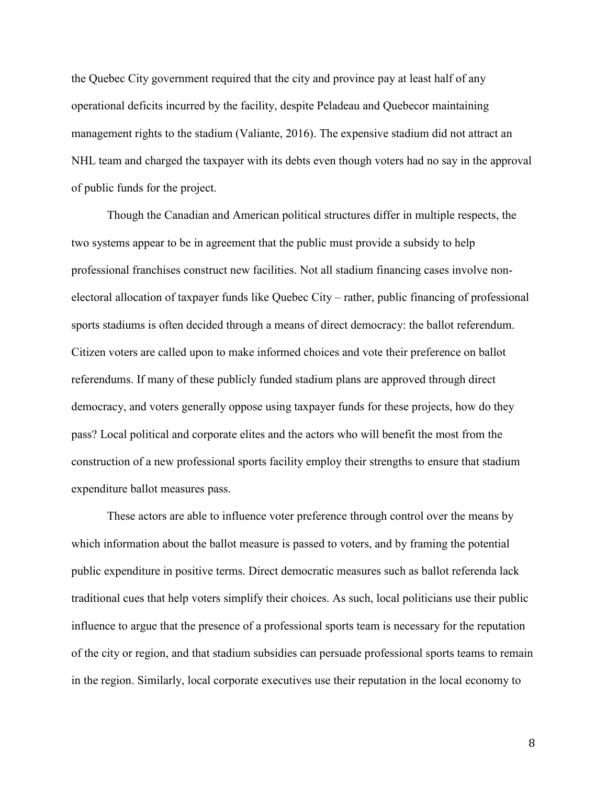the Quebec City government required that the city and province pay at least half of any operational deficits incurred by the facility, despite Peladeau and Quebecor maintaining management rights to the stadium (Valiante, 2016). The expensive stadium did not attract an NHL team and charged the taxpayer with its debts even though voters had no say in the approval of public funds for the project.

Though the Canadian and American political structures differ in multiple respects, the two systems appear to be in agreement that the public must provide a subsidy to help professional franchises construct new facilities. Not all stadium financing cases involve nonelectoral allocation of taxpayer funds like Quebec City – rather, public financing of professional sports stadiums is often decided through a means of direct democracy: the ballot referendum. Citizen voters are called upon to make informed choices and vote their preference on ballot referendums. If many of these publicly funded stadium plans are approved through direct democracy, and voters generally oppose using taxpayer funds for these projects, how do they pass? Local political and corporate elites and the actors who will benefit the most from the construction of a new professional sports facility employ their strengths to ensure that stadium expenditure ballot measures pass.

These actors are able to influence voter preference through control over the means by which information about the ballot measure is passed to voters, and by framing the potential public expenditure in positive terms. Direct democratic measures such as ballot referenda lack traditional cues that help voters simplify their choices. As such, local politicians use their public influence to argue that the presence of a professional sports team is necessary for the reputation of the city or region, and that stadium subsidies can persuade professional sports teams to remain in the region. Similarly, local corporate executives use their reputation in the local economy to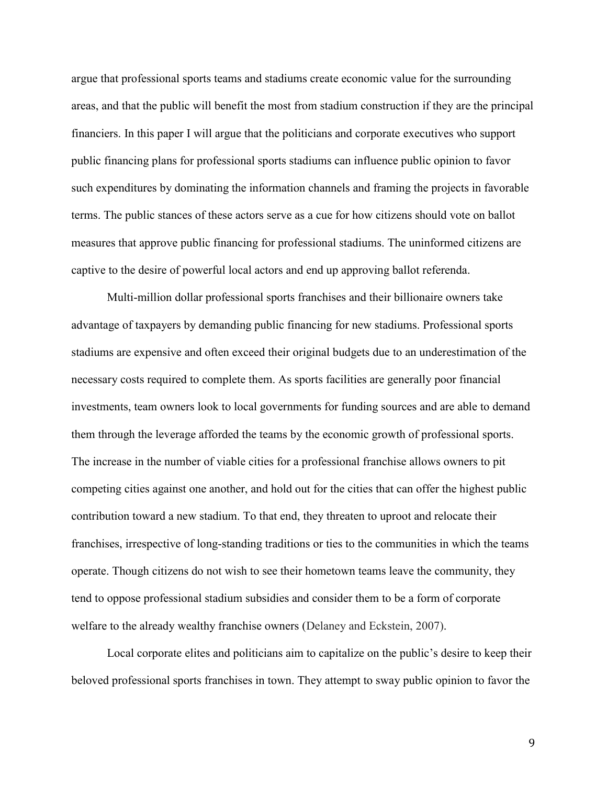argue that professional sports teams and stadiums create economic value for the surrounding areas, and that the public will benefit the most from stadium construction if they are the principal financiers. In this paper I will argue that the politicians and corporate executives who support public financing plans for professional sports stadiums can influence public opinion to favor such expenditures by dominating the information channels and framing the projects in favorable terms. The public stances of these actors serve as a cue for how citizens should vote on ballot measures that approve public financing for professional stadiums. The uninformed citizens are captive to the desire of powerful local actors and end up approving ballot referenda.

Multi-million dollar professional sports franchises and their billionaire owners take advantage of taxpayers by demanding public financing for new stadiums. Professional sports stadiums are expensive and often exceed their original budgets due to an underestimation of the necessary costs required to complete them. As sports facilities are generally poor financial investments, team owners look to local governments for funding sources and are able to demand them through the leverage afforded the teams by the economic growth of professional sports. The increase in the number of viable cities for a professional franchise allows owners to pit competing cities against one another, and hold out for the cities that can offer the highest public contribution toward a new stadium. To that end, they threaten to uproot and relocate their franchises, irrespective of long-standing traditions or ties to the communities in which the teams operate. Though citizens do not wish to see their hometown teams leave the community, they tend to oppose professional stadium subsidies and consider them to be a form of corporate welfare to the already wealthy franchise owners (Delaney and Eckstein, 2007).

Local corporate elites and politicians aim to capitalize on the public's desire to keep their beloved professional sports franchises in town. They attempt to sway public opinion to favor the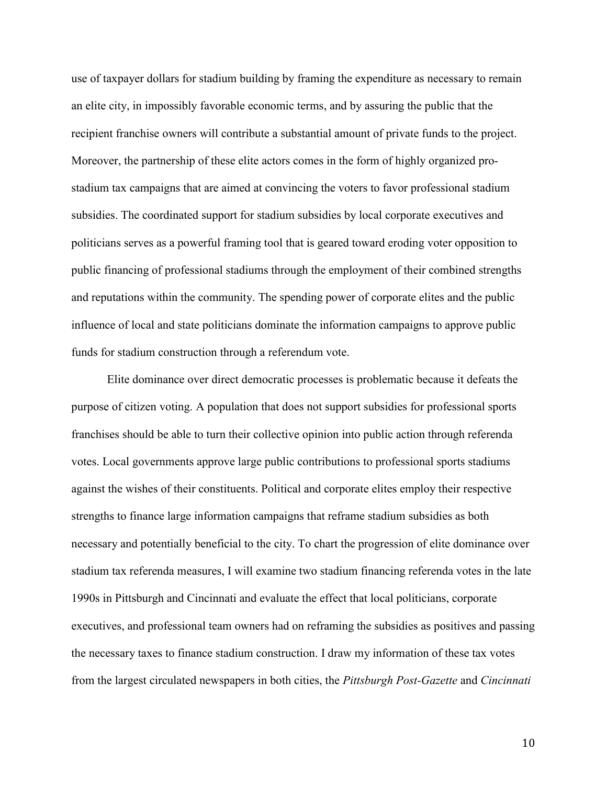use of taxpayer dollars for stadium building by framing the expenditure as necessary to remain an elite city, in impossibly favorable economic terms, and by assuring the public that the recipient franchise owners will contribute a substantial amount of private funds to the project. Moreover, the partnership of these elite actors comes in the form of highly organized prostadium tax campaigns that are aimed at convincing the voters to favor professional stadium subsidies. The coordinated support for stadium subsidies by local corporate executives and politicians serves as a powerful framing tool that is geared toward eroding voter opposition to public financing of professional stadiums through the employment of their combined strengths and reputations within the community. The spending power of corporate elites and the public influence of local and state politicians dominate the information campaigns to approve public funds for stadium construction through a referendum vote.

Elite dominance over direct democratic processes is problematic because it defeats the purpose of citizen voting. A population that does not support subsidies for professional sports franchises should be able to turn their collective opinion into public action through referenda votes. Local governments approve large public contributions to professional sports stadiums against the wishes of their constituents. Political and corporate elites employ their respective strengths to finance large information campaigns that reframe stadium subsidies as both necessary and potentially beneficial to the city. To chart the progression of elite dominance over stadium tax referenda measures, I will examine two stadium financing referenda votes in the late 1990s in Pittsburgh and Cincinnati and evaluate the effect that local politicians, corporate executives, and professional team owners had on reframing the subsidies as positives and passing the necessary taxes to finance stadium construction. I draw my information of these tax votes from the largest circulated newspapers in both cities, the *Pittsburgh Post-Gazette* and *Cincinnati*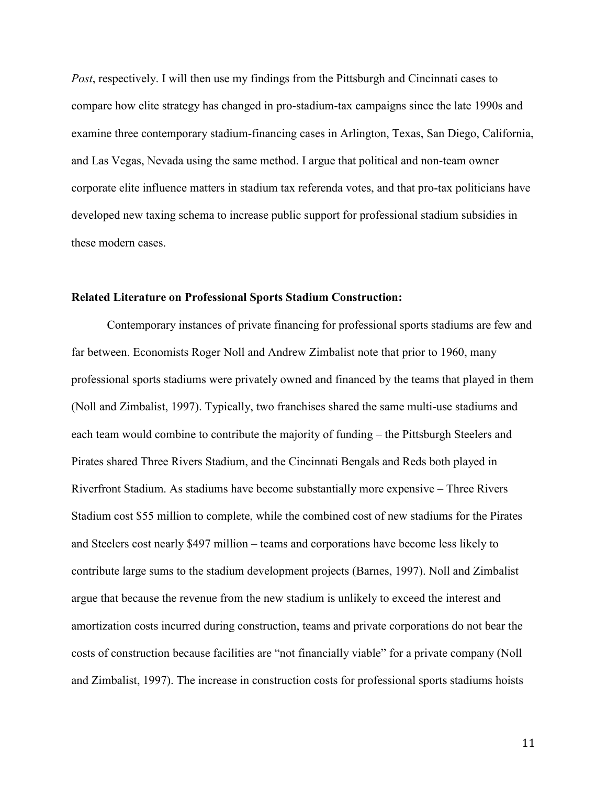*Post*, respectively. I will then use my findings from the Pittsburgh and Cincinnati cases to compare how elite strategy has changed in pro-stadium-tax campaigns since the late 1990s and examine three contemporary stadium-financing cases in Arlington, Texas, San Diego, California, and Las Vegas, Nevada using the same method. I argue that political and non-team owner corporate elite influence matters in stadium tax referenda votes, and that pro-tax politicians have developed new taxing schema to increase public support for professional stadium subsidies in these modern cases.

#### Related Literature on Professional Sports Stadium Construction:

Contemporary instances of private financing for professional sports stadiums are few and far between. Economists Roger Noll and Andrew Zimbalist note that prior to 1960, many professional sports stadiums were privately owned and financed by the teams that played in them (Noll and Zimbalist, 1997). Typically, two franchises shared the same multi-use stadiums and each team would combine to contribute the majority of funding – the Pittsburgh Steelers and Pirates shared Three Rivers Stadium, and the Cincinnati Bengals and Reds both played in Riverfront Stadium. As stadiums have become substantially more expensive – Three Rivers Stadium cost \$55 million to complete, while the combined cost of new stadiums for the Pirates and Steelers cost nearly \$497 million – teams and corporations have become less likely to contribute large sums to the stadium development projects (Barnes, 1997). Noll and Zimbalist argue that because the revenue from the new stadium is unlikely to exceed the interest and amortization costs incurred during construction, teams and private corporations do not bear the costs of construction because facilities are "not financially viable" for a private company (Noll and Zimbalist, 1997). The increase in construction costs for professional sports stadiums hoists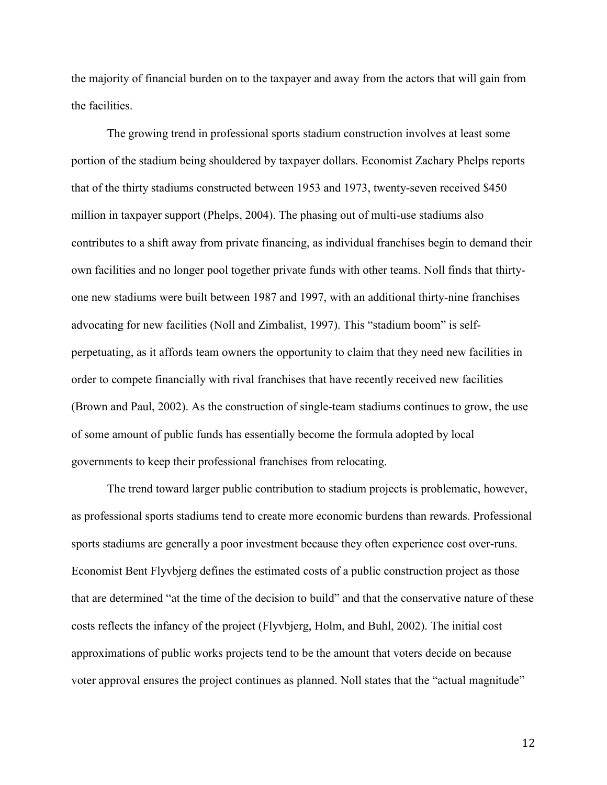the majority of financial burden on to the taxpayer and away from the actors that will gain from the facilities.

The growing trend in professional sports stadium construction involves at least some portion of the stadium being shouldered by taxpayer dollars. Economist Zachary Phelps reports that of the thirty stadiums constructed between 1953 and 1973, twenty-seven received \$450 million in taxpayer support (Phelps, 2004). The phasing out of multi-use stadiums also contributes to a shift away from private financing, as individual franchises begin to demand their own facilities and no longer pool together private funds with other teams. Noll finds that thirtyone new stadiums were built between 1987 and 1997, with an additional thirty-nine franchises advocating for new facilities (Noll and Zimbalist, 1997). This "stadium boom" is selfperpetuating, as it affords team owners the opportunity to claim that they need new facilities in order to compete financially with rival franchises that have recently received new facilities (Brown and Paul, 2002). As the construction of single-team stadiums continues to grow, the use of some amount of public funds has essentially become the formula adopted by local governments to keep their professional franchises from relocating.

The trend toward larger public contribution to stadium projects is problematic, however, as professional sports stadiums tend to create more economic burdens than rewards. Professional sports stadiums are generally a poor investment because they often experience cost over-runs. Economist Bent Flyvbjerg defines the estimated costs of a public construction project as those that are determined "at the time of the decision to build" and that the conservative nature of these costs reflects the infancy of the project (Flyvbjerg, Holm, and Buhl, 2002). The initial cost approximations of public works projects tend to be the amount that voters decide on because voter approval ensures the project continues as planned. Noll states that the "actual magnitude"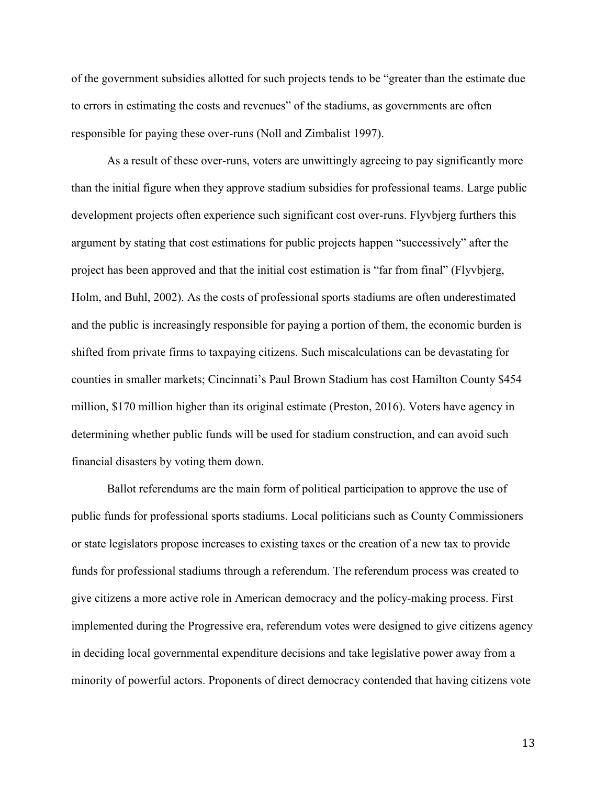of the government subsidies allotted for such projects tends to be "greater than the estimate due to errors in estimating the costs and revenues" of the stadiums, as governments are often responsible for paying these over-runs (Noll and Zimbalist 1997).

As a result of these over-runs, voters are unwittingly agreeing to pay significantly more than the initial figure when they approve stadium subsidies for professional teams. Large public development projects often experience such significant cost over-runs. Flyvbjerg furthers this argument by stating that cost estimations for public projects happen "successively" after the project has been approved and that the initial cost estimation is "far from final" (Flyvbjerg, Holm, and Buhl, 2002). As the costs of professional sports stadiums are often underestimated and the public is increasingly responsible for paying a portion of them, the economic burden is shifted from private firms to taxpaying citizens. Such miscalculations can be devastating for counties in smaller markets; Cincinnati's Paul Brown Stadium has cost Hamilton County \$454 million, \$170 million higher than its original estimate (Preston, 2016). Voters have agency in determining whether public funds will be used for stadium construction, and can avoid such financial disasters by voting them down.

Ballot referendums are the main form of political participation to approve the use of public funds for professional sports stadiums. Local politicians such as County Commissioners or state legislators propose increases to existing taxes or the creation of a new tax to provide funds for professional stadiums through a referendum. The referendum process was created to give citizens a more active role in American democracy and the policy-making process. First implemented during the Progressive era, referendum votes were designed to give citizens agency in deciding local governmental expenditure decisions and take legislative power away from a minority of powerful actors. Proponents of direct democracy contended that having citizens vote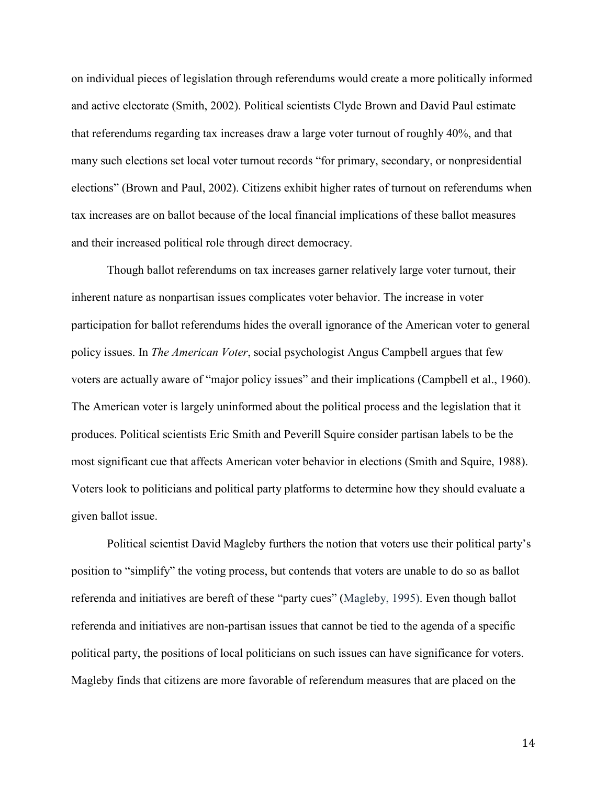on individual pieces of legislation through referendums would create a more politically informed and active electorate (Smith, 2002). Political scientists Clyde Brown and David Paul estimate that referendums regarding tax increases draw a large voter turnout of roughly 40%, and that many such elections set local voter turnout records "for primary, secondary, or nonpresidential elections" (Brown and Paul, 2002). Citizens exhibit higher rates of turnout on referendums when tax increases are on ballot because of the local financial implications of these ballot measures and their increased political role through direct democracy.

Though ballot referendums on tax increases garner relatively large voter turnout, their inherent nature as nonpartisan issues complicates voter behavior. The increase in voter participation for ballot referendums hides the overall ignorance of the American voter to general policy issues. In *The American Voter*, social psychologist Angus Campbell argues that few voters are actually aware of "major policy issues" and their implications (Campbell et al., 1960). The American voter is largely uninformed about the political process and the legislation that it produces. Political scientists Eric Smith and Peverill Squire consider partisan labels to be the most significant cue that affects American voter behavior in elections (Smith and Squire, 1988). Voters look to politicians and political party platforms to determine how they should evaluate a given ballot issue.

Political scientist David Magleby furthers the notion that voters use their political party's position to "simplify" the voting process, but contends that voters are unable to do so as ballot referenda and initiatives are bereft of these "party cues" (Magleby, 1995). Even though ballot referenda and initiatives are non-partisan issues that cannot be tied to the agenda of a specific political party, the positions of local politicians on such issues can have significance for voters. Magleby finds that citizens are more favorable of referendum measures that are placed on the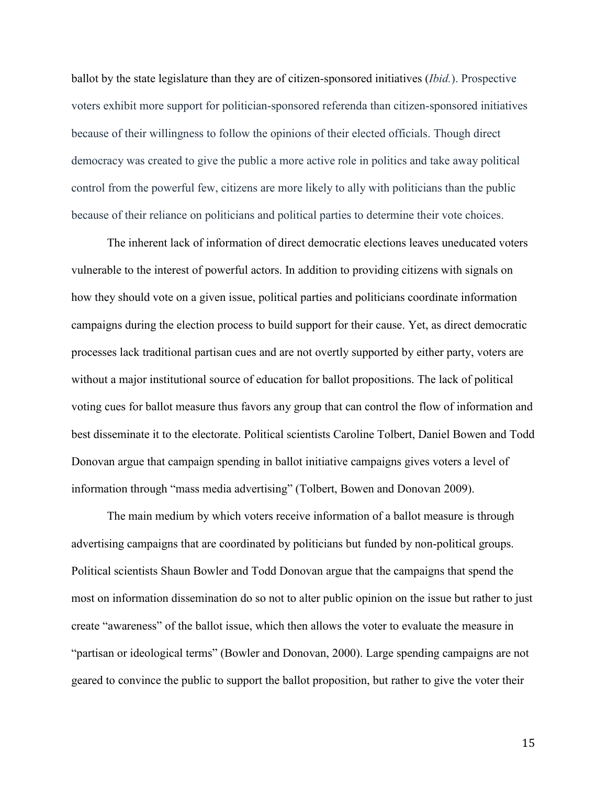ballot by the state legislature than they are of citizen-sponsored initiatives (*Ibid.*). Prospective voters exhibit more support for politician-sponsored referenda than citizen-sponsored initiatives because of their willingness to follow the opinions of their elected officials. Though direct democracy was created to give the public a more active role in politics and take away political control from the powerful few, citizens are more likely to ally with politicians than the public because of their reliance on politicians and political parties to determine their vote choices.

The inherent lack of information of direct democratic elections leaves uneducated voters vulnerable to the interest of powerful actors. In addition to providing citizens with signals on how they should vote on a given issue, political parties and politicians coordinate information campaigns during the election process to build support for their cause. Yet, as direct democratic processes lack traditional partisan cues and are not overtly supported by either party, voters are without a major institutional source of education for ballot propositions. The lack of political voting cues for ballot measure thus favors any group that can control the flow of information and best disseminate it to the electorate. Political scientists Caroline Tolbert, Daniel Bowen and Todd Donovan argue that campaign spending in ballot initiative campaigns gives voters a level of information through "mass media advertising" (Tolbert, Bowen and Donovan 2009).

The main medium by which voters receive information of a ballot measure is through advertising campaigns that are coordinated by politicians but funded by non-political groups. Political scientists Shaun Bowler and Todd Donovan argue that the campaigns that spend the most on information dissemination do so not to alter public opinion on the issue but rather to just create "awareness" of the ballot issue, which then allows the voter to evaluate the measure in "partisan or ideological terms" (Bowler and Donovan, 2000). Large spending campaigns are not geared to convince the public to support the ballot proposition, but rather to give the voter their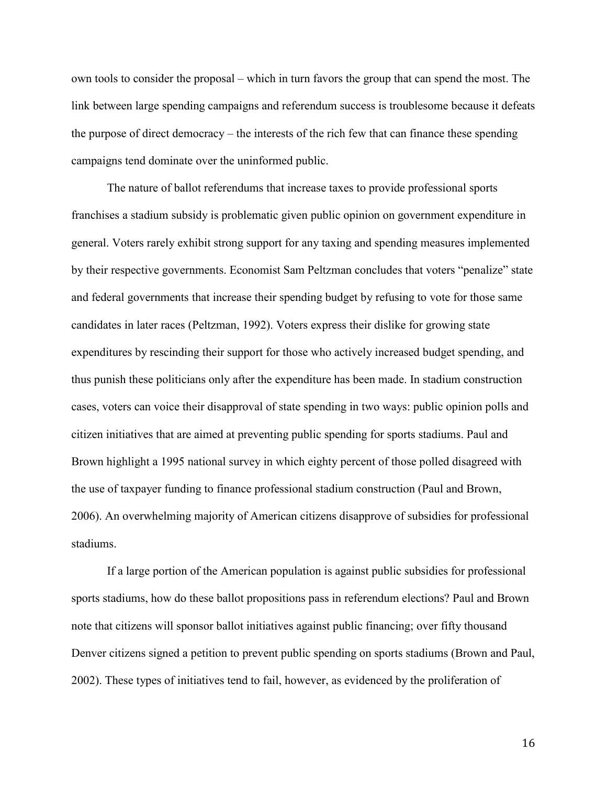own tools to consider the proposal – which in turn favors the group that can spend the most. The link between large spending campaigns and referendum success is troublesome because it defeats the purpose of direct democracy – the interests of the rich few that can finance these spending campaigns tend dominate over the uninformed public.

The nature of ballot referendums that increase taxes to provide professional sports franchises a stadium subsidy is problematic given public opinion on government expenditure in general. Voters rarely exhibit strong support for any taxing and spending measures implemented by their respective governments. Economist Sam Peltzman concludes that voters "penalize" state and federal governments that increase their spending budget by refusing to vote for those same candidates in later races (Peltzman, 1992). Voters express their dislike for growing state expenditures by rescinding their support for those who actively increased budget spending, and thus punish these politicians only after the expenditure has been made. In stadium construction cases, voters can voice their disapproval of state spending in two ways: public opinion polls and citizen initiatives that are aimed at preventing public spending for sports stadiums. Paul and Brown highlight a 1995 national survey in which eighty percent of those polled disagreed with the use of taxpayer funding to finance professional stadium construction (Paul and Brown, 2006). An overwhelming majority of American citizens disapprove of subsidies for professional stadiums.

If a large portion of the American population is against public subsidies for professional sports stadiums, how do these ballot propositions pass in referendum elections? Paul and Brown note that citizens will sponsor ballot initiatives against public financing; over fifty thousand Denver citizens signed a petition to prevent public spending on sports stadiums (Brown and Paul, 2002). These types of initiatives tend to fail, however, as evidenced by the proliferation of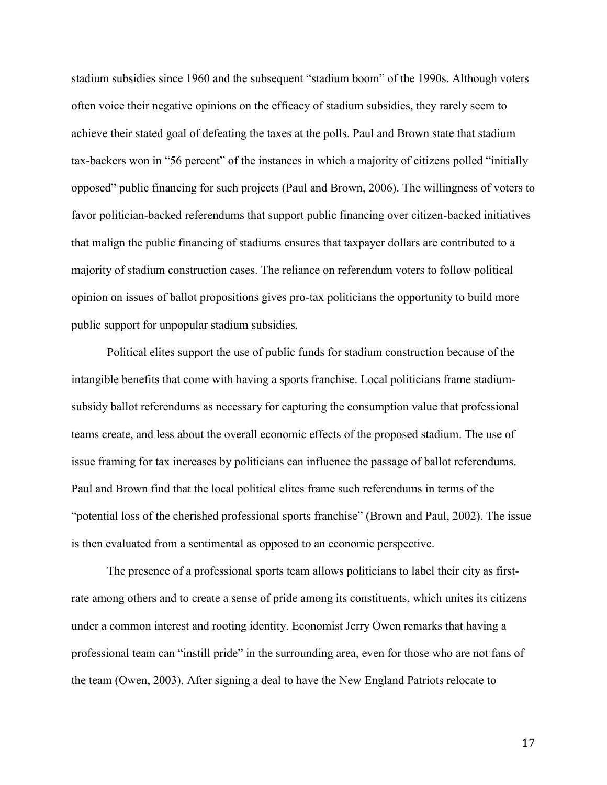stadium subsidies since 1960 and the subsequent "stadium boom" of the 1990s. Although voters often voice their negative opinions on the efficacy of stadium subsidies, they rarely seem to achieve their stated goal of defeating the taxes at the polls. Paul and Brown state that stadium tax-backers won in "56 percent" of the instances in which a majority of citizens polled "initially opposed" public financing for such projects (Paul and Brown, 2006). The willingness of voters to favor politician-backed referendums that support public financing over citizen-backed initiatives that malign the public financing of stadiums ensures that taxpayer dollars are contributed to a majority of stadium construction cases. The reliance on referendum voters to follow political opinion on issues of ballot propositions gives pro-tax politicians the opportunity to build more public support for unpopular stadium subsidies.

Political elites support the use of public funds for stadium construction because of the intangible benefits that come with having a sports franchise. Local politicians frame stadiumsubsidy ballot referendums as necessary for capturing the consumption value that professional teams create, and less about the overall economic effects of the proposed stadium. The use of issue framing for tax increases by politicians can influence the passage of ballot referendums. Paul and Brown find that the local political elites frame such referendums in terms of the "potential loss of the cherished professional sports franchise" (Brown and Paul, 2002). The issue is then evaluated from a sentimental as opposed to an economic perspective.

The presence of a professional sports team allows politicians to label their city as firstrate among others and to create a sense of pride among its constituents, which unites its citizens under a common interest and rooting identity. Economist Jerry Owen remarks that having a professional team can "instill pride" in the surrounding area, even for those who are not fans of the team (Owen, 2003). After signing a deal to have the New England Patriots relocate to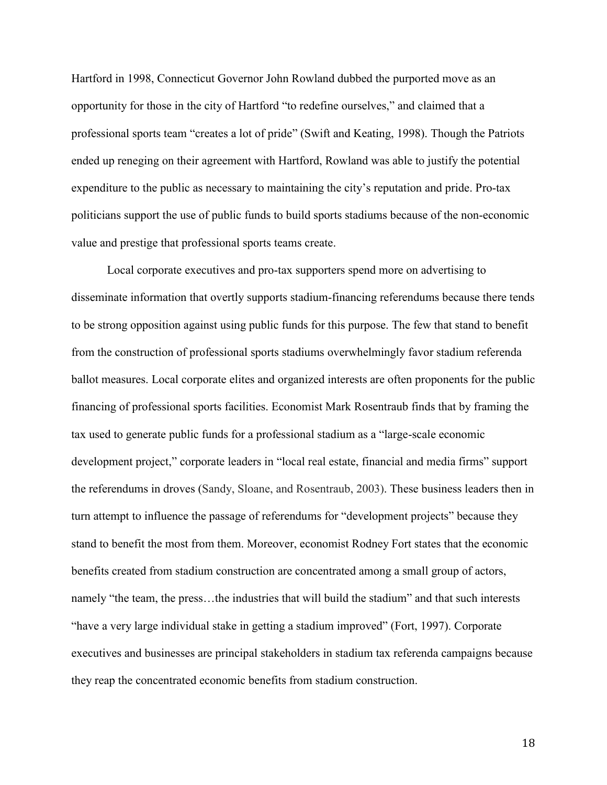Hartford in 1998, Connecticut Governor John Rowland dubbed the purported move as an opportunity for those in the city of Hartford "to redefine ourselves," and claimed that a professional sports team "creates a lot of pride" (Swift and Keating, 1998). Though the Patriots ended up reneging on their agreement with Hartford, Rowland was able to justify the potential expenditure to the public as necessary to maintaining the city's reputation and pride. Pro-tax politicians support the use of public funds to build sports stadiums because of the non-economic value and prestige that professional sports teams create.

Local corporate executives and pro-tax supporters spend more on advertising to disseminate information that overtly supports stadium-financing referendums because there tends to be strong opposition against using public funds for this purpose. The few that stand to benefit from the construction of professional sports stadiums overwhelmingly favor stadium referenda ballot measures. Local corporate elites and organized interests are often proponents for the public financing of professional sports facilities. Economist Mark Rosentraub finds that by framing the tax used to generate public funds for a professional stadium as a "large-scale economic development project," corporate leaders in "local real estate, financial and media firms" support the referendums in droves (Sandy, Sloane, and Rosentraub, 2003). These business leaders then in turn attempt to influence the passage of referendums for "development projects" because they stand to benefit the most from them. Moreover, economist Rodney Fort states that the economic benefits created from stadium construction are concentrated among a small group of actors, namely "the team, the press…the industries that will build the stadium" and that such interests "have a very large individual stake in getting a stadium improved" (Fort, 1997). Corporate executives and businesses are principal stakeholders in stadium tax referenda campaigns because they reap the concentrated economic benefits from stadium construction.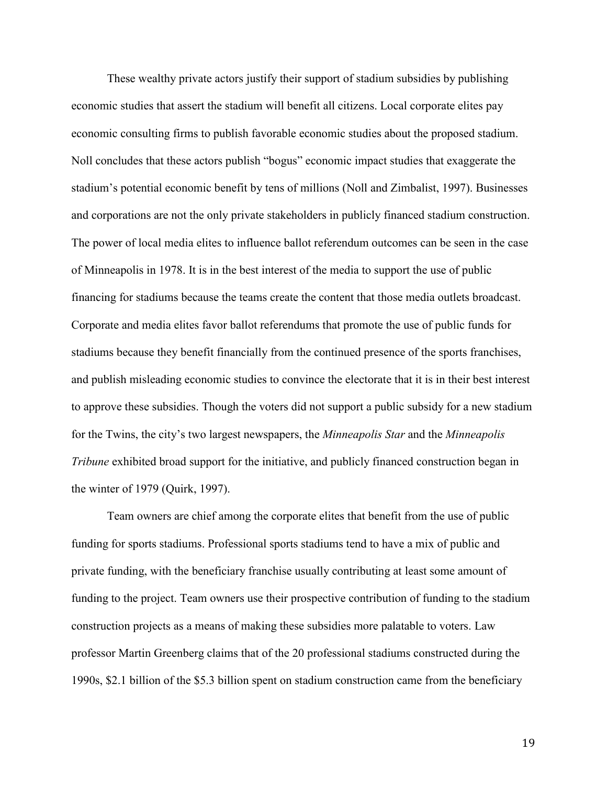These wealthy private actors justify their support of stadium subsidies by publishing economic studies that assert the stadium will benefit all citizens. Local corporate elites pay economic consulting firms to publish favorable economic studies about the proposed stadium. Noll concludes that these actors publish "bogus" economic impact studies that exaggerate the stadium's potential economic benefit by tens of millions (Noll and Zimbalist, 1997). Businesses and corporations are not the only private stakeholders in publicly financed stadium construction. The power of local media elites to influence ballot referendum outcomes can be seen in the case of Minneapolis in 1978. It is in the best interest of the media to support the use of public financing for stadiums because the teams create the content that those media outlets broadcast. Corporate and media elites favor ballot referendums that promote the use of public funds for stadiums because they benefit financially from the continued presence of the sports franchises, and publish misleading economic studies to convince the electorate that it is in their best interest to approve these subsidies. Though the voters did not support a public subsidy for a new stadium for the Twins, the city's two largest newspapers, the *Minneapolis Star* and the *Minneapolis Tribune* exhibited broad support for the initiative, and publicly financed construction began in the winter of 1979 (Quirk, 1997).

Team owners are chief among the corporate elites that benefit from the use of public funding for sports stadiums. Professional sports stadiums tend to have a mix of public and private funding, with the beneficiary franchise usually contributing at least some amount of funding to the project. Team owners use their prospective contribution of funding to the stadium construction projects as a means of making these subsidies more palatable to voters. Law professor Martin Greenberg claims that of the 20 professional stadiums constructed during the 1990s, \$2.1 billion of the \$5.3 billion spent on stadium construction came from the beneficiary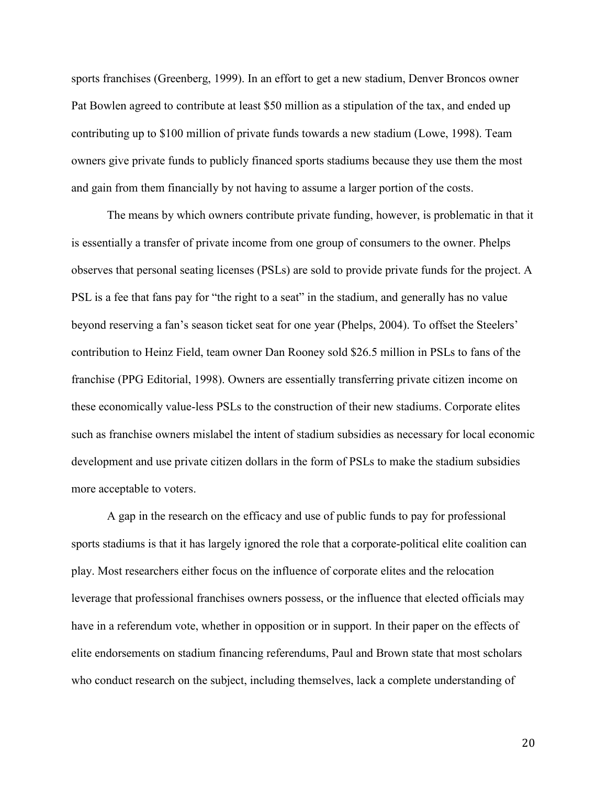sports franchises (Greenberg, 1999). In an effort to get a new stadium, Denver Broncos owner Pat Bowlen agreed to contribute at least \$50 million as a stipulation of the tax, and ended up contributing up to \$100 million of private funds towards a new stadium (Lowe, 1998). Team owners give private funds to publicly financed sports stadiums because they use them the most and gain from them financially by not having to assume a larger portion of the costs.

The means by which owners contribute private funding, however, is problematic in that it is essentially a transfer of private income from one group of consumers to the owner. Phelps observes that personal seating licenses (PSLs) are sold to provide private funds for the project. A PSL is a fee that fans pay for "the right to a seat" in the stadium, and generally has no value beyond reserving a fan's season ticket seat for one year (Phelps, 2004). To offset the Steelers' contribution to Heinz Field, team owner Dan Rooney sold \$26.5 million in PSLs to fans of the franchise (PPG Editorial, 1998). Owners are essentially transferring private citizen income on these economically value-less PSLs to the construction of their new stadiums. Corporate elites such as franchise owners mislabel the intent of stadium subsidies as necessary for local economic development and use private citizen dollars in the form of PSLs to make the stadium subsidies more acceptable to voters.

A gap in the research on the efficacy and use of public funds to pay for professional sports stadiums is that it has largely ignored the role that a corporate-political elite coalition can play. Most researchers either focus on the influence of corporate elites and the relocation leverage that professional franchises owners possess, or the influence that elected officials may have in a referendum vote, whether in opposition or in support. In their paper on the effects of elite endorsements on stadium financing referendums, Paul and Brown state that most scholars who conduct research on the subject, including themselves, lack a complete understanding of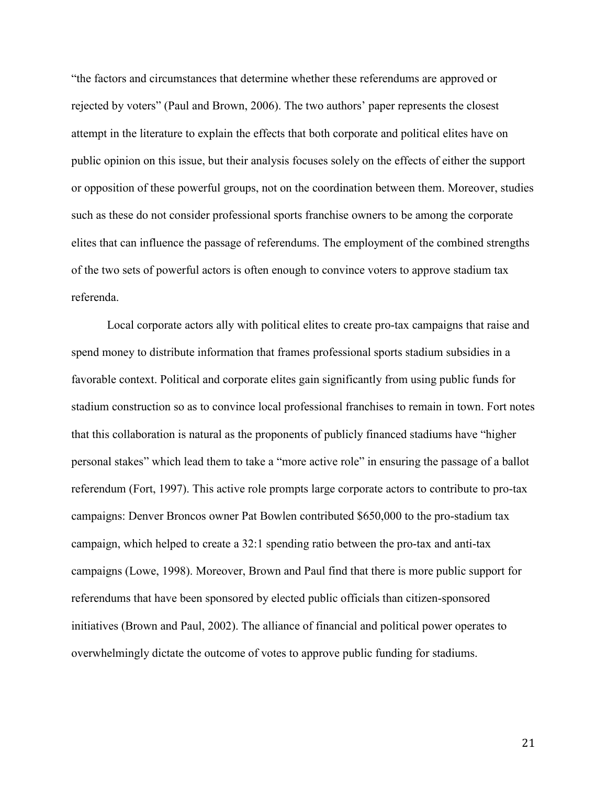"the factors and circumstances that determine whether these referendums are approved or rejected by voters" (Paul and Brown, 2006). The two authors' paper represents the closest attempt in the literature to explain the effects that both corporate and political elites have on public opinion on this issue, but their analysis focuses solely on the effects of either the support or opposition of these powerful groups, not on the coordination between them. Moreover, studies such as these do not consider professional sports franchise owners to be among the corporate elites that can influence the passage of referendums. The employment of the combined strengths of the two sets of powerful actors is often enough to convince voters to approve stadium tax referenda.

Local corporate actors ally with political elites to create pro-tax campaigns that raise and spend money to distribute information that frames professional sports stadium subsidies in a favorable context. Political and corporate elites gain significantly from using public funds for stadium construction so as to convince local professional franchises to remain in town. Fort notes that this collaboration is natural as the proponents of publicly financed stadiums have "higher personal stakes" which lead them to take a "more active role" in ensuring the passage of a ballot referendum (Fort, 1997). This active role prompts large corporate actors to contribute to pro-tax campaigns: Denver Broncos owner Pat Bowlen contributed \$650,000 to the pro-stadium tax campaign, which helped to create a 32:1 spending ratio between the pro-tax and anti-tax campaigns (Lowe, 1998). Moreover, Brown and Paul find that there is more public support for referendums that have been sponsored by elected public officials than citizen-sponsored initiatives (Brown and Paul, 2002). The alliance of financial and political power operates to overwhelmingly dictate the outcome of votes to approve public funding for stadiums.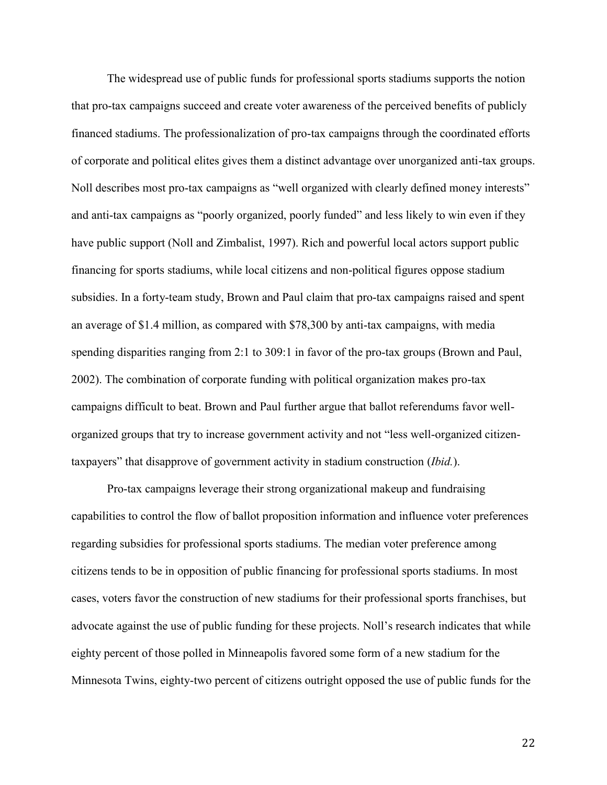The widespread use of public funds for professional sports stadiums supports the notion that pro-tax campaigns succeed and create voter awareness of the perceived benefits of publicly financed stadiums. The professionalization of pro-tax campaigns through the coordinated efforts of corporate and political elites gives them a distinct advantage over unorganized anti-tax groups. Noll describes most pro-tax campaigns as "well organized with clearly defined money interests" and anti-tax campaigns as "poorly organized, poorly funded" and less likely to win even if they have public support (Noll and Zimbalist, 1997). Rich and powerful local actors support public financing for sports stadiums, while local citizens and non-political figures oppose stadium subsidies. In a forty-team study, Brown and Paul claim that pro-tax campaigns raised and spent an average of \$1.4 million, as compared with \$78,300 by anti-tax campaigns, with media spending disparities ranging from 2:1 to 309:1 in favor of the pro-tax groups (Brown and Paul, 2002). The combination of corporate funding with political organization makes pro-tax campaigns difficult to beat. Brown and Paul further argue that ballot referendums favor wellorganized groups that try to increase government activity and not "less well-organized citizentaxpayers" that disapprove of government activity in stadium construction (*Ibid.*).

Pro-tax campaigns leverage their strong organizational makeup and fundraising capabilities to control the flow of ballot proposition information and influence voter preferences regarding subsidies for professional sports stadiums. The median voter preference among citizens tends to be in opposition of public financing for professional sports stadiums. In most cases, voters favor the construction of new stadiums for their professional sports franchises, but advocate against the use of public funding for these projects. Noll's research indicates that while eighty percent of those polled in Minneapolis favored some form of a new stadium for the Minnesota Twins, eighty-two percent of citizens outright opposed the use of public funds for the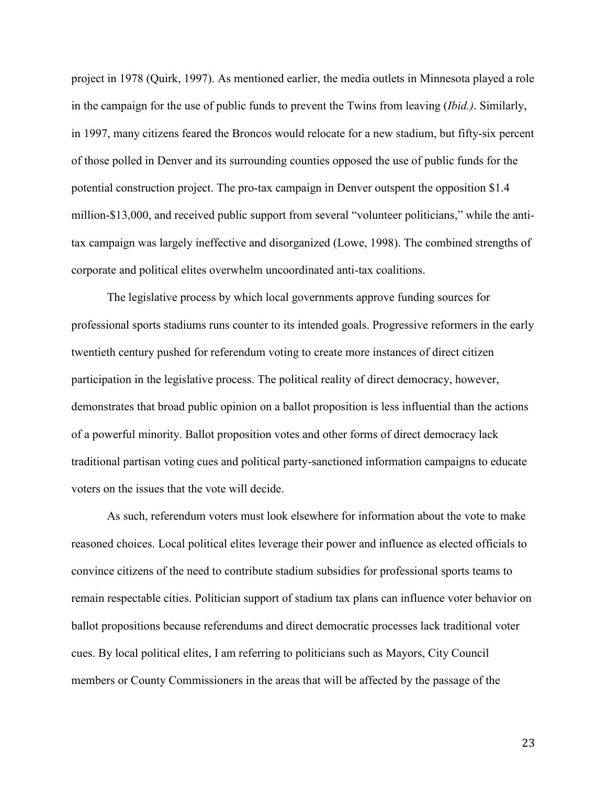project in 1978 (Quirk, 1997). As mentioned earlier, the media outlets in Minnesota played a role in the campaign for the use of public funds to prevent the Twins from leaving (*Ibid.)*. Similarly, in 1997, many citizens feared the Broncos would relocate for a new stadium, but fifty-six percent of those polled in Denver and its surrounding counties opposed the use of public funds for the potential construction project. The pro-tax campaign in Denver outspent the opposition \$1.4 million-\$13,000, and received public support from several "volunteer politicians," while the antitax campaign was largely ineffective and disorganized (Lowe, 1998). The combined strengths of corporate and political elites overwhelm uncoordinated anti-tax coalitions.

The legislative process by which local governments approve funding sources for professional sports stadiums runs counter to its intended goals. Progressive reformers in the early twentieth century pushed for referendum voting to create more instances of direct citizen participation in the legislative process. The political reality of direct democracy, however, demonstrates that broad public opinion on a ballot proposition is less influential than the actions of a powerful minority. Ballot proposition votes and other forms of direct democracy lack traditional partisan voting cues and political party-sanctioned information campaigns to educate voters on the issues that the vote will decide.

As such, referendum voters must look elsewhere for information about the vote to make reasoned choices. Local political elites leverage their power and influence as elected officials to convince citizens of the need to contribute stadium subsidies for professional sports teams to remain respectable cities. Politician support of stadium tax plans can influence voter behavior on ballot propositions because referendums and direct democratic processes lack traditional voter cues. By local political elites, I am referring to politicians such as Mayors, City Council members or County Commissioners in the areas that will be affected by the passage of the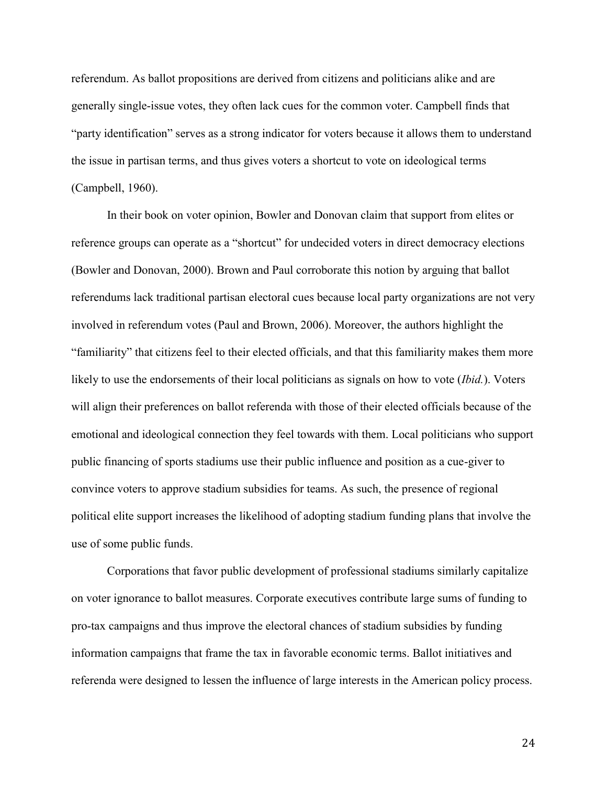referendum. As ballot propositions are derived from citizens and politicians alike and are generally single-issue votes, they often lack cues for the common voter. Campbell finds that "party identification" serves as a strong indicator for voters because it allows them to understand the issue in partisan terms, and thus gives voters a shortcut to vote on ideological terms (Campbell, 1960).

In their book on voter opinion, Bowler and Donovan claim that support from elites or reference groups can operate as a "shortcut" for undecided voters in direct democracy elections (Bowler and Donovan, 2000). Brown and Paul corroborate this notion by arguing that ballot referendums lack traditional partisan electoral cues because local party organizations are not very involved in referendum votes (Paul and Brown, 2006). Moreover, the authors highlight the "familiarity" that citizens feel to their elected officials, and that this familiarity makes them more likely to use the endorsements of their local politicians as signals on how to vote (*Ibid.*). Voters will align their preferences on ballot referenda with those of their elected officials because of the emotional and ideological connection they feel towards with them. Local politicians who support public financing of sports stadiums use their public influence and position as a cue-giver to convince voters to approve stadium subsidies for teams. As such, the presence of regional political elite support increases the likelihood of adopting stadium funding plans that involve the use of some public funds.

Corporations that favor public development of professional stadiums similarly capitalize on voter ignorance to ballot measures. Corporate executives contribute large sums of funding to pro-tax campaigns and thus improve the electoral chances of stadium subsidies by funding information campaigns that frame the tax in favorable economic terms. Ballot initiatives and referenda were designed to lessen the influence of large interests in the American policy process.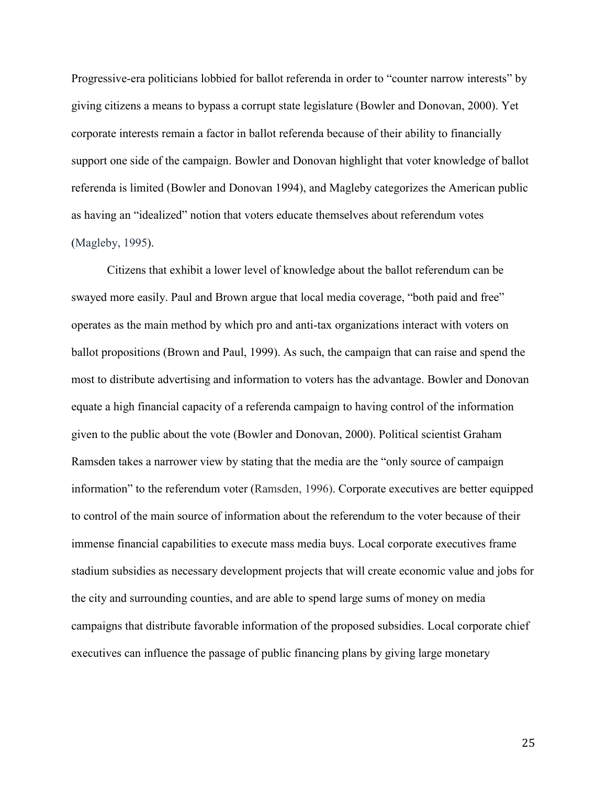Progressive-era politicians lobbied for ballot referenda in order to "counter narrow interests" by giving citizens a means to bypass a corrupt state legislature (Bowler and Donovan, 2000). Yet corporate interests remain a factor in ballot referenda because of their ability to financially support one side of the campaign. Bowler and Donovan highlight that voter knowledge of ballot referenda is limited (Bowler and Donovan 1994), and Magleby categorizes the American public as having an "idealized" notion that voters educate themselves about referendum votes (Magleby, 1995).

Citizens that exhibit a lower level of knowledge about the ballot referendum can be swayed more easily. Paul and Brown argue that local media coverage, "both paid and free" operates as the main method by which pro and anti-tax organizations interact with voters on ballot propositions (Brown and Paul, 1999). As such, the campaign that can raise and spend the most to distribute advertising and information to voters has the advantage. Bowler and Donovan equate a high financial capacity of a referenda campaign to having control of the information given to the public about the vote (Bowler and Donovan, 2000). Political scientist Graham Ramsden takes a narrower view by stating that the media are the "only source of campaign information" to the referendum voter (Ramsden, 1996). Corporate executives are better equipped to control of the main source of information about the referendum to the voter because of their immense financial capabilities to execute mass media buys. Local corporate executives frame stadium subsidies as necessary development projects that will create economic value and jobs for the city and surrounding counties, and are able to spend large sums of money on media campaigns that distribute favorable information of the proposed subsidies. Local corporate chief executives can influence the passage of public financing plans by giving large monetary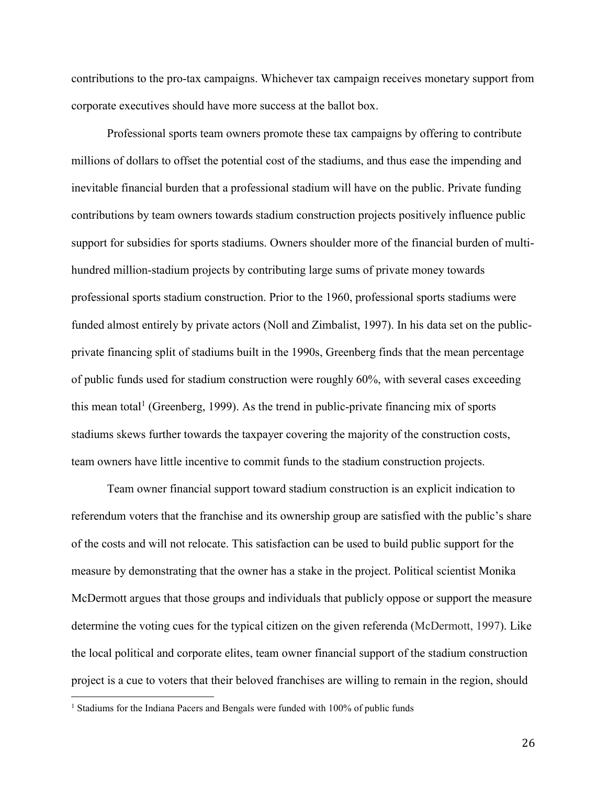contributions to the pro-tax campaigns. Whichever tax campaign receives monetary support from corporate executives should have more success at the ballot box.

Professional sports team owners promote these tax campaigns by offering to contribute millions of dollars to offset the potential cost of the stadiums, and thus ease the impending and inevitable financial burden that a professional stadium will have on the public. Private funding contributions by team owners towards stadium construction projects positively influence public support for subsidies for sports stadiums. Owners shoulder more of the financial burden of multihundred million-stadium projects by contributing large sums of private money towards professional sports stadium construction. Prior to the 1960, professional sports stadiums were funded almost entirely by private actors (Noll and Zimbalist, 1997). In his data set on the publicprivate financing split of stadiums built in the 1990s, Greenberg finds that the mean percentage of public funds used for stadium construction were roughly 60%, with several cases exceeding this mean total<sup>1</sup> (Greenberg, 1999). As the trend in public-private financing mix of sports stadiums skews further towards the taxpayer covering the majority of the construction costs, team owners have little incentive to commit funds to the stadium construction projects.

Team owner financial support toward stadium construction is an explicit indication to referendum voters that the franchise and its ownership group are satisfied with the public's share of the costs and will not relocate. This satisfaction can be used to build public support for the measure by demonstrating that the owner has a stake in the project. Political scientist Monika McDermott argues that those groups and individuals that publicly oppose or support the measure determine the voting cues for the typical citizen on the given referenda (McDermott, 1997). Like the local political and corporate elites, team owner financial support of the stadium construction project is a cue to voters that their beloved franchises are willing to remain in the region, should

 $\overline{a}$ 

<sup>&</sup>lt;sup>1</sup> Stadiums for the Indiana Pacers and Bengals were funded with 100% of public funds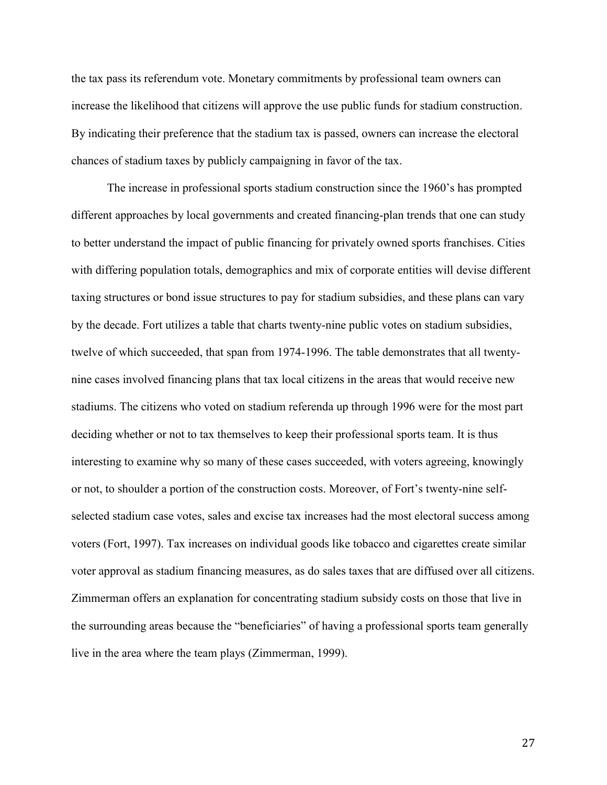the tax pass its referendum vote. Monetary commitments by professional team owners can increase the likelihood that citizens will approve the use public funds for stadium construction. By indicating their preference that the stadium tax is passed, owners can increase the electoral chances of stadium taxes by publicly campaigning in favor of the tax.

The increase in professional sports stadium construction since the 1960's has prompted different approaches by local governments and created financing-plan trends that one can study to better understand the impact of public financing for privately owned sports franchises. Cities with differing population totals, demographics and mix of corporate entities will devise different taxing structures or bond issue structures to pay for stadium subsidies, and these plans can vary by the decade. Fort utilizes a table that charts twenty-nine public votes on stadium subsidies, twelve of which succeeded, that span from 1974-1996. The table demonstrates that all twentynine cases involved financing plans that tax local citizens in the areas that would receive new stadiums. The citizens who voted on stadium referenda up through 1996 were for the most part deciding whether or not to tax themselves to keep their professional sports team. It is thus interesting to examine why so many of these cases succeeded, with voters agreeing, knowingly or not, to shoulder a portion of the construction costs. Moreover, of Fort's twenty-nine selfselected stadium case votes, sales and excise tax increases had the most electoral success among voters (Fort, 1997). Tax increases on individual goods like tobacco and cigarettes create similar voter approval as stadium financing measures, as do sales taxes that are diffused over all citizens. Zimmerman offers an explanation for concentrating stadium subsidy costs on those that live in the surrounding areas because the "beneficiaries" of having a professional sports team generally live in the area where the team plays (Zimmerman, 1999).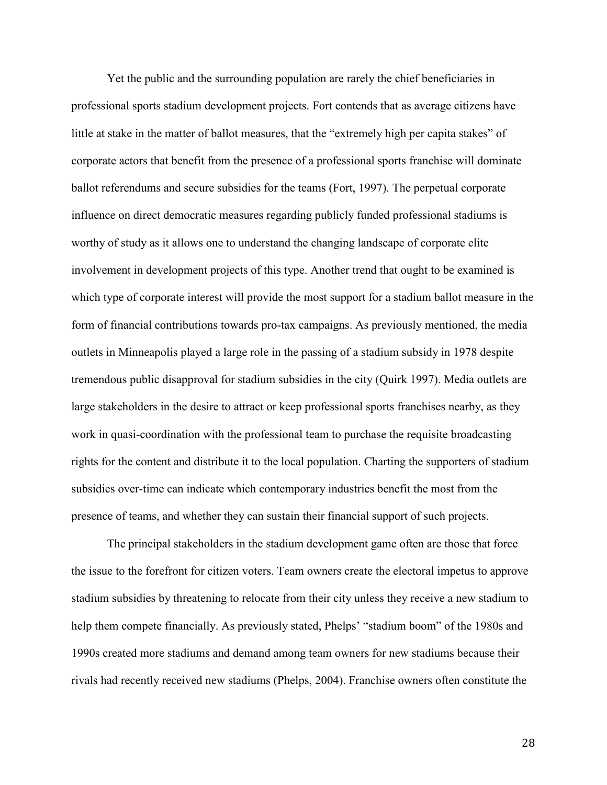Yet the public and the surrounding population are rarely the chief beneficiaries in professional sports stadium development projects. Fort contends that as average citizens have little at stake in the matter of ballot measures, that the "extremely high per capita stakes" of corporate actors that benefit from the presence of a professional sports franchise will dominate ballot referendums and secure subsidies for the teams (Fort, 1997). The perpetual corporate influence on direct democratic measures regarding publicly funded professional stadiums is worthy of study as it allows one to understand the changing landscape of corporate elite involvement in development projects of this type. Another trend that ought to be examined is which type of corporate interest will provide the most support for a stadium ballot measure in the form of financial contributions towards pro-tax campaigns. As previously mentioned, the media outlets in Minneapolis played a large role in the passing of a stadium subsidy in 1978 despite tremendous public disapproval for stadium subsidies in the city (Quirk 1997). Media outlets are large stakeholders in the desire to attract or keep professional sports franchises nearby, as they work in quasi-coordination with the professional team to purchase the requisite broadcasting rights for the content and distribute it to the local population. Charting the supporters of stadium subsidies over-time can indicate which contemporary industries benefit the most from the presence of teams, and whether they can sustain their financial support of such projects.

The principal stakeholders in the stadium development game often are those that force the issue to the forefront for citizen voters. Team owners create the electoral impetus to approve stadium subsidies by threatening to relocate from their city unless they receive a new stadium to help them compete financially. As previously stated, Phelps' "stadium boom" of the 1980s and 1990s created more stadiums and demand among team owners for new stadiums because their rivals had recently received new stadiums (Phelps, 2004). Franchise owners often constitute the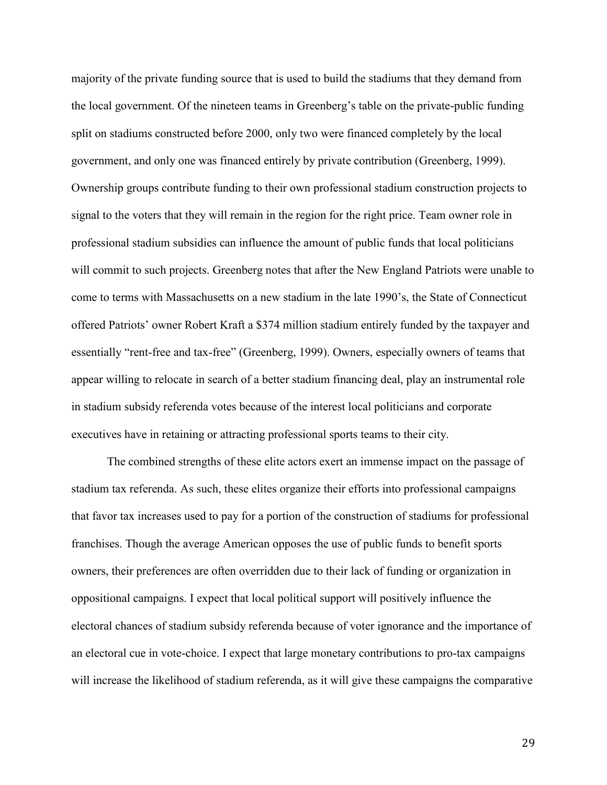majority of the private funding source that is used to build the stadiums that they demand from the local government. Of the nineteen teams in Greenberg's table on the private-public funding split on stadiums constructed before 2000, only two were financed completely by the local government, and only one was financed entirely by private contribution (Greenberg, 1999). Ownership groups contribute funding to their own professional stadium construction projects to signal to the voters that they will remain in the region for the right price. Team owner role in professional stadium subsidies can influence the amount of public funds that local politicians will commit to such projects. Greenberg notes that after the New England Patriots were unable to come to terms with Massachusetts on a new stadium in the late 1990's, the State of Connecticut offered Patriots' owner Robert Kraft a \$374 million stadium entirely funded by the taxpayer and essentially "rent-free and tax-free" (Greenberg, 1999). Owners, especially owners of teams that appear willing to relocate in search of a better stadium financing deal, play an instrumental role in stadium subsidy referenda votes because of the interest local politicians and corporate executives have in retaining or attracting professional sports teams to their city.

The combined strengths of these elite actors exert an immense impact on the passage of stadium tax referenda. As such, these elites organize their efforts into professional campaigns that favor tax increases used to pay for a portion of the construction of stadiums for professional franchises. Though the average American opposes the use of public funds to benefit sports owners, their preferences are often overridden due to their lack of funding or organization in oppositional campaigns. I expect that local political support will positively influence the electoral chances of stadium subsidy referenda because of voter ignorance and the importance of an electoral cue in vote-choice. I expect that large monetary contributions to pro-tax campaigns will increase the likelihood of stadium referenda, as it will give these campaigns the comparative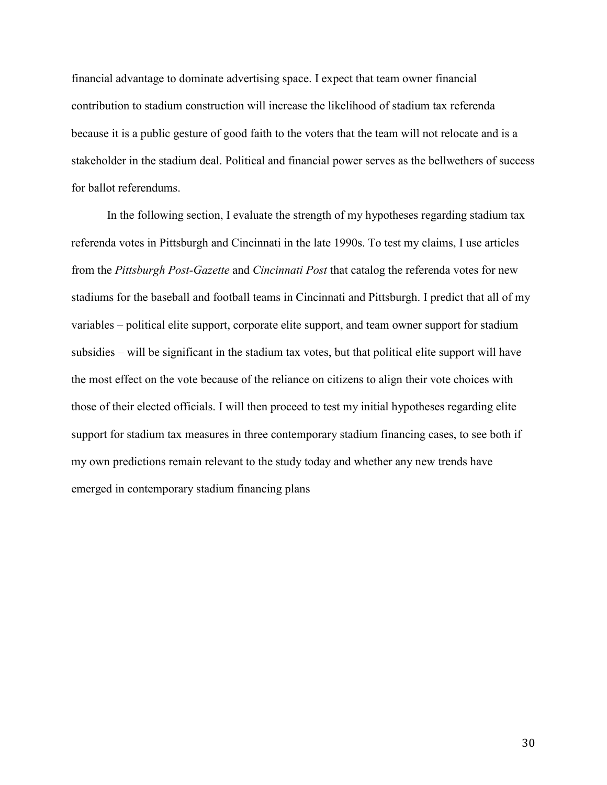financial advantage to dominate advertising space. I expect that team owner financial contribution to stadium construction will increase the likelihood of stadium tax referenda because it is a public gesture of good faith to the voters that the team will not relocate and is a stakeholder in the stadium deal. Political and financial power serves as the bellwethers of success for ballot referendums.

In the following section, I evaluate the strength of my hypotheses regarding stadium tax referenda votes in Pittsburgh and Cincinnati in the late 1990s. To test my claims, I use articles from the *Pittsburgh Post-Gazette* and *Cincinnati Post* that catalog the referenda votes for new stadiums for the baseball and football teams in Cincinnati and Pittsburgh. I predict that all of my variables – political elite support, corporate elite support, and team owner support for stadium subsidies – will be significant in the stadium tax votes, but that political elite support will have the most effect on the vote because of the reliance on citizens to align their vote choices with those of their elected officials. I will then proceed to test my initial hypotheses regarding elite support for stadium tax measures in three contemporary stadium financing cases, to see both if my own predictions remain relevant to the study today and whether any new trends have emerged in contemporary stadium financing plans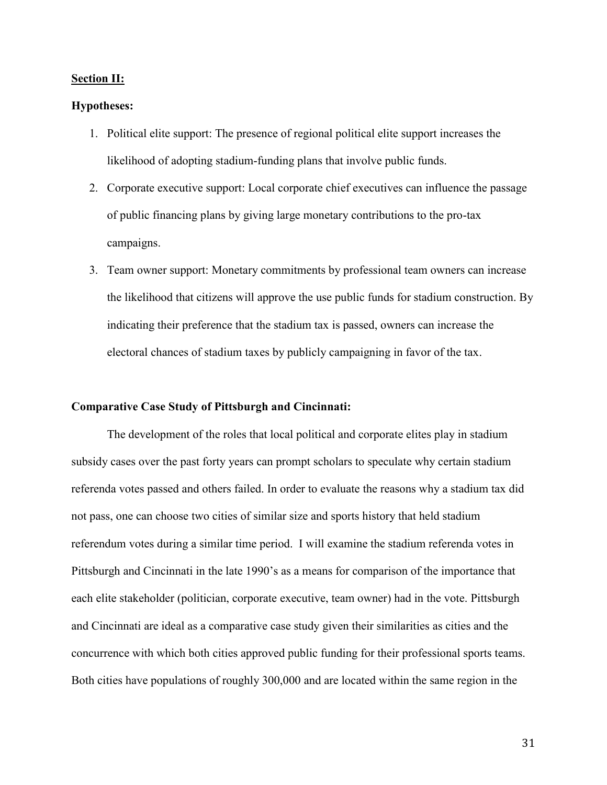#### Section II:

#### Hypotheses:

- 1. Political elite support: The presence of regional political elite support increases the likelihood of adopting stadium-funding plans that involve public funds.
- 2. Corporate executive support: Local corporate chief executives can influence the passage of public financing plans by giving large monetary contributions to the pro-tax campaigns.
- 3. Team owner support: Monetary commitments by professional team owners can increase the likelihood that citizens will approve the use public funds for stadium construction. By indicating their preference that the stadium tax is passed, owners can increase the electoral chances of stadium taxes by publicly campaigning in favor of the tax.

#### Comparative Case Study of Pittsburgh and Cincinnati:

The development of the roles that local political and corporate elites play in stadium subsidy cases over the past forty years can prompt scholars to speculate why certain stadium referenda votes passed and others failed. In order to evaluate the reasons why a stadium tax did not pass, one can choose two cities of similar size and sports history that held stadium referendum votes during a similar time period. I will examine the stadium referenda votes in Pittsburgh and Cincinnati in the late 1990's as a means for comparison of the importance that each elite stakeholder (politician, corporate executive, team owner) had in the vote. Pittsburgh and Cincinnati are ideal as a comparative case study given their similarities as cities and the concurrence with which both cities approved public funding for their professional sports teams. Both cities have populations of roughly 300,000 and are located within the same region in the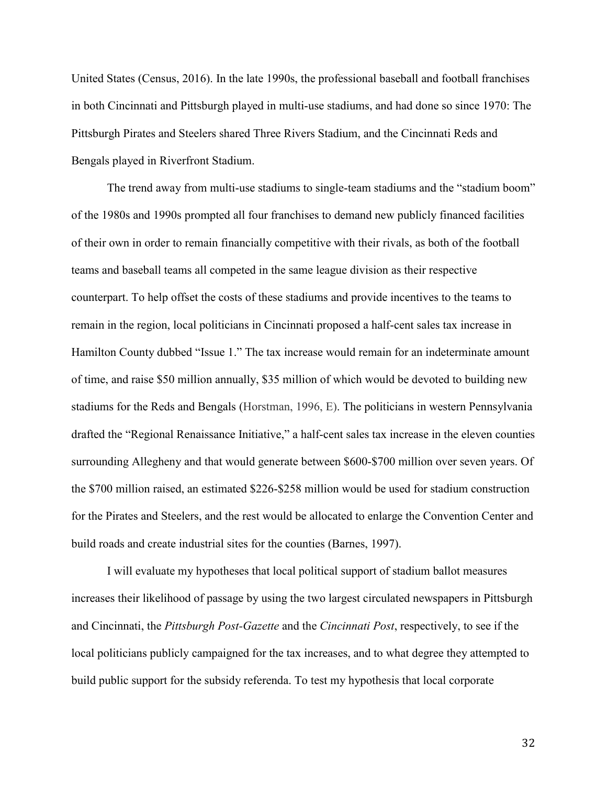United States (Census, 2016). In the late 1990s, the professional baseball and football franchises in both Cincinnati and Pittsburgh played in multi-use stadiums, and had done so since 1970: The Pittsburgh Pirates and Steelers shared Three Rivers Stadium, and the Cincinnati Reds and Bengals played in Riverfront Stadium.

The trend away from multi-use stadiums to single-team stadiums and the "stadium boom" of the 1980s and 1990s prompted all four franchises to demand new publicly financed facilities of their own in order to remain financially competitive with their rivals, as both of the football teams and baseball teams all competed in the same league division as their respective counterpart. To help offset the costs of these stadiums and provide incentives to the teams to remain in the region, local politicians in Cincinnati proposed a half-cent sales tax increase in Hamilton County dubbed "Issue 1." The tax increase would remain for an indeterminate amount of time, and raise \$50 million annually, \$35 million of which would be devoted to building new stadiums for the Reds and Bengals (Horstman, 1996, E). The politicians in western Pennsylvania drafted the "Regional Renaissance Initiative," a half-cent sales tax increase in the eleven counties surrounding Allegheny and that would generate between \$600-\$700 million over seven years. Of the \$700 million raised, an estimated \$226-\$258 million would be used for stadium construction for the Pirates and Steelers, and the rest would be allocated to enlarge the Convention Center and build roads and create industrial sites for the counties (Barnes, 1997).

I will evaluate my hypotheses that local political support of stadium ballot measures increases their likelihood of passage by using the two largest circulated newspapers in Pittsburgh and Cincinnati, the *Pittsburgh Post-Gazette* and the *Cincinnati Post*, respectively, to see if the local politicians publicly campaigned for the tax increases, and to what degree they attempted to build public support for the subsidy referenda. To test my hypothesis that local corporate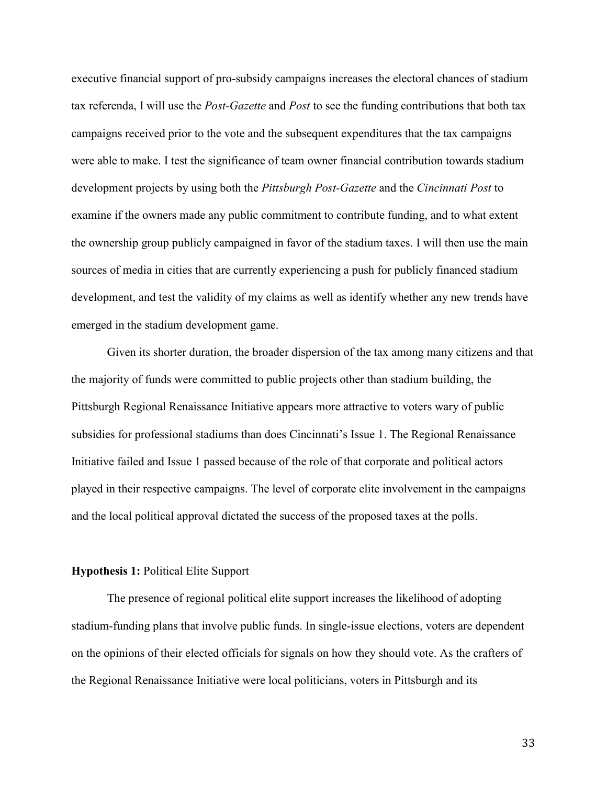executive financial support of pro-subsidy campaigns increases the electoral chances of stadium tax referenda, I will use the *Post-Gazette* and *Post* to see the funding contributions that both tax campaigns received prior to the vote and the subsequent expenditures that the tax campaigns were able to make. I test the significance of team owner financial contribution towards stadium development projects by using both the *Pittsburgh Post-Gazette* and the *Cincinnati Post* to examine if the owners made any public commitment to contribute funding, and to what extent the ownership group publicly campaigned in favor of the stadium taxes. I will then use the main sources of media in cities that are currently experiencing a push for publicly financed stadium development, and test the validity of my claims as well as identify whether any new trends have emerged in the stadium development game.

Given its shorter duration, the broader dispersion of the tax among many citizens and that the majority of funds were committed to public projects other than stadium building, the Pittsburgh Regional Renaissance Initiative appears more attractive to voters wary of public subsidies for professional stadiums than does Cincinnati's Issue 1. The Regional Renaissance Initiative failed and Issue 1 passed because of the role of that corporate and political actors played in their respective campaigns. The level of corporate elite involvement in the campaigns and the local political approval dictated the success of the proposed taxes at the polls.

#### Hypothesis 1: Political Elite Support

The presence of regional political elite support increases the likelihood of adopting stadium-funding plans that involve public funds. In single-issue elections, voters are dependent on the opinions of their elected officials for signals on how they should vote. As the crafters of the Regional Renaissance Initiative were local politicians, voters in Pittsburgh and its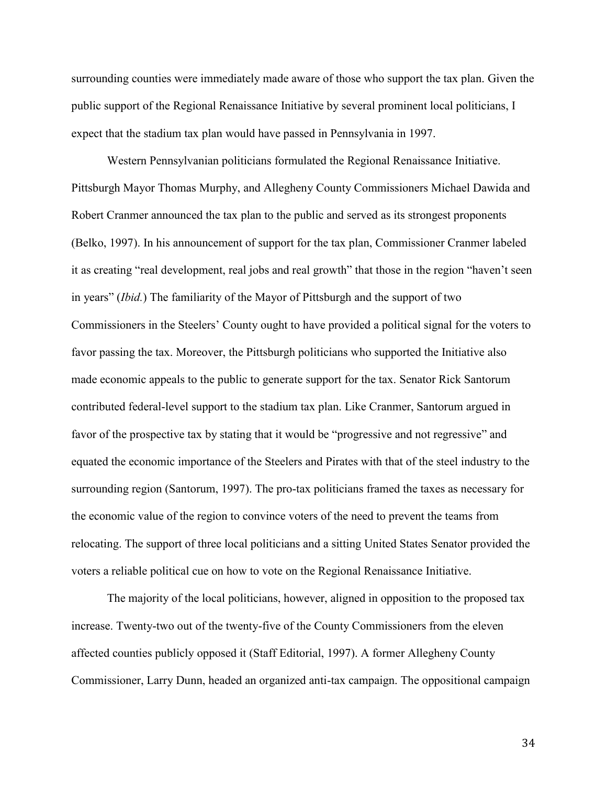surrounding counties were immediately made aware of those who support the tax plan. Given the public support of the Regional Renaissance Initiative by several prominent local politicians, I expect that the stadium tax plan would have passed in Pennsylvania in 1997.

Western Pennsylvanian politicians formulated the Regional Renaissance Initiative. Pittsburgh Mayor Thomas Murphy, and Allegheny County Commissioners Michael Dawida and Robert Cranmer announced the tax plan to the public and served as its strongest proponents (Belko, 1997). In his announcement of support for the tax plan, Commissioner Cranmer labeled it as creating "real development, real jobs and real growth" that those in the region "haven't seen in years" (*Ibid.*) The familiarity of the Mayor of Pittsburgh and the support of two Commissioners in the Steelers' County ought to have provided a political signal for the voters to favor passing the tax. Moreover, the Pittsburgh politicians who supported the Initiative also made economic appeals to the public to generate support for the tax. Senator Rick Santorum contributed federal-level support to the stadium tax plan. Like Cranmer, Santorum argued in favor of the prospective tax by stating that it would be "progressive and not regressive" and equated the economic importance of the Steelers and Pirates with that of the steel industry to the surrounding region (Santorum, 1997). The pro-tax politicians framed the taxes as necessary for the economic value of the region to convince voters of the need to prevent the teams from relocating. The support of three local politicians and a sitting United States Senator provided the voters a reliable political cue on how to vote on the Regional Renaissance Initiative.

The majority of the local politicians, however, aligned in opposition to the proposed tax increase. Twenty-two out of the twenty-five of the County Commissioners from the eleven affected counties publicly opposed it (Staff Editorial, 1997). A former Allegheny County Commissioner, Larry Dunn, headed an organized anti-tax campaign. The oppositional campaign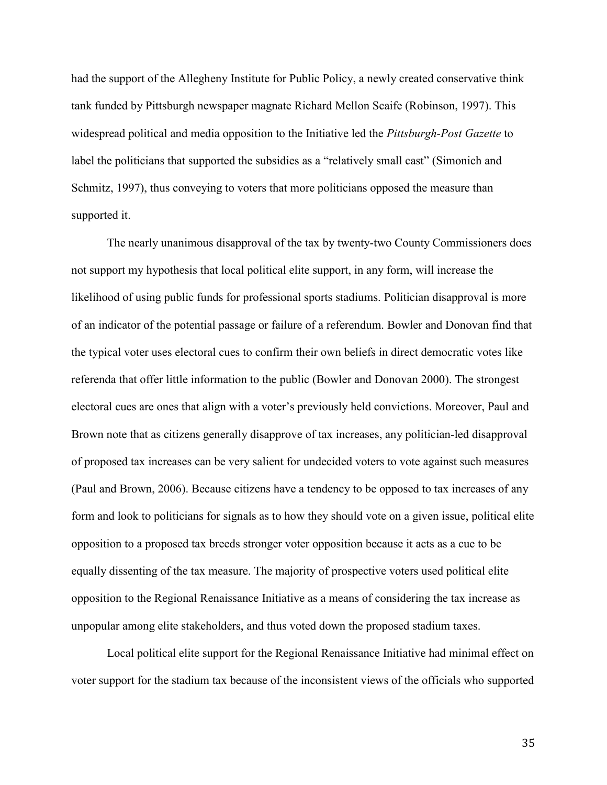had the support of the Allegheny Institute for Public Policy, a newly created conservative think tank funded by Pittsburgh newspaper magnate Richard Mellon Scaife (Robinson, 1997). This widespread political and media opposition to the Initiative led the *Pittsburgh-Post Gazette* to label the politicians that supported the subsidies as a "relatively small cast" (Simonich and Schmitz, 1997), thus conveying to voters that more politicians opposed the measure than supported it.

The nearly unanimous disapproval of the tax by twenty-two County Commissioners does not support my hypothesis that local political elite support, in any form, will increase the likelihood of using public funds for professional sports stadiums. Politician disapproval is more of an indicator of the potential passage or failure of a referendum. Bowler and Donovan find that the typical voter uses electoral cues to confirm their own beliefs in direct democratic votes like referenda that offer little information to the public (Bowler and Donovan 2000). The strongest electoral cues are ones that align with a voter's previously held convictions. Moreover, Paul and Brown note that as citizens generally disapprove of tax increases, any politician-led disapproval of proposed tax increases can be very salient for undecided voters to vote against such measures (Paul and Brown, 2006). Because citizens have a tendency to be opposed to tax increases of any form and look to politicians for signals as to how they should vote on a given issue, political elite opposition to a proposed tax breeds stronger voter opposition because it acts as a cue to be equally dissenting of the tax measure. The majority of prospective voters used political elite opposition to the Regional Renaissance Initiative as a means of considering the tax increase as unpopular among elite stakeholders, and thus voted down the proposed stadium taxes.

Local political elite support for the Regional Renaissance Initiative had minimal effect on voter support for the stadium tax because of the inconsistent views of the officials who supported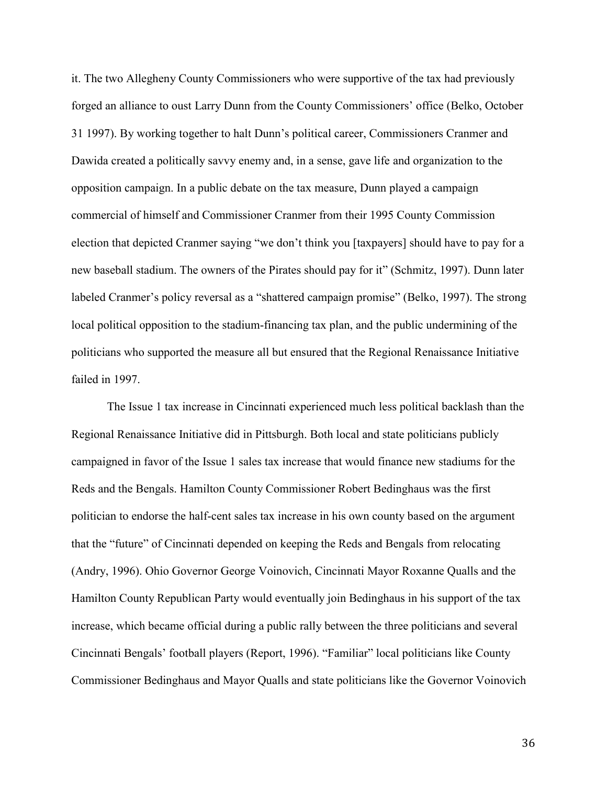it. The two Allegheny County Commissioners who were supportive of the tax had previously forged an alliance to oust Larry Dunn from the County Commissioners' office (Belko, October 31 1997). By working together to halt Dunn's political career, Commissioners Cranmer and Dawida created a politically savvy enemy and, in a sense, gave life and organization to the opposition campaign. In a public debate on the tax measure, Dunn played a campaign commercial of himself and Commissioner Cranmer from their 1995 County Commission election that depicted Cranmer saying "we don't think you [taxpayers] should have to pay for a new baseball stadium. The owners of the Pirates should pay for it" (Schmitz, 1997). Dunn later labeled Cranmer's policy reversal as a "shattered campaign promise" (Belko, 1997). The strong local political opposition to the stadium-financing tax plan, and the public undermining of the politicians who supported the measure all but ensured that the Regional Renaissance Initiative failed in 1997.

The Issue 1 tax increase in Cincinnati experienced much less political backlash than the Regional Renaissance Initiative did in Pittsburgh. Both local and state politicians publicly campaigned in favor of the Issue 1 sales tax increase that would finance new stadiums for the Reds and the Bengals. Hamilton County Commissioner Robert Bedinghaus was the first politician to endorse the half-cent sales tax increase in his own county based on the argument that the "future" of Cincinnati depended on keeping the Reds and Bengals from relocating (Andry, 1996). Ohio Governor George Voinovich, Cincinnati Mayor Roxanne Qualls and the Hamilton County Republican Party would eventually join Bedinghaus in his support of the tax increase, which became official during a public rally between the three politicians and several Cincinnati Bengals' football players (Report, 1996). "Familiar" local politicians like County Commissioner Bedinghaus and Mayor Qualls and state politicians like the Governor Voinovich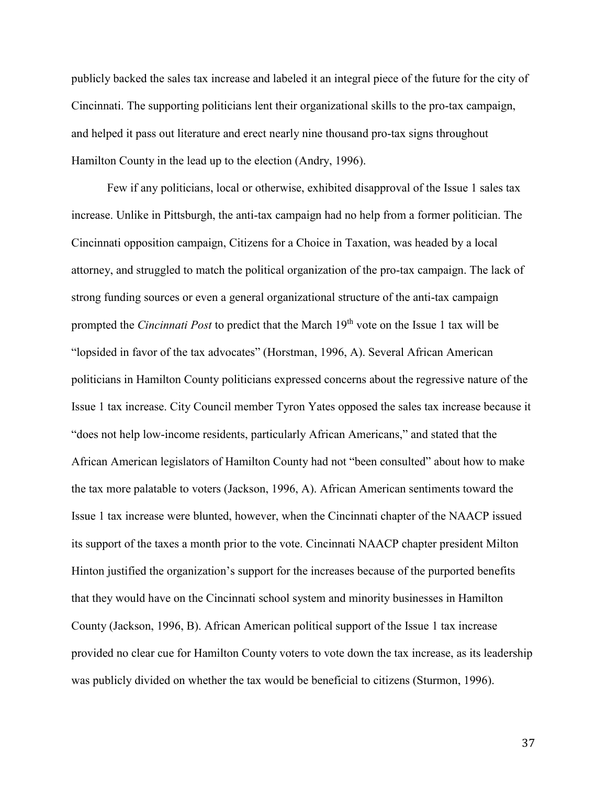publicly backed the sales tax increase and labeled it an integral piece of the future for the city of Cincinnati. The supporting politicians lent their organizational skills to the pro-tax campaign, and helped it pass out literature and erect nearly nine thousand pro-tax signs throughout Hamilton County in the lead up to the election (Andry, 1996).

Few if any politicians, local or otherwise, exhibited disapproval of the Issue 1 sales tax increase. Unlike in Pittsburgh, the anti-tax campaign had no help from a former politician. The Cincinnati opposition campaign, Citizens for a Choice in Taxation, was headed by a local attorney, and struggled to match the political organization of the pro-tax campaign. The lack of strong funding sources or even a general organizational structure of the anti-tax campaign prompted the *Cincinnati Post* to predict that the March 19th vote on the Issue 1 tax will be "lopsided in favor of the tax advocates" (Horstman, 1996, A). Several African American politicians in Hamilton County politicians expressed concerns about the regressive nature of the Issue 1 tax increase. City Council member Tyron Yates opposed the sales tax increase because it "does not help low-income residents, particularly African Americans," and stated that the African American legislators of Hamilton County had not "been consulted" about how to make the tax more palatable to voters (Jackson, 1996, A). African American sentiments toward the Issue 1 tax increase were blunted, however, when the Cincinnati chapter of the NAACP issued its support of the taxes a month prior to the vote. Cincinnati NAACP chapter president Milton Hinton justified the organization's support for the increases because of the purported benefits that they would have on the Cincinnati school system and minority businesses in Hamilton County (Jackson, 1996, B). African American political support of the Issue 1 tax increase provided no clear cue for Hamilton County voters to vote down the tax increase, as its leadership was publicly divided on whether the tax would be beneficial to citizens (Sturmon, 1996).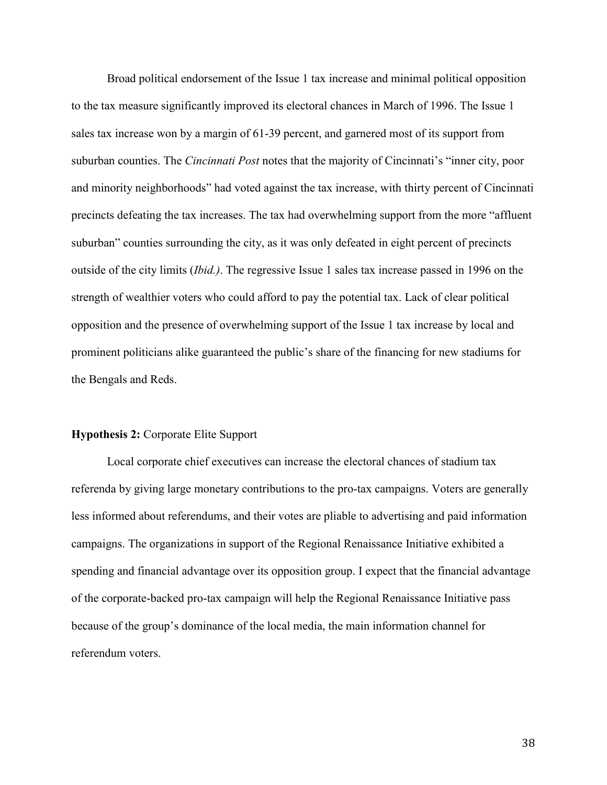Broad political endorsement of the Issue 1 tax increase and minimal political opposition to the tax measure significantly improved its electoral chances in March of 1996. The Issue 1 sales tax increase won by a margin of 61-39 percent, and garnered most of its support from suburban counties. The *Cincinnati Post* notes that the majority of Cincinnati's "inner city, poor and minority neighborhoods" had voted against the tax increase, with thirty percent of Cincinnati precincts defeating the tax increases. The tax had overwhelming support from the more "affluent suburban" counties surrounding the city, as it was only defeated in eight percent of precincts outside of the city limits (*Ibid.)*. The regressive Issue 1 sales tax increase passed in 1996 on the strength of wealthier voters who could afford to pay the potential tax. Lack of clear political opposition and the presence of overwhelming support of the Issue 1 tax increase by local and prominent politicians alike guaranteed the public's share of the financing for new stadiums for the Bengals and Reds.

#### Hypothesis 2: Corporate Elite Support

Local corporate chief executives can increase the electoral chances of stadium tax referenda by giving large monetary contributions to the pro-tax campaigns. Voters are generally less informed about referendums, and their votes are pliable to advertising and paid information campaigns. The organizations in support of the Regional Renaissance Initiative exhibited a spending and financial advantage over its opposition group. I expect that the financial advantage of the corporate-backed pro-tax campaign will help the Regional Renaissance Initiative pass because of the group's dominance of the local media, the main information channel for referendum voters.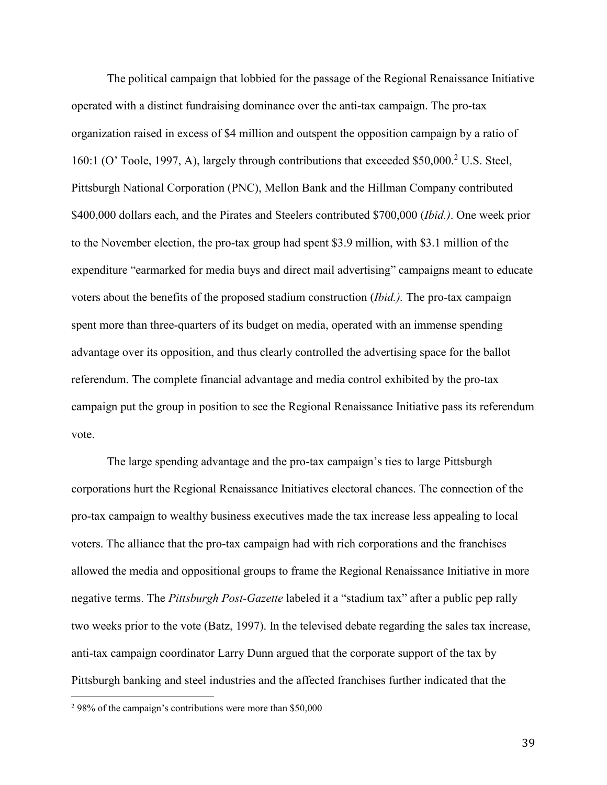The political campaign that lobbied for the passage of the Regional Renaissance Initiative operated with a distinct fundraising dominance over the anti-tax campaign. The pro-tax organization raised in excess of \$4 million and outspent the opposition campaign by a ratio of 160:1 (O' Toole, 1997, A), largely through contributions that exceeded \$50,000.<sup>2</sup> U.S. Steel, Pittsburgh National Corporation (PNC), Mellon Bank and the Hillman Company contributed \$400,000 dollars each, and the Pirates and Steelers contributed \$700,000 (*Ibid.)*. One week prior to the November election, the pro-tax group had spent \$3.9 million, with \$3.1 million of the expenditure "earmarked for media buys and direct mail advertising" campaigns meant to educate voters about the benefits of the proposed stadium construction (*Ibid.).* The pro-tax campaign spent more than three-quarters of its budget on media, operated with an immense spending advantage over its opposition, and thus clearly controlled the advertising space for the ballot referendum. The complete financial advantage and media control exhibited by the pro-tax campaign put the group in position to see the Regional Renaissance Initiative pass its referendum vote.

The large spending advantage and the pro-tax campaign's ties to large Pittsburgh corporations hurt the Regional Renaissance Initiatives electoral chances. The connection of the pro-tax campaign to wealthy business executives made the tax increase less appealing to local voters. The alliance that the pro-tax campaign had with rich corporations and the franchises allowed the media and oppositional groups to frame the Regional Renaissance Initiative in more negative terms. The *Pittsburgh Post-Gazette* labeled it a "stadium tax" after a public pep rally two weeks prior to the vote (Batz, 1997). In the televised debate regarding the sales tax increase, anti-tax campaign coordinator Larry Dunn argued that the corporate support of the tax by Pittsburgh banking and steel industries and the affected franchises further indicated that the

 $\overline{a}$ 

<sup>2</sup> 98% of the campaign's contributions were more than \$50,000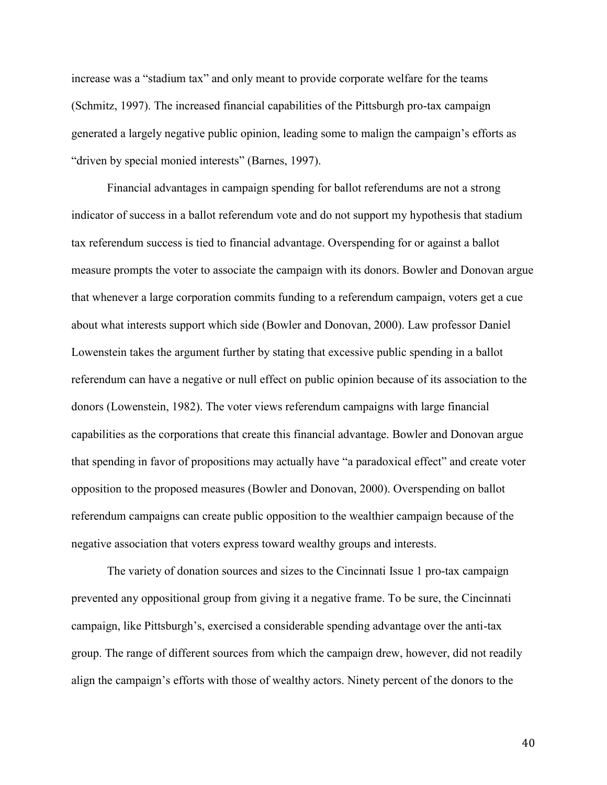increase was a "stadium tax" and only meant to provide corporate welfare for the teams (Schmitz, 1997). The increased financial capabilities of the Pittsburgh pro-tax campaign generated a largely negative public opinion, leading some to malign the campaign's efforts as "driven by special monied interests" (Barnes, 1997).

Financial advantages in campaign spending for ballot referendums are not a strong indicator of success in a ballot referendum vote and do not support my hypothesis that stadium tax referendum success is tied to financial advantage. Overspending for or against a ballot measure prompts the voter to associate the campaign with its donors. Bowler and Donovan argue that whenever a large corporation commits funding to a referendum campaign, voters get a cue about what interests support which side (Bowler and Donovan, 2000). Law professor Daniel Lowenstein takes the argument further by stating that excessive public spending in a ballot referendum can have a negative or null effect on public opinion because of its association to the donors (Lowenstein, 1982). The voter views referendum campaigns with large financial capabilities as the corporations that create this financial advantage. Bowler and Donovan argue that spending in favor of propositions may actually have "a paradoxical effect" and create voter opposition to the proposed measures (Bowler and Donovan, 2000). Overspending on ballot referendum campaigns can create public opposition to the wealthier campaign because of the negative association that voters express toward wealthy groups and interests.

The variety of donation sources and sizes to the Cincinnati Issue 1 pro-tax campaign prevented any oppositional group from giving it a negative frame. To be sure, the Cincinnati campaign, like Pittsburgh's, exercised a considerable spending advantage over the anti-tax group. The range of different sources from which the campaign drew, however, did not readily align the campaign's efforts with those of wealthy actors. Ninety percent of the donors to the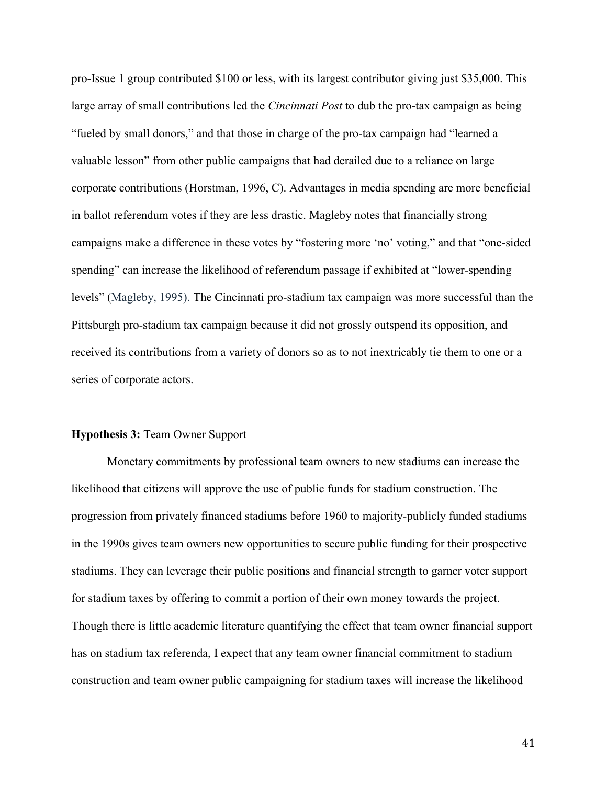pro-Issue 1 group contributed \$100 or less, with its largest contributor giving just \$35,000. This large array of small contributions led the *Cincinnati Post* to dub the pro-tax campaign as being "fueled by small donors," and that those in charge of the pro-tax campaign had "learned a valuable lesson" from other public campaigns that had derailed due to a reliance on large corporate contributions (Horstman, 1996, C). Advantages in media spending are more beneficial in ballot referendum votes if they are less drastic. Magleby notes that financially strong campaigns make a difference in these votes by "fostering more 'no' voting," and that "one-sided spending" can increase the likelihood of referendum passage if exhibited at "lower-spending levels" (Magleby, 1995). The Cincinnati pro-stadium tax campaign was more successful than the Pittsburgh pro-stadium tax campaign because it did not grossly outspend its opposition, and received its contributions from a variety of donors so as to not inextricably tie them to one or a series of corporate actors.

#### Hypothesis 3: Team Owner Support

Monetary commitments by professional team owners to new stadiums can increase the likelihood that citizens will approve the use of public funds for stadium construction. The progression from privately financed stadiums before 1960 to majority-publicly funded stadiums in the 1990s gives team owners new opportunities to secure public funding for their prospective stadiums. They can leverage their public positions and financial strength to garner voter support for stadium taxes by offering to commit a portion of their own money towards the project. Though there is little academic literature quantifying the effect that team owner financial support has on stadium tax referenda, I expect that any team owner financial commitment to stadium construction and team owner public campaigning for stadium taxes will increase the likelihood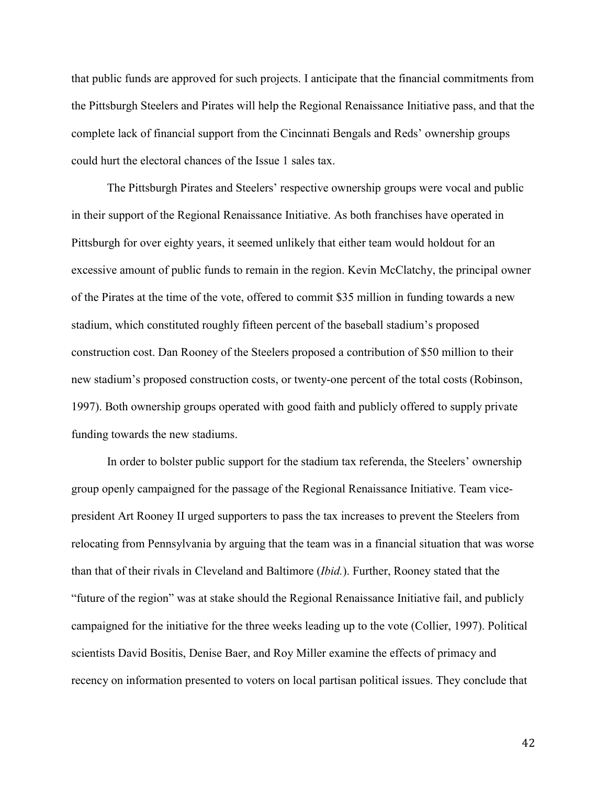that public funds are approved for such projects. I anticipate that the financial commitments from the Pittsburgh Steelers and Pirates will help the Regional Renaissance Initiative pass, and that the complete lack of financial support from the Cincinnati Bengals and Reds' ownership groups could hurt the electoral chances of the Issue 1 sales tax.

The Pittsburgh Pirates and Steelers' respective ownership groups were vocal and public in their support of the Regional Renaissance Initiative. As both franchises have operated in Pittsburgh for over eighty years, it seemed unlikely that either team would holdout for an excessive amount of public funds to remain in the region. Kevin McClatchy, the principal owner of the Pirates at the time of the vote, offered to commit \$35 million in funding towards a new stadium, which constituted roughly fifteen percent of the baseball stadium's proposed construction cost. Dan Rooney of the Steelers proposed a contribution of \$50 million to their new stadium's proposed construction costs, or twenty-one percent of the total costs (Robinson, 1997). Both ownership groups operated with good faith and publicly offered to supply private funding towards the new stadiums.

In order to bolster public support for the stadium tax referenda, the Steelers' ownership group openly campaigned for the passage of the Regional Renaissance Initiative. Team vicepresident Art Rooney II urged supporters to pass the tax increases to prevent the Steelers from relocating from Pennsylvania by arguing that the team was in a financial situation that was worse than that of their rivals in Cleveland and Baltimore (*Ibid.*). Further, Rooney stated that the "future of the region" was at stake should the Regional Renaissance Initiative fail, and publicly campaigned for the initiative for the three weeks leading up to the vote (Collier, 1997). Political scientists David Bositis, Denise Baer, and Roy Miller examine the effects of primacy and recency on information presented to voters on local partisan political issues. They conclude that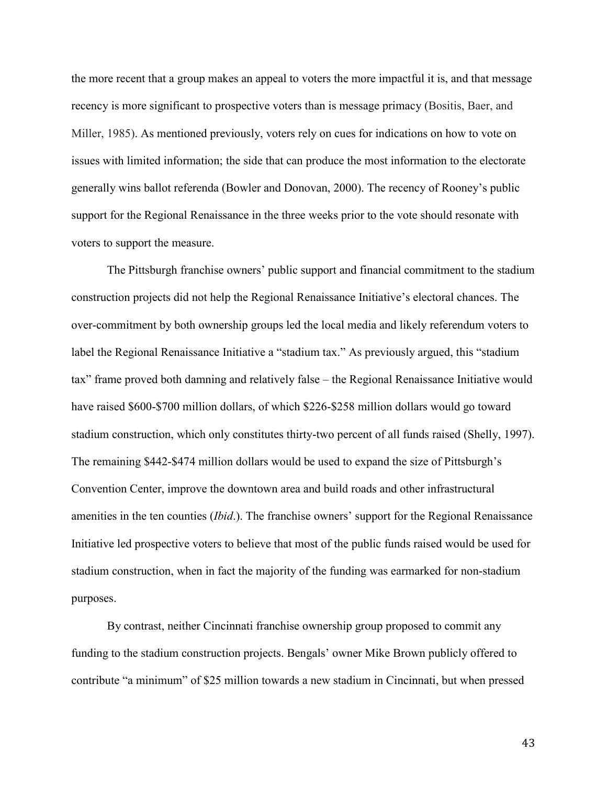the more recent that a group makes an appeal to voters the more impactful it is, and that message recency is more significant to prospective voters than is message primacy (Bositis, Baer, and Miller, 1985). As mentioned previously, voters rely on cues for indications on how to vote on issues with limited information; the side that can produce the most information to the electorate generally wins ballot referenda (Bowler and Donovan, 2000). The recency of Rooney's public support for the Regional Renaissance in the three weeks prior to the vote should resonate with voters to support the measure.

The Pittsburgh franchise owners' public support and financial commitment to the stadium construction projects did not help the Regional Renaissance Initiative's electoral chances. The over-commitment by both ownership groups led the local media and likely referendum voters to label the Regional Renaissance Initiative a "stadium tax." As previously argued, this "stadium tax" frame proved both damning and relatively false – the Regional Renaissance Initiative would have raised \$600-\$700 million dollars, of which \$226-\$258 million dollars would go toward stadium construction, which only constitutes thirty-two percent of all funds raised (Shelly, 1997). The remaining \$442-\$474 million dollars would be used to expand the size of Pittsburgh's Convention Center, improve the downtown area and build roads and other infrastructural amenities in the ten counties (*Ibid*.). The franchise owners' support for the Regional Renaissance Initiative led prospective voters to believe that most of the public funds raised would be used for stadium construction, when in fact the majority of the funding was earmarked for non-stadium purposes.

By contrast, neither Cincinnati franchise ownership group proposed to commit any funding to the stadium construction projects. Bengals' owner Mike Brown publicly offered to contribute "a minimum" of \$25 million towards a new stadium in Cincinnati, but when pressed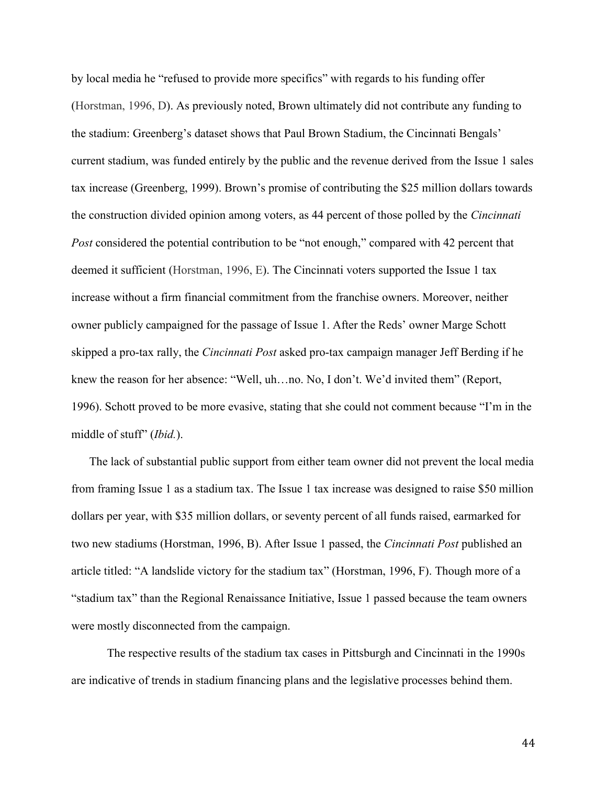by local media he "refused to provide more specifics" with regards to his funding offer (Horstman, 1996, D). As previously noted, Brown ultimately did not contribute any funding to the stadium: Greenberg's dataset shows that Paul Brown Stadium, the Cincinnati Bengals' current stadium, was funded entirely by the public and the revenue derived from the Issue 1 sales tax increase (Greenberg, 1999). Brown's promise of contributing the \$25 million dollars towards the construction divided opinion among voters, as 44 percent of those polled by the *Cincinnati Post* considered the potential contribution to be "not enough," compared with 42 percent that deemed it sufficient (Horstman, 1996, E). The Cincinnati voters supported the Issue 1 tax increase without a firm financial commitment from the franchise owners. Moreover, neither owner publicly campaigned for the passage of Issue 1. After the Reds' owner Marge Schott skipped a pro-tax rally, the *Cincinnati Post* asked pro-tax campaign manager Jeff Berding if he knew the reason for her absence: "Well, uh…no. No, I don't. We'd invited them" (Report, 1996). Schott proved to be more evasive, stating that she could not comment because "I'm in the middle of stuff" (*Ibid.*).

The lack of substantial public support from either team owner did not prevent the local media from framing Issue 1 as a stadium tax. The Issue 1 tax increase was designed to raise \$50 million dollars per year, with \$35 million dollars, or seventy percent of all funds raised, earmarked for two new stadiums (Horstman, 1996, B). After Issue 1 passed, the *Cincinnati Post* published an article titled: "A landslide victory for the stadium tax" (Horstman, 1996, F). Though more of a "stadium tax" than the Regional Renaissance Initiative, Issue 1 passed because the team owners were mostly disconnected from the campaign.

The respective results of the stadium tax cases in Pittsburgh and Cincinnati in the 1990s are indicative of trends in stadium financing plans and the legislative processes behind them.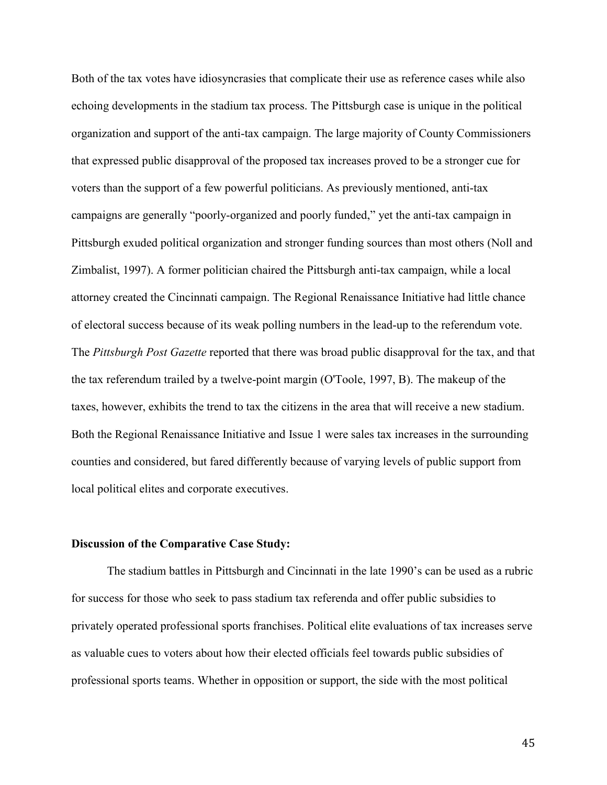Both of the tax votes have idiosyncrasies that complicate their use as reference cases while also echoing developments in the stadium tax process. The Pittsburgh case is unique in the political organization and support of the anti-tax campaign. The large majority of County Commissioners that expressed public disapproval of the proposed tax increases proved to be a stronger cue for voters than the support of a few powerful politicians. As previously mentioned, anti-tax campaigns are generally "poorly-organized and poorly funded," yet the anti-tax campaign in Pittsburgh exuded political organization and stronger funding sources than most others (Noll and Zimbalist, 1997). A former politician chaired the Pittsburgh anti-tax campaign, while a local attorney created the Cincinnati campaign. The Regional Renaissance Initiative had little chance of electoral success because of its weak polling numbers in the lead-up to the referendum vote. The *Pittsburgh Post Gazette* reported that there was broad public disapproval for the tax, and that the tax referendum trailed by a twelve-point margin (O'Toole, 1997, B). The makeup of the taxes, however, exhibits the trend to tax the citizens in the area that will receive a new stadium. Both the Regional Renaissance Initiative and Issue 1 were sales tax increases in the surrounding counties and considered, but fared differently because of varying levels of public support from local political elites and corporate executives.

# Discussion of the Comparative Case Study:

The stadium battles in Pittsburgh and Cincinnati in the late 1990's can be used as a rubric for success for those who seek to pass stadium tax referenda and offer public subsidies to privately operated professional sports franchises. Political elite evaluations of tax increases serve as valuable cues to voters about how their elected officials feel towards public subsidies of professional sports teams. Whether in opposition or support, the side with the most political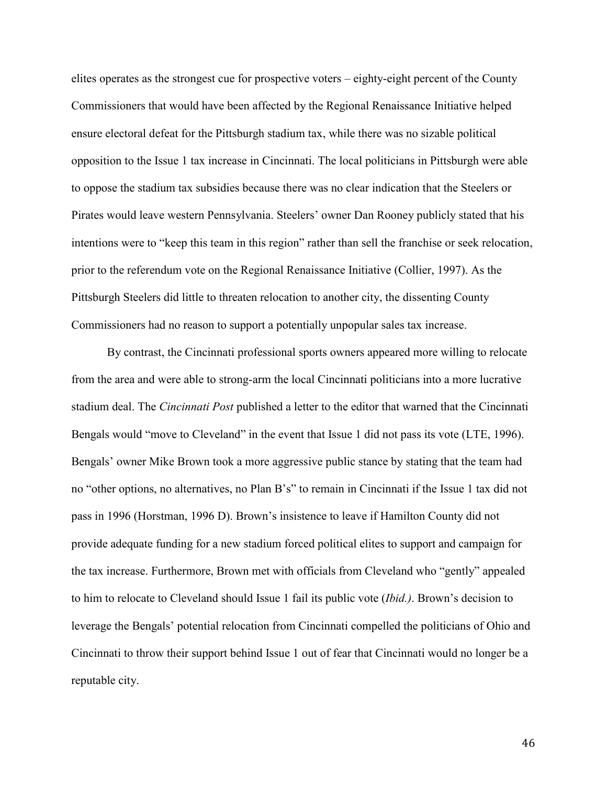elites operates as the strongest cue for prospective voters – eighty-eight percent of the County Commissioners that would have been affected by the Regional Renaissance Initiative helped ensure electoral defeat for the Pittsburgh stadium tax, while there was no sizable political opposition to the Issue 1 tax increase in Cincinnati. The local politicians in Pittsburgh were able to oppose the stadium tax subsidies because there was no clear indication that the Steelers or Pirates would leave western Pennsylvania. Steelers' owner Dan Rooney publicly stated that his intentions were to "keep this team in this region" rather than sell the franchise or seek relocation, prior to the referendum vote on the Regional Renaissance Initiative (Collier, 1997). As the Pittsburgh Steelers did little to threaten relocation to another city, the dissenting County Commissioners had no reason to support a potentially unpopular sales tax increase.

By contrast, the Cincinnati professional sports owners appeared more willing to relocate from the area and were able to strong-arm the local Cincinnati politicians into a more lucrative stadium deal. The *Cincinnati Post* published a letter to the editor that warned that the Cincinnati Bengals would "move to Cleveland" in the event that Issue 1 did not pass its vote (LTE, 1996). Bengals' owner Mike Brown took a more aggressive public stance by stating that the team had no "other options, no alternatives, no Plan B's" to remain in Cincinnati if the Issue 1 tax did not pass in 1996 (Horstman, 1996 D). Brown's insistence to leave if Hamilton County did not provide adequate funding for a new stadium forced political elites to support and campaign for the tax increase. Furthermore, Brown met with officials from Cleveland who "gently" appealed to him to relocate to Cleveland should Issue 1 fail its public vote (*Ibid.)*. Brown's decision to leverage the Bengals' potential relocation from Cincinnati compelled the politicians of Ohio and Cincinnati to throw their support behind Issue 1 out of fear that Cincinnati would no longer be a reputable city.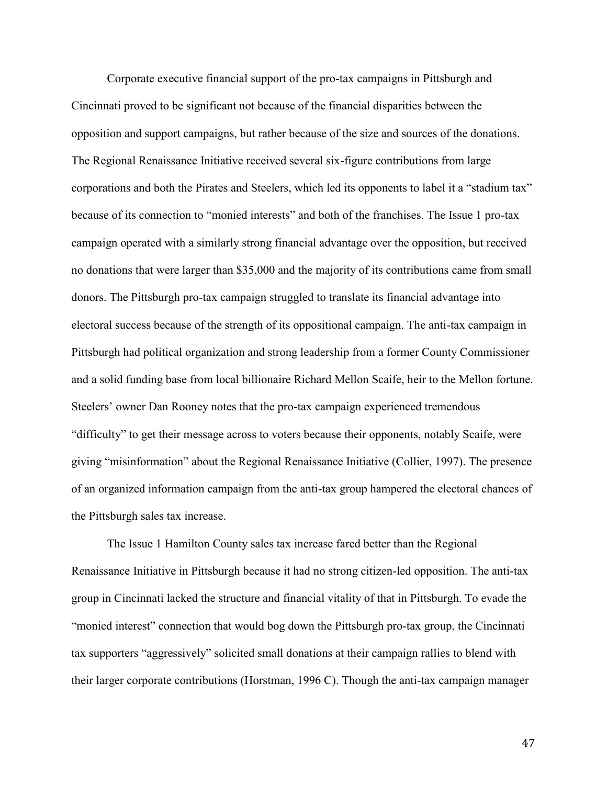Corporate executive financial support of the pro-tax campaigns in Pittsburgh and Cincinnati proved to be significant not because of the financial disparities between the opposition and support campaigns, but rather because of the size and sources of the donations. The Regional Renaissance Initiative received several six-figure contributions from large corporations and both the Pirates and Steelers, which led its opponents to label it a "stadium tax" because of its connection to "monied interests" and both of the franchises. The Issue 1 pro-tax campaign operated with a similarly strong financial advantage over the opposition, but received no donations that were larger than \$35,000 and the majority of its contributions came from small donors. The Pittsburgh pro-tax campaign struggled to translate its financial advantage into electoral success because of the strength of its oppositional campaign. The anti-tax campaign in Pittsburgh had political organization and strong leadership from a former County Commissioner and a solid funding base from local billionaire Richard Mellon Scaife, heir to the Mellon fortune. Steelers' owner Dan Rooney notes that the pro-tax campaign experienced tremendous "difficulty" to get their message across to voters because their opponents, notably Scaife, were giving "misinformation" about the Regional Renaissance Initiative (Collier, 1997). The presence of an organized information campaign from the anti-tax group hampered the electoral chances of the Pittsburgh sales tax increase.

The Issue 1 Hamilton County sales tax increase fared better than the Regional Renaissance Initiative in Pittsburgh because it had no strong citizen-led opposition. The anti-tax group in Cincinnati lacked the structure and financial vitality of that in Pittsburgh. To evade the "monied interest" connection that would bog down the Pittsburgh pro-tax group, the Cincinnati tax supporters "aggressively" solicited small donations at their campaign rallies to blend with their larger corporate contributions (Horstman, 1996 C). Though the anti-tax campaign manager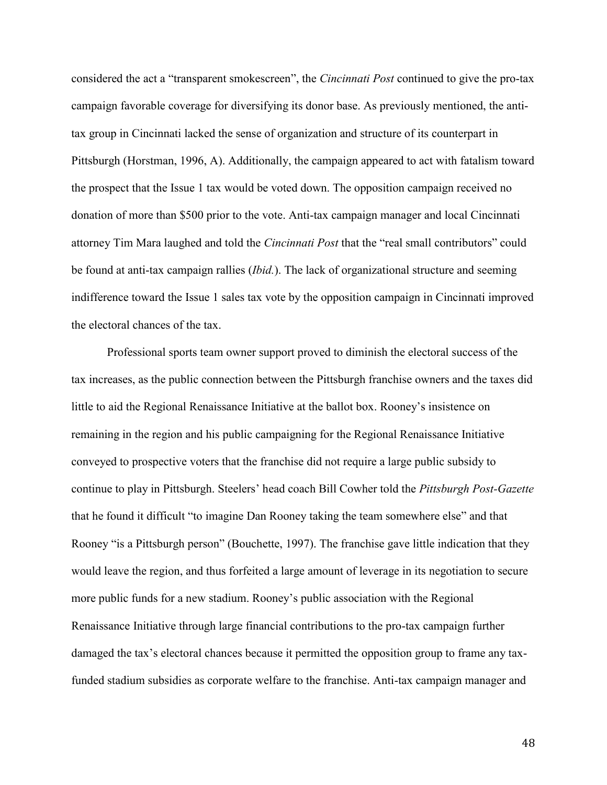considered the act a "transparent smokescreen", the *Cincinnati Post* continued to give the pro-tax campaign favorable coverage for diversifying its donor base. As previously mentioned, the antitax group in Cincinnati lacked the sense of organization and structure of its counterpart in Pittsburgh (Horstman, 1996, A). Additionally, the campaign appeared to act with fatalism toward the prospect that the Issue 1 tax would be voted down. The opposition campaign received no donation of more than \$500 prior to the vote. Anti-tax campaign manager and local Cincinnati attorney Tim Mara laughed and told the *Cincinnati Post* that the "real small contributors" could be found at anti-tax campaign rallies (*Ibid.*). The lack of organizational structure and seeming indifference toward the Issue 1 sales tax vote by the opposition campaign in Cincinnati improved the electoral chances of the tax.

Professional sports team owner support proved to diminish the electoral success of the tax increases, as the public connection between the Pittsburgh franchise owners and the taxes did little to aid the Regional Renaissance Initiative at the ballot box. Rooney's insistence on remaining in the region and his public campaigning for the Regional Renaissance Initiative conveyed to prospective voters that the franchise did not require a large public subsidy to continue to play in Pittsburgh. Steelers' head coach Bill Cowher told the *Pittsburgh Post-Gazette* that he found it difficult "to imagine Dan Rooney taking the team somewhere else" and that Rooney "is a Pittsburgh person" (Bouchette, 1997). The franchise gave little indication that they would leave the region, and thus forfeited a large amount of leverage in its negotiation to secure more public funds for a new stadium. Rooney's public association with the Regional Renaissance Initiative through large financial contributions to the pro-tax campaign further damaged the tax's electoral chances because it permitted the opposition group to frame any taxfunded stadium subsidies as corporate welfare to the franchise. Anti-tax campaign manager and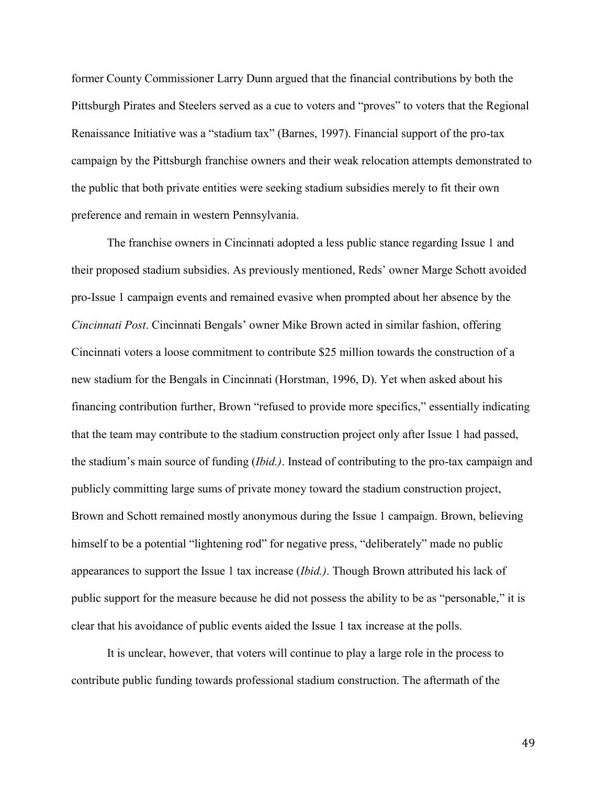former County Commissioner Larry Dunn argued that the financial contributions by both the Pittsburgh Pirates and Steelers served as a cue to voters and "proves" to voters that the Regional Renaissance Initiative was a "stadium tax" (Barnes, 1997). Financial support of the pro-tax campaign by the Pittsburgh franchise owners and their weak relocation attempts demonstrated to the public that both private entities were seeking stadium subsidies merely to fit their own preference and remain in western Pennsylvania.

The franchise owners in Cincinnati adopted a less public stance regarding Issue 1 and their proposed stadium subsidies. As previously mentioned, Reds' owner Marge Schott avoided pro-Issue 1 campaign events and remained evasive when prompted about her absence by the *Cincinnati Post*. Cincinnati Bengals' owner Mike Brown acted in similar fashion, offering Cincinnati voters a loose commitment to contribute \$25 million towards the construction of a new stadium for the Bengals in Cincinnati (Horstman, 1996, D). Yet when asked about his financing contribution further, Brown "refused to provide more specifics," essentially indicating that the team may contribute to the stadium construction project only after Issue 1 had passed, the stadium's main source of funding (*Ibid.)*. Instead of contributing to the pro-tax campaign and publicly committing large sums of private money toward the stadium construction project, Brown and Schott remained mostly anonymous during the Issue 1 campaign. Brown, believing himself to be a potential "lightening rod" for negative press, "deliberately" made no public appearances to support the Issue 1 tax increase (*Ibid.)*. Though Brown attributed his lack of public support for the measure because he did not possess the ability to be as "personable," it is clear that his avoidance of public events aided the Issue 1 tax increase at the polls.

It is unclear, however, that voters will continue to play a large role in the process to contribute public funding towards professional stadium construction. The aftermath of the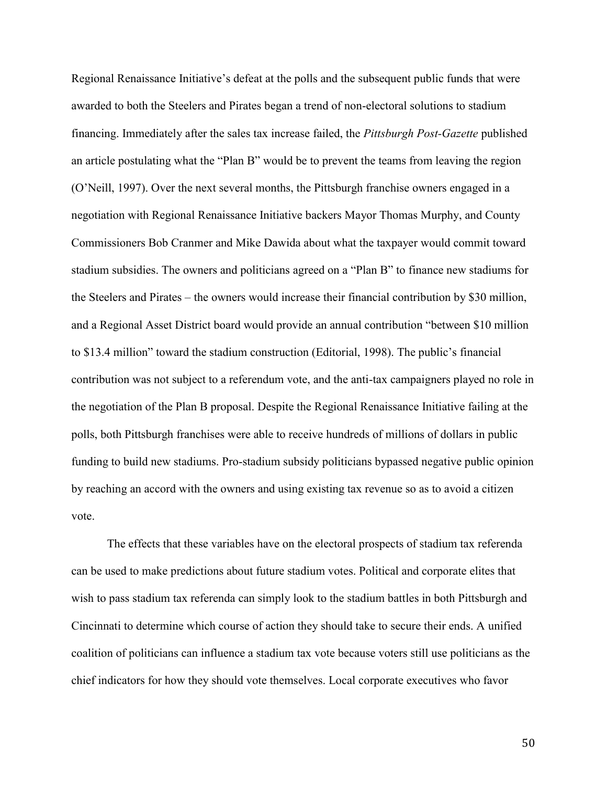Regional Renaissance Initiative's defeat at the polls and the subsequent public funds that were awarded to both the Steelers and Pirates began a trend of non-electoral solutions to stadium financing. Immediately after the sales tax increase failed, the *Pittsburgh Post-Gazette* published an article postulating what the "Plan B" would be to prevent the teams from leaving the region (O'Neill, 1997). Over the next several months, the Pittsburgh franchise owners engaged in a negotiation with Regional Renaissance Initiative backers Mayor Thomas Murphy, and County Commissioners Bob Cranmer and Mike Dawida about what the taxpayer would commit toward stadium subsidies. The owners and politicians agreed on a "Plan B" to finance new stadiums for the Steelers and Pirates – the owners would increase their financial contribution by \$30 million, and a Regional Asset District board would provide an annual contribution "between \$10 million to \$13.4 million" toward the stadium construction (Editorial, 1998). The public's financial contribution was not subject to a referendum vote, and the anti-tax campaigners played no role in the negotiation of the Plan B proposal. Despite the Regional Renaissance Initiative failing at the polls, both Pittsburgh franchises were able to receive hundreds of millions of dollars in public funding to build new stadiums. Pro-stadium subsidy politicians bypassed negative public opinion by reaching an accord with the owners and using existing tax revenue so as to avoid a citizen vote.

The effects that these variables have on the electoral prospects of stadium tax referenda can be used to make predictions about future stadium votes. Political and corporate elites that wish to pass stadium tax referenda can simply look to the stadium battles in both Pittsburgh and Cincinnati to determine which course of action they should take to secure their ends. A unified coalition of politicians can influence a stadium tax vote because voters still use politicians as the chief indicators for how they should vote themselves. Local corporate executives who favor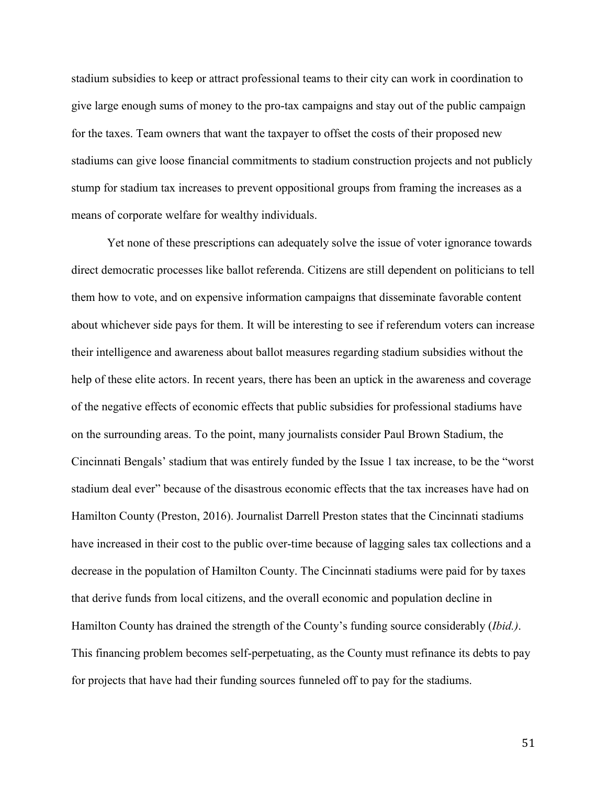stadium subsidies to keep or attract professional teams to their city can work in coordination to give large enough sums of money to the pro-tax campaigns and stay out of the public campaign for the taxes. Team owners that want the taxpayer to offset the costs of their proposed new stadiums can give loose financial commitments to stadium construction projects and not publicly stump for stadium tax increases to prevent oppositional groups from framing the increases as a means of corporate welfare for wealthy individuals.

Yet none of these prescriptions can adequately solve the issue of voter ignorance towards direct democratic processes like ballot referenda. Citizens are still dependent on politicians to tell them how to vote, and on expensive information campaigns that disseminate favorable content about whichever side pays for them. It will be interesting to see if referendum voters can increase their intelligence and awareness about ballot measures regarding stadium subsidies without the help of these elite actors. In recent years, there has been an uptick in the awareness and coverage of the negative effects of economic effects that public subsidies for professional stadiums have on the surrounding areas. To the point, many journalists consider Paul Brown Stadium, the Cincinnati Bengals' stadium that was entirely funded by the Issue 1 tax increase, to be the "worst stadium deal ever" because of the disastrous economic effects that the tax increases have had on Hamilton County (Preston, 2016). Journalist Darrell Preston states that the Cincinnati stadiums have increased in their cost to the public over-time because of lagging sales tax collections and a decrease in the population of Hamilton County. The Cincinnati stadiums were paid for by taxes that derive funds from local citizens, and the overall economic and population decline in Hamilton County has drained the strength of the County's funding source considerably (*Ibid.)*. This financing problem becomes self-perpetuating, as the County must refinance its debts to pay for projects that have had their funding sources funneled off to pay for the stadiums.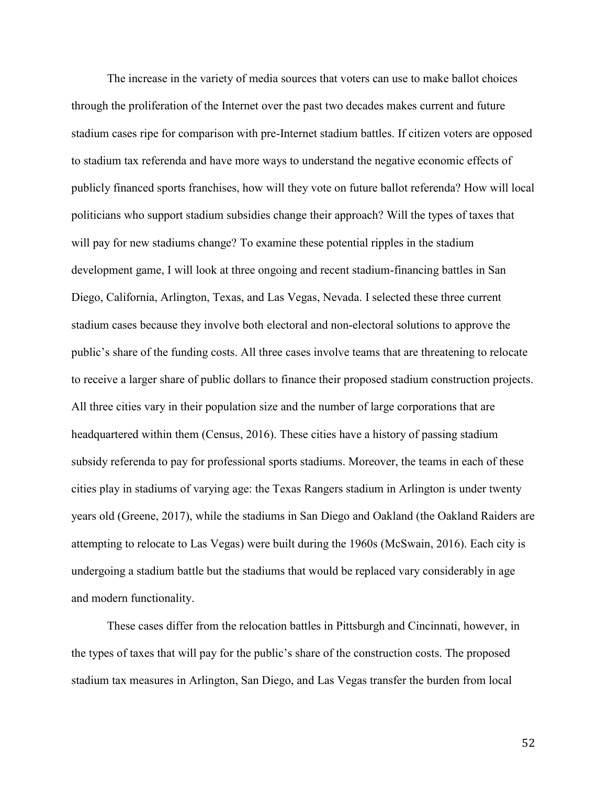The increase in the variety of media sources that voters can use to make ballot choices through the proliferation of the Internet over the past two decades makes current and future stadium cases ripe for comparison with pre-Internet stadium battles. If citizen voters are opposed to stadium tax referenda and have more ways to understand the negative economic effects of publicly financed sports franchises, how will they vote on future ballot referenda? How will local politicians who support stadium subsidies change their approach? Will the types of taxes that will pay for new stadiums change? To examine these potential ripples in the stadium development game, I will look at three ongoing and recent stadium-financing battles in San Diego, California, Arlington, Texas, and Las Vegas, Nevada. I selected these three current stadium cases because they involve both electoral and non-electoral solutions to approve the public's share of the funding costs. All three cases involve teams that are threatening to relocate to receive a larger share of public dollars to finance their proposed stadium construction projects. All three cities vary in their population size and the number of large corporations that are headquartered within them (Census, 2016). These cities have a history of passing stadium subsidy referenda to pay for professional sports stadiums. Moreover, the teams in each of these cities play in stadiums of varying age: the Texas Rangers stadium in Arlington is under twenty years old (Greene, 2017), while the stadiums in San Diego and Oakland (the Oakland Raiders are attempting to relocate to Las Vegas) were built during the 1960s (McSwain, 2016). Each city is undergoing a stadium battle but the stadiums that would be replaced vary considerably in age and modern functionality.

These cases differ from the relocation battles in Pittsburgh and Cincinnati, however, in the types of taxes that will pay for the public's share of the construction costs. The proposed stadium tax measures in Arlington, San Diego, and Las Vegas transfer the burden from local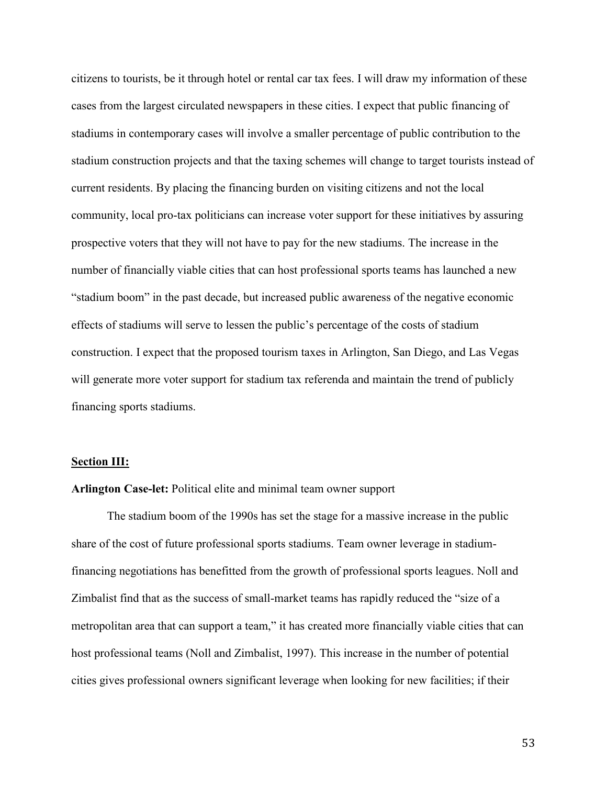citizens to tourists, be it through hotel or rental car tax fees. I will draw my information of these cases from the largest circulated newspapers in these cities. I expect that public financing of stadiums in contemporary cases will involve a smaller percentage of public contribution to the stadium construction projects and that the taxing schemes will change to target tourists instead of current residents. By placing the financing burden on visiting citizens and not the local community, local pro-tax politicians can increase voter support for these initiatives by assuring prospective voters that they will not have to pay for the new stadiums. The increase in the number of financially viable cities that can host professional sports teams has launched a new "stadium boom" in the past decade, but increased public awareness of the negative economic effects of stadiums will serve to lessen the public's percentage of the costs of stadium construction. I expect that the proposed tourism taxes in Arlington, San Diego, and Las Vegas will generate more voter support for stadium tax referenda and maintain the trend of publicly financing sports stadiums.

#### Section III:

## Arlington Case-let: Political elite and minimal team owner support

The stadium boom of the 1990s has set the stage for a massive increase in the public share of the cost of future professional sports stadiums. Team owner leverage in stadiumfinancing negotiations has benefitted from the growth of professional sports leagues. Noll and Zimbalist find that as the success of small-market teams has rapidly reduced the "size of a metropolitan area that can support a team," it has created more financially viable cities that can host professional teams (Noll and Zimbalist, 1997). This increase in the number of potential cities gives professional owners significant leverage when looking for new facilities; if their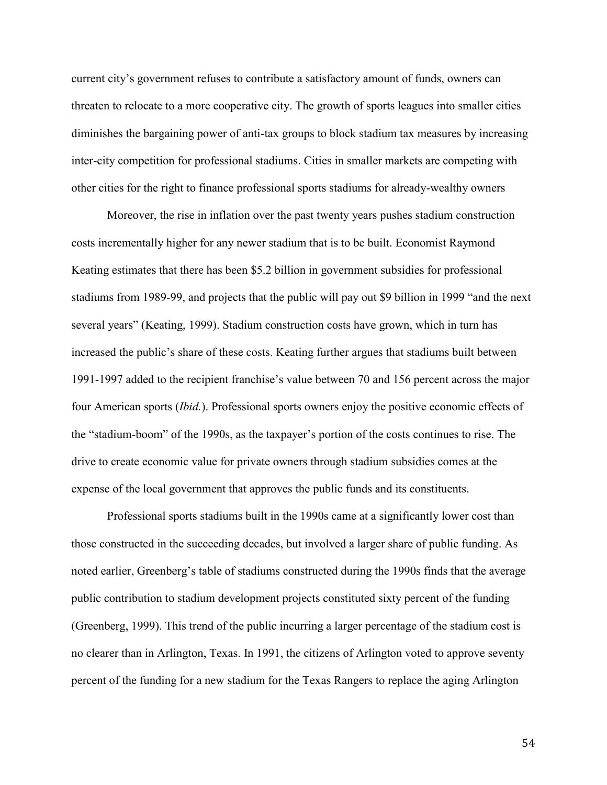current city's government refuses to contribute a satisfactory amount of funds, owners can threaten to relocate to a more cooperative city. The growth of sports leagues into smaller cities diminishes the bargaining power of anti-tax groups to block stadium tax measures by increasing inter-city competition for professional stadiums. Cities in smaller markets are competing with other cities for the right to finance professional sports stadiums for already-wealthy owners

Moreover, the rise in inflation over the past twenty years pushes stadium construction costs incrementally higher for any newer stadium that is to be built. Economist Raymond Keating estimates that there has been \$5.2 billion in government subsidies for professional stadiums from 1989-99, and projects that the public will pay out \$9 billion in 1999 "and the next several years" (Keating, 1999). Stadium construction costs have grown, which in turn has increased the public's share of these costs. Keating further argues that stadiums built between 1991-1997 added to the recipient franchise's value between 70 and 156 percent across the major four American sports (*Ibid.*). Professional sports owners enjoy the positive economic effects of the "stadium-boom" of the 1990s, as the taxpayer's portion of the costs continues to rise. The drive to create economic value for private owners through stadium subsidies comes at the expense of the local government that approves the public funds and its constituents.

Professional sports stadiums built in the 1990s came at a significantly lower cost than those constructed in the succeeding decades, but involved a larger share of public funding. As noted earlier, Greenberg's table of stadiums constructed during the 1990s finds that the average public contribution to stadium development projects constituted sixty percent of the funding (Greenberg, 1999). This trend of the public incurring a larger percentage of the stadium cost is no clearer than in Arlington, Texas. In 1991, the citizens of Arlington voted to approve seventy percent of the funding for a new stadium for the Texas Rangers to replace the aging Arlington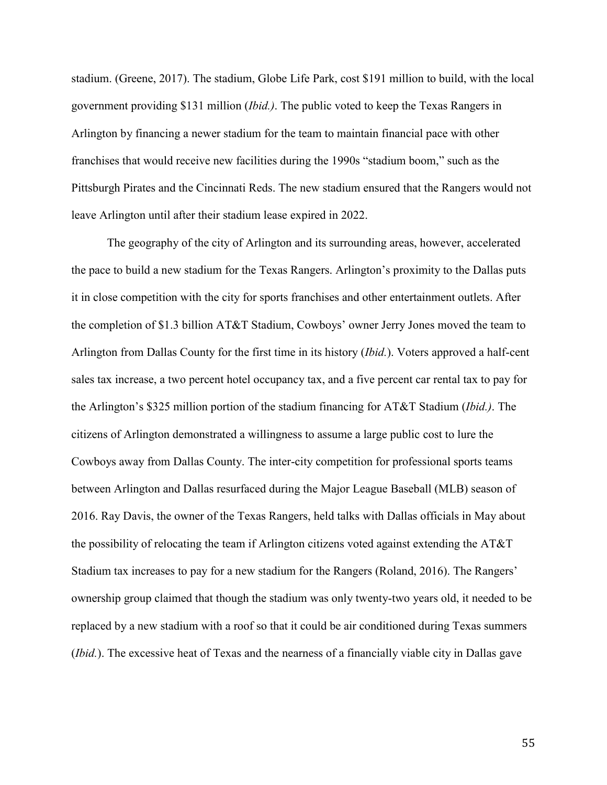stadium. (Greene, 2017). The stadium, Globe Life Park, cost \$191 million to build, with the local government providing \$131 million (*Ibid.)*. The public voted to keep the Texas Rangers in Arlington by financing a newer stadium for the team to maintain financial pace with other franchises that would receive new facilities during the 1990s "stadium boom," such as the Pittsburgh Pirates and the Cincinnati Reds. The new stadium ensured that the Rangers would not leave Arlington until after their stadium lease expired in 2022.

The geography of the city of Arlington and its surrounding areas, however, accelerated the pace to build a new stadium for the Texas Rangers. Arlington's proximity to the Dallas puts it in close competition with the city for sports franchises and other entertainment outlets. After the completion of \$1.3 billion AT&T Stadium, Cowboys' owner Jerry Jones moved the team to Arlington from Dallas County for the first time in its history (*Ibid.*). Voters approved a half-cent sales tax increase, a two percent hotel occupancy tax, and a five percent car rental tax to pay for the Arlington's \$325 million portion of the stadium financing for AT&T Stadium (*Ibid.)*. The citizens of Arlington demonstrated a willingness to assume a large public cost to lure the Cowboys away from Dallas County. The inter-city competition for professional sports teams between Arlington and Dallas resurfaced during the Major League Baseball (MLB) season of 2016. Ray Davis, the owner of the Texas Rangers, held talks with Dallas officials in May about the possibility of relocating the team if Arlington citizens voted against extending the AT&T Stadium tax increases to pay for a new stadium for the Rangers (Roland, 2016). The Rangers' ownership group claimed that though the stadium was only twenty-two years old, it needed to be replaced by a new stadium with a roof so that it could be air conditioned during Texas summers (*Ibid.*). The excessive heat of Texas and the nearness of a financially viable city in Dallas gave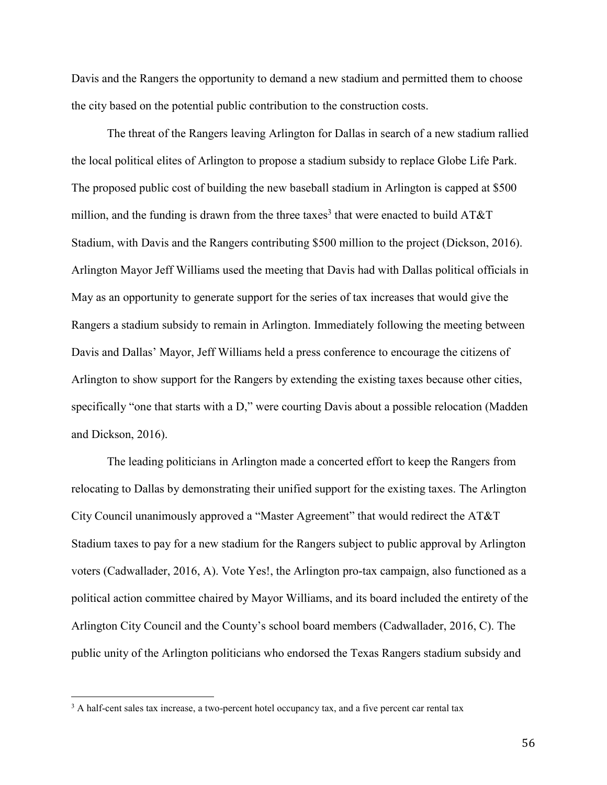Davis and the Rangers the opportunity to demand a new stadium and permitted them to choose the city based on the potential public contribution to the construction costs.

The threat of the Rangers leaving Arlington for Dallas in search of a new stadium rallied the local political elites of Arlington to propose a stadium subsidy to replace Globe Life Park. The proposed public cost of building the new baseball stadium in Arlington is capped at \$500 million, and the funding is drawn from the three taxes<sup>3</sup> that were enacted to build  $AT&T$ Stadium, with Davis and the Rangers contributing \$500 million to the project (Dickson, 2016). Arlington Mayor Jeff Williams used the meeting that Davis had with Dallas political officials in May as an opportunity to generate support for the series of tax increases that would give the Rangers a stadium subsidy to remain in Arlington. Immediately following the meeting between Davis and Dallas' Mayor, Jeff Williams held a press conference to encourage the citizens of Arlington to show support for the Rangers by extending the existing taxes because other cities, specifically "one that starts with a D," were courting Davis about a possible relocation (Madden and Dickson, 2016).

The leading politicians in Arlington made a concerted effort to keep the Rangers from relocating to Dallas by demonstrating their unified support for the existing taxes. The Arlington City Council unanimously approved a "Master Agreement" that would redirect the AT&T Stadium taxes to pay for a new stadium for the Rangers subject to public approval by Arlington voters (Cadwallader, 2016, A). Vote Yes!, the Arlington pro-tax campaign, also functioned as a political action committee chaired by Mayor Williams, and its board included the entirety of the Arlington City Council and the County's school board members (Cadwallader, 2016, C). The public unity of the Arlington politicians who endorsed the Texas Rangers stadium subsidy and

 $\overline{a}$ 

<sup>&</sup>lt;sup>3</sup> A half-cent sales tax increase, a two-percent hotel occupancy tax, and a five percent car rental tax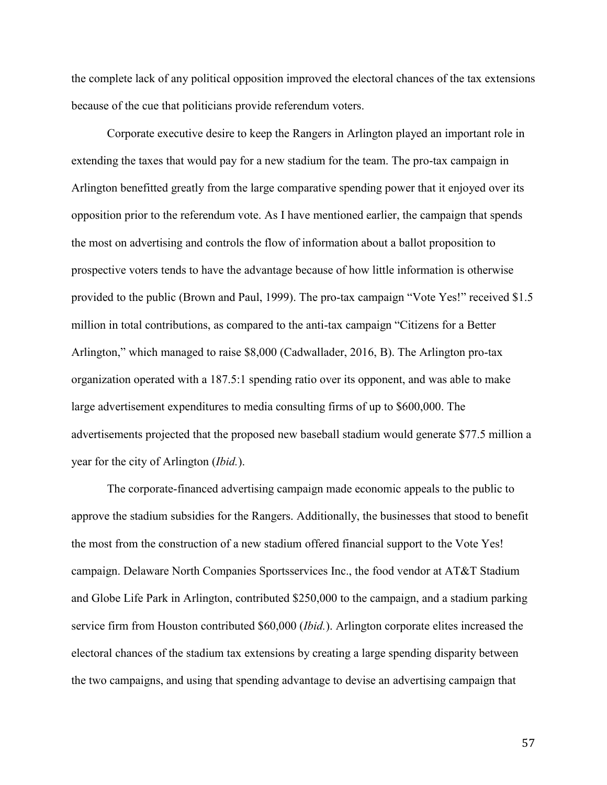the complete lack of any political opposition improved the electoral chances of the tax extensions because of the cue that politicians provide referendum voters.

Corporate executive desire to keep the Rangers in Arlington played an important role in extending the taxes that would pay for a new stadium for the team. The pro-tax campaign in Arlington benefitted greatly from the large comparative spending power that it enjoyed over its opposition prior to the referendum vote. As I have mentioned earlier, the campaign that spends the most on advertising and controls the flow of information about a ballot proposition to prospective voters tends to have the advantage because of how little information is otherwise provided to the public (Brown and Paul, 1999). The pro-tax campaign "Vote Yes!" received \$1.5 million in total contributions, as compared to the anti-tax campaign "Citizens for a Better Arlington," which managed to raise \$8,000 (Cadwallader, 2016, B). The Arlington pro-tax organization operated with a 187.5:1 spending ratio over its opponent, and was able to make large advertisement expenditures to media consulting firms of up to \$600,000. The advertisements projected that the proposed new baseball stadium would generate \$77.5 million a year for the city of Arlington (*Ibid.*).

The corporate-financed advertising campaign made economic appeals to the public to approve the stadium subsidies for the Rangers. Additionally, the businesses that stood to benefit the most from the construction of a new stadium offered financial support to the Vote Yes! campaign. Delaware North Companies Sportsservices Inc., the food vendor at AT&T Stadium and Globe Life Park in Arlington, contributed \$250,000 to the campaign, and a stadium parking service firm from Houston contributed \$60,000 (*Ibid.*). Arlington corporate elites increased the electoral chances of the stadium tax extensions by creating a large spending disparity between the two campaigns, and using that spending advantage to devise an advertising campaign that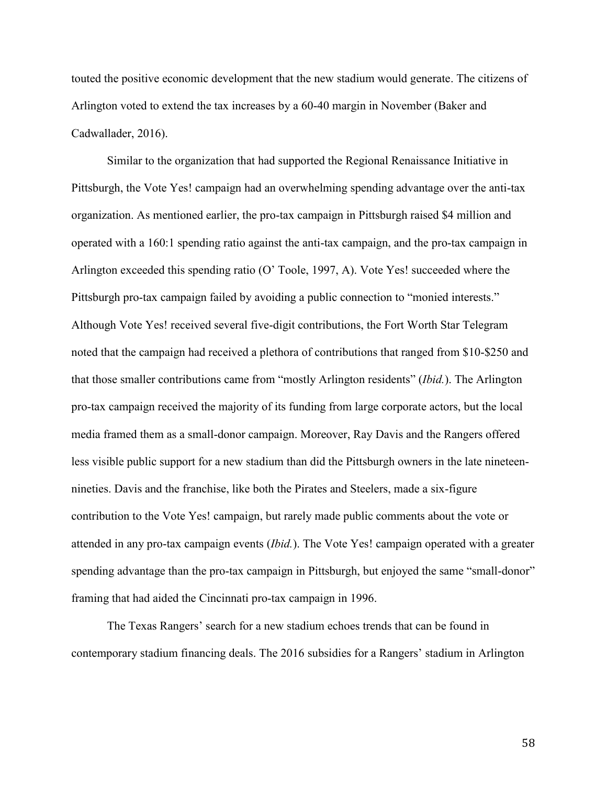touted the positive economic development that the new stadium would generate. The citizens of Arlington voted to extend the tax increases by a 60-40 margin in November (Baker and Cadwallader, 2016).

Similar to the organization that had supported the Regional Renaissance Initiative in Pittsburgh, the Vote Yes! campaign had an overwhelming spending advantage over the anti-tax organization. As mentioned earlier, the pro-tax campaign in Pittsburgh raised \$4 million and operated with a 160:1 spending ratio against the anti-tax campaign, and the pro-tax campaign in Arlington exceeded this spending ratio (O' Toole, 1997, A). Vote Yes! succeeded where the Pittsburgh pro-tax campaign failed by avoiding a public connection to "monied interests." Although Vote Yes! received several five-digit contributions, the Fort Worth Star Telegram noted that the campaign had received a plethora of contributions that ranged from \$10-\$250 and that those smaller contributions came from "mostly Arlington residents" (*Ibid.*). The Arlington pro-tax campaign received the majority of its funding from large corporate actors, but the local media framed them as a small-donor campaign. Moreover, Ray Davis and the Rangers offered less visible public support for a new stadium than did the Pittsburgh owners in the late nineteennineties. Davis and the franchise, like both the Pirates and Steelers, made a six-figure contribution to the Vote Yes! campaign, but rarely made public comments about the vote or attended in any pro-tax campaign events (*Ibid.*). The Vote Yes! campaign operated with a greater spending advantage than the pro-tax campaign in Pittsburgh, but enjoyed the same "small-donor" framing that had aided the Cincinnati pro-tax campaign in 1996.

The Texas Rangers' search for a new stadium echoes trends that can be found in contemporary stadium financing deals. The 2016 subsidies for a Rangers' stadium in Arlington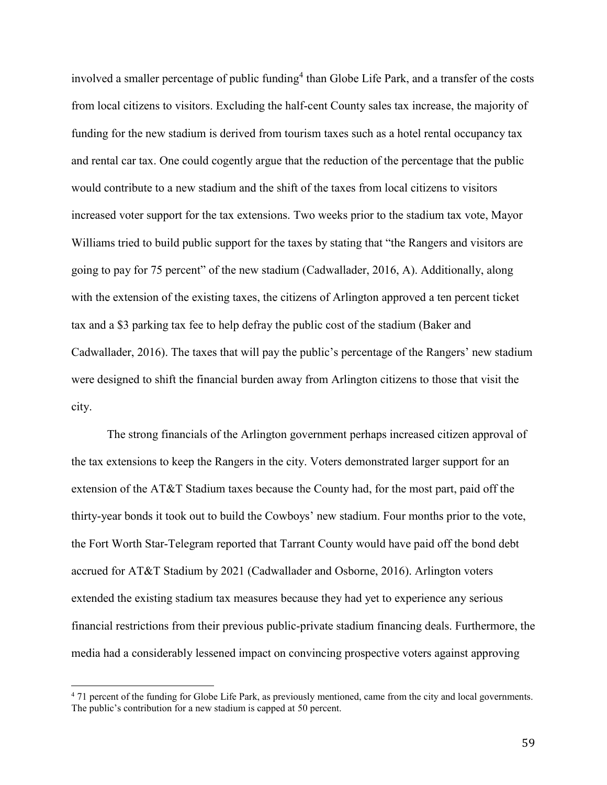involved a smaller percentage of public funding<sup>4</sup> than Globe Life Park, and a transfer of the costs from local citizens to visitors. Excluding the half-cent County sales tax increase, the majority of funding for the new stadium is derived from tourism taxes such as a hotel rental occupancy tax and rental car tax. One could cogently argue that the reduction of the percentage that the public would contribute to a new stadium and the shift of the taxes from local citizens to visitors increased voter support for the tax extensions. Two weeks prior to the stadium tax vote, Mayor Williams tried to build public support for the taxes by stating that "the Rangers and visitors are going to pay for 75 percent" of the new stadium (Cadwallader, 2016, A). Additionally, along with the extension of the existing taxes, the citizens of Arlington approved a ten percent ticket tax and a \$3 parking tax fee to help defray the public cost of the stadium (Baker and Cadwallader, 2016). The taxes that will pay the public's percentage of the Rangers' new stadium were designed to shift the financial burden away from Arlington citizens to those that visit the city.

The strong financials of the Arlington government perhaps increased citizen approval of the tax extensions to keep the Rangers in the city. Voters demonstrated larger support for an extension of the AT&T Stadium taxes because the County had, for the most part, paid off the thirty-year bonds it took out to build the Cowboys' new stadium. Four months prior to the vote, the Fort Worth Star-Telegram reported that Tarrant County would have paid off the bond debt accrued for AT&T Stadium by 2021 (Cadwallader and Osborne, 2016). Arlington voters extended the existing stadium tax measures because they had yet to experience any serious financial restrictions from their previous public-private stadium financing deals. Furthermore, the media had a considerably lessened impact on convincing prospective voters against approving

l

<sup>&</sup>lt;sup>4</sup> 71 percent of the funding for Globe Life Park, as previously mentioned, came from the city and local governments. The public's contribution for a new stadium is capped at 50 percent.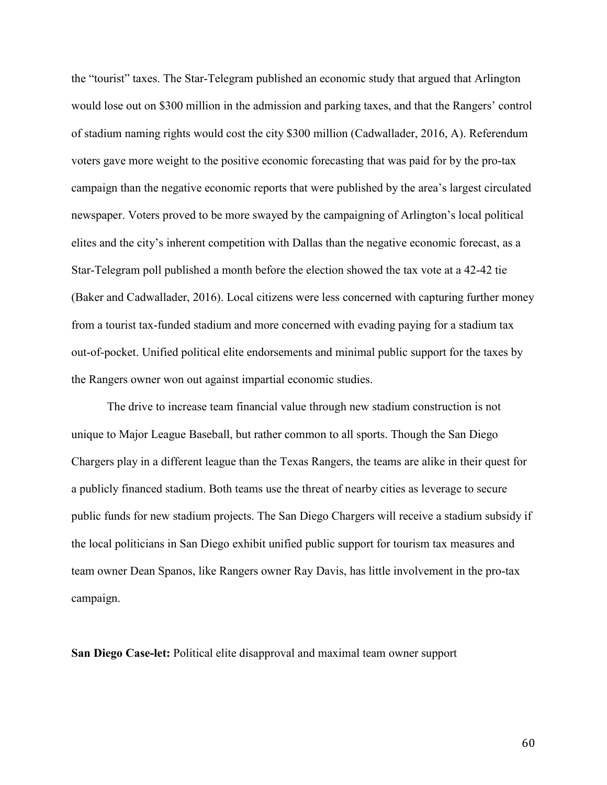the "tourist" taxes. The Star-Telegram published an economic study that argued that Arlington would lose out on \$300 million in the admission and parking taxes, and that the Rangers' control of stadium naming rights would cost the city \$300 million (Cadwallader, 2016, A). Referendum voters gave more weight to the positive economic forecasting that was paid for by the pro-tax campaign than the negative economic reports that were published by the area's largest circulated newspaper. Voters proved to be more swayed by the campaigning of Arlington's local political elites and the city's inherent competition with Dallas than the negative economic forecast, as a Star-Telegram poll published a month before the election showed the tax vote at a 42-42 tie (Baker and Cadwallader, 2016). Local citizens were less concerned with capturing further money from a tourist tax-funded stadium and more concerned with evading paying for a stadium tax out-of-pocket. Unified political elite endorsements and minimal public support for the taxes by the Rangers owner won out against impartial economic studies.

The drive to increase team financial value through new stadium construction is not unique to Major League Baseball, but rather common to all sports. Though the San Diego Chargers play in a different league than the Texas Rangers, the teams are alike in their quest for a publicly financed stadium. Both teams use the threat of nearby cities as leverage to secure public funds for new stadium projects. The San Diego Chargers will receive a stadium subsidy if the local politicians in San Diego exhibit unified public support for tourism tax measures and team owner Dean Spanos, like Rangers owner Ray Davis, has little involvement in the pro-tax campaign.

San Diego Case-let: Political elite disapproval and maximal team owner support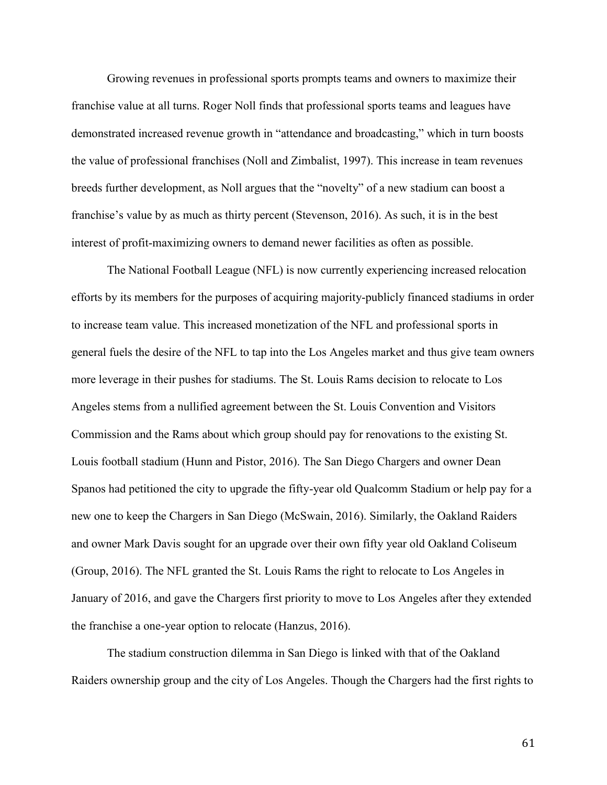Growing revenues in professional sports prompts teams and owners to maximize their franchise value at all turns. Roger Noll finds that professional sports teams and leagues have demonstrated increased revenue growth in "attendance and broadcasting," which in turn boosts the value of professional franchises (Noll and Zimbalist, 1997). This increase in team revenues breeds further development, as Noll argues that the "novelty" of a new stadium can boost a franchise's value by as much as thirty percent (Stevenson, 2016). As such, it is in the best interest of profit-maximizing owners to demand newer facilities as often as possible.

The National Football League (NFL) is now currently experiencing increased relocation efforts by its members for the purposes of acquiring majority-publicly financed stadiums in order to increase team value. This increased monetization of the NFL and professional sports in general fuels the desire of the NFL to tap into the Los Angeles market and thus give team owners more leverage in their pushes for stadiums. The St. Louis Rams decision to relocate to Los Angeles stems from a nullified agreement between the St. Louis Convention and Visitors Commission and the Rams about which group should pay for renovations to the existing St. Louis football stadium (Hunn and Pistor, 2016). The San Diego Chargers and owner Dean Spanos had petitioned the city to upgrade the fifty-year old Qualcomm Stadium or help pay for a new one to keep the Chargers in San Diego (McSwain, 2016). Similarly, the Oakland Raiders and owner Mark Davis sought for an upgrade over their own fifty year old Oakland Coliseum (Group, 2016). The NFL granted the St. Louis Rams the right to relocate to Los Angeles in January of 2016, and gave the Chargers first priority to move to Los Angeles after they extended the franchise a one-year option to relocate (Hanzus, 2016).

The stadium construction dilemma in San Diego is linked with that of the Oakland Raiders ownership group and the city of Los Angeles. Though the Chargers had the first rights to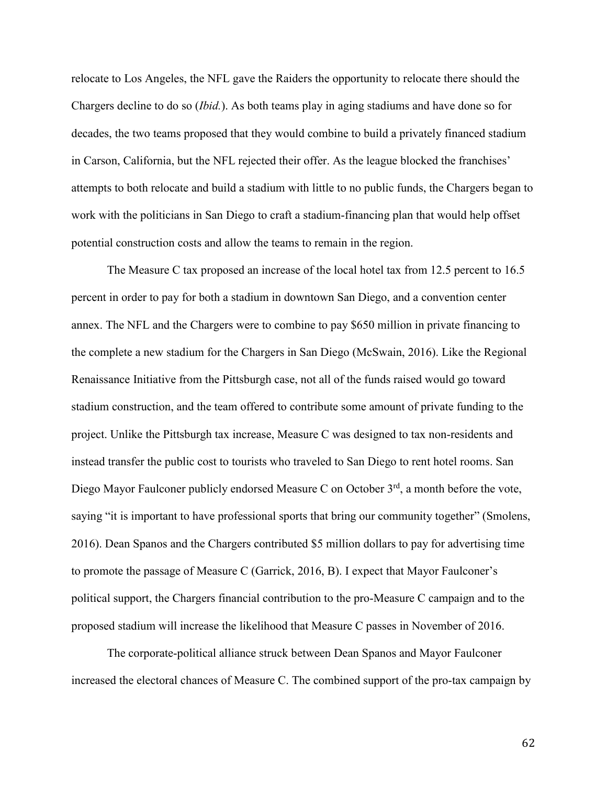relocate to Los Angeles, the NFL gave the Raiders the opportunity to relocate there should the Chargers decline to do so (*Ibid.*). As both teams play in aging stadiums and have done so for decades, the two teams proposed that they would combine to build a privately financed stadium in Carson, California, but the NFL rejected their offer. As the league blocked the franchises' attempts to both relocate and build a stadium with little to no public funds, the Chargers began to work with the politicians in San Diego to craft a stadium-financing plan that would help offset potential construction costs and allow the teams to remain in the region.

The Measure C tax proposed an increase of the local hotel tax from 12.5 percent to 16.5 percent in order to pay for both a stadium in downtown San Diego, and a convention center annex. The NFL and the Chargers were to combine to pay \$650 million in private financing to the complete a new stadium for the Chargers in San Diego (McSwain, 2016). Like the Regional Renaissance Initiative from the Pittsburgh case, not all of the funds raised would go toward stadium construction, and the team offered to contribute some amount of private funding to the project. Unlike the Pittsburgh tax increase, Measure C was designed to tax non-residents and instead transfer the public cost to tourists who traveled to San Diego to rent hotel rooms. San Diego Mayor Faulconer publicly endorsed Measure C on October 3<sup>rd</sup>, a month before the vote, saying "it is important to have professional sports that bring our community together" (Smolens, 2016). Dean Spanos and the Chargers contributed \$5 million dollars to pay for advertising time to promote the passage of Measure C (Garrick, 2016, B). I expect that Mayor Faulconer's political support, the Chargers financial contribution to the pro-Measure C campaign and to the proposed stadium will increase the likelihood that Measure C passes in November of 2016.

The corporate-political alliance struck between Dean Spanos and Mayor Faulconer increased the electoral chances of Measure C. The combined support of the pro-tax campaign by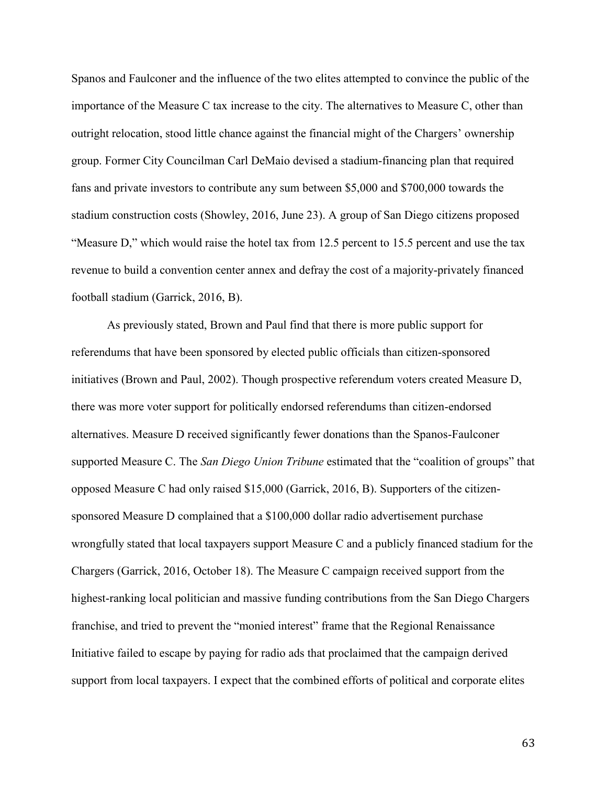Spanos and Faulconer and the influence of the two elites attempted to convince the public of the importance of the Measure C tax increase to the city. The alternatives to Measure C, other than outright relocation, stood little chance against the financial might of the Chargers' ownership group. Former City Councilman Carl DeMaio devised a stadium-financing plan that required fans and private investors to contribute any sum between \$5,000 and \$700,000 towards the stadium construction costs (Showley, 2016, June 23). A group of San Diego citizens proposed "Measure D," which would raise the hotel tax from 12.5 percent to 15.5 percent and use the tax revenue to build a convention center annex and defray the cost of a majority-privately financed football stadium (Garrick, 2016, B).

As previously stated, Brown and Paul find that there is more public support for referendums that have been sponsored by elected public officials than citizen-sponsored initiatives (Brown and Paul, 2002). Though prospective referendum voters created Measure D, there was more voter support for politically endorsed referendums than citizen-endorsed alternatives. Measure D received significantly fewer donations than the Spanos-Faulconer supported Measure C. The *San Diego Union Tribune* estimated that the "coalition of groups" that opposed Measure C had only raised \$15,000 (Garrick, 2016, B). Supporters of the citizensponsored Measure D complained that a \$100,000 dollar radio advertisement purchase wrongfully stated that local taxpayers support Measure C and a publicly financed stadium for the Chargers (Garrick, 2016, October 18). The Measure C campaign received support from the highest-ranking local politician and massive funding contributions from the San Diego Chargers franchise, and tried to prevent the "monied interest" frame that the Regional Renaissance Initiative failed to escape by paying for radio ads that proclaimed that the campaign derived support from local taxpayers. I expect that the combined efforts of political and corporate elites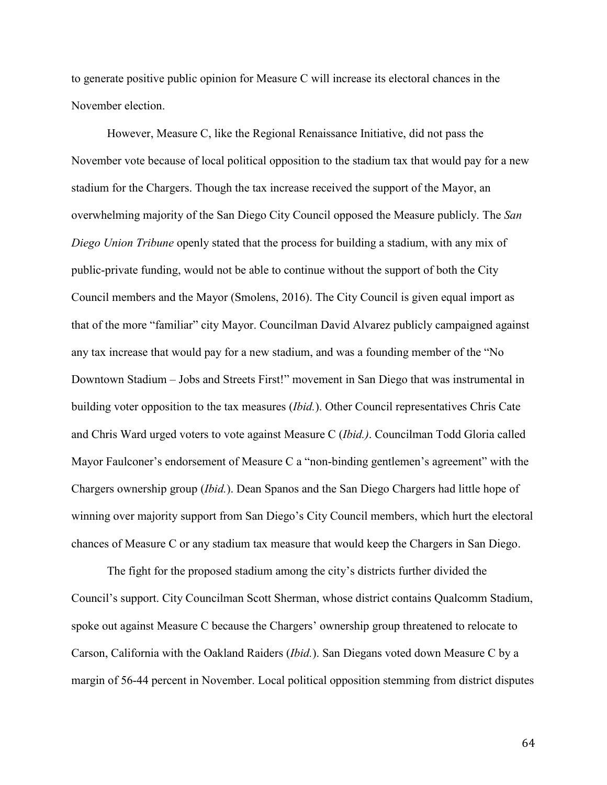to generate positive public opinion for Measure C will increase its electoral chances in the November election.

However, Measure C, like the Regional Renaissance Initiative, did not pass the November vote because of local political opposition to the stadium tax that would pay for a new stadium for the Chargers. Though the tax increase received the support of the Mayor, an overwhelming majority of the San Diego City Council opposed the Measure publicly. The *San Diego Union Tribune* openly stated that the process for building a stadium, with any mix of public-private funding, would not be able to continue without the support of both the City Council members and the Mayor (Smolens, 2016). The City Council is given equal import as that of the more "familiar" city Mayor. Councilman David Alvarez publicly campaigned against any tax increase that would pay for a new stadium, and was a founding member of the "No Downtown Stadium – Jobs and Streets First!" movement in San Diego that was instrumental in building voter opposition to the tax measures (*Ibid.*). Other Council representatives Chris Cate and Chris Ward urged voters to vote against Measure C (*Ibid.)*. Councilman Todd Gloria called Mayor Faulconer's endorsement of Measure C a "non-binding gentlemen's agreement" with the Chargers ownership group (*Ibid.*). Dean Spanos and the San Diego Chargers had little hope of winning over majority support from San Diego's City Council members, which hurt the electoral chances of Measure C or any stadium tax measure that would keep the Chargers in San Diego.

The fight for the proposed stadium among the city's districts further divided the Council's support. City Councilman Scott Sherman, whose district contains Qualcomm Stadium, spoke out against Measure C because the Chargers' ownership group threatened to relocate to Carson, California with the Oakland Raiders (*Ibid.*). San Diegans voted down Measure C by a margin of 56-44 percent in November. Local political opposition stemming from district disputes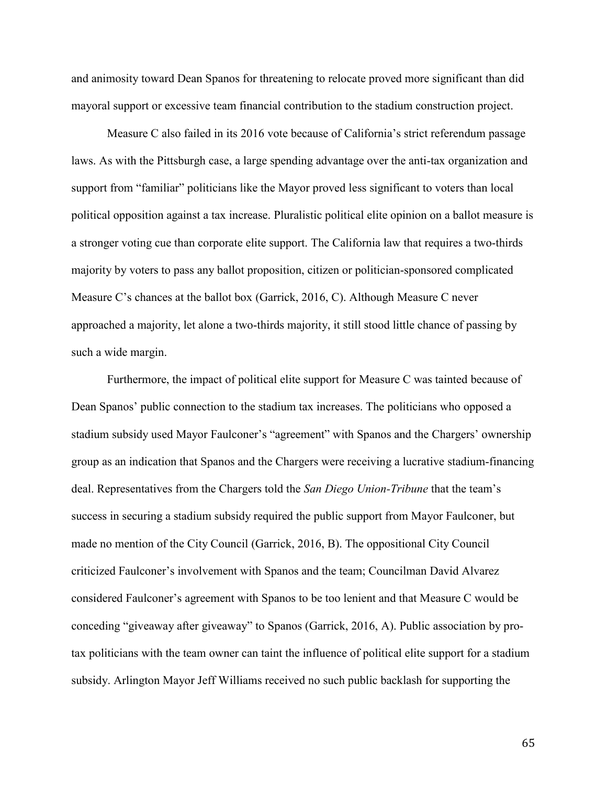and animosity toward Dean Spanos for threatening to relocate proved more significant than did mayoral support or excessive team financial contribution to the stadium construction project.

Measure C also failed in its 2016 vote because of California's strict referendum passage laws. As with the Pittsburgh case, a large spending advantage over the anti-tax organization and support from "familiar" politicians like the Mayor proved less significant to voters than local political opposition against a tax increase. Pluralistic political elite opinion on a ballot measure is a stronger voting cue than corporate elite support. The California law that requires a two-thirds majority by voters to pass any ballot proposition, citizen or politician-sponsored complicated Measure C's chances at the ballot box (Garrick, 2016, C). Although Measure C never approached a majority, let alone a two-thirds majority, it still stood little chance of passing by such a wide margin.

Furthermore, the impact of political elite support for Measure C was tainted because of Dean Spanos' public connection to the stadium tax increases. The politicians who opposed a stadium subsidy used Mayor Faulconer's "agreement" with Spanos and the Chargers' ownership group as an indication that Spanos and the Chargers were receiving a lucrative stadium-financing deal. Representatives from the Chargers told the *San Diego Union-Tribune* that the team's success in securing a stadium subsidy required the public support from Mayor Faulconer, but made no mention of the City Council (Garrick, 2016, B). The oppositional City Council criticized Faulconer's involvement with Spanos and the team; Councilman David Alvarez considered Faulconer's agreement with Spanos to be too lenient and that Measure C would be conceding "giveaway after giveaway" to Spanos (Garrick, 2016, A). Public association by protax politicians with the team owner can taint the influence of political elite support for a stadium subsidy. Arlington Mayor Jeff Williams received no such public backlash for supporting the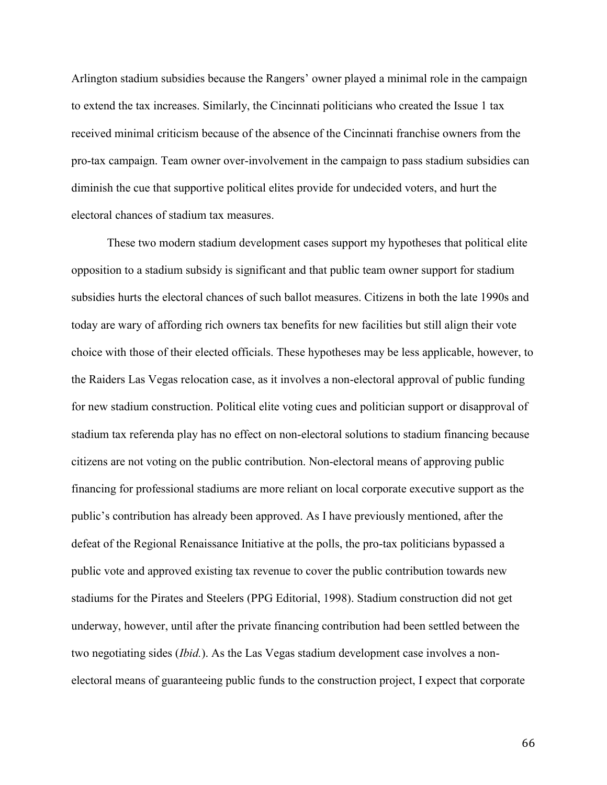Arlington stadium subsidies because the Rangers' owner played a minimal role in the campaign to extend the tax increases. Similarly, the Cincinnati politicians who created the Issue 1 tax received minimal criticism because of the absence of the Cincinnati franchise owners from the pro-tax campaign. Team owner over-involvement in the campaign to pass stadium subsidies can diminish the cue that supportive political elites provide for undecided voters, and hurt the electoral chances of stadium tax measures.

These two modern stadium development cases support my hypotheses that political elite opposition to a stadium subsidy is significant and that public team owner support for stadium subsidies hurts the electoral chances of such ballot measures. Citizens in both the late 1990s and today are wary of affording rich owners tax benefits for new facilities but still align their vote choice with those of their elected officials. These hypotheses may be less applicable, however, to the Raiders Las Vegas relocation case, as it involves a non-electoral approval of public funding for new stadium construction. Political elite voting cues and politician support or disapproval of stadium tax referenda play has no effect on non-electoral solutions to stadium financing because citizens are not voting on the public contribution. Non-electoral means of approving public financing for professional stadiums are more reliant on local corporate executive support as the public's contribution has already been approved. As I have previously mentioned, after the defeat of the Regional Renaissance Initiative at the polls, the pro-tax politicians bypassed a public vote and approved existing tax revenue to cover the public contribution towards new stadiums for the Pirates and Steelers (PPG Editorial, 1998). Stadium construction did not get underway, however, until after the private financing contribution had been settled between the two negotiating sides (*Ibid.*). As the Las Vegas stadium development case involves a nonelectoral means of guaranteeing public funds to the construction project, I expect that corporate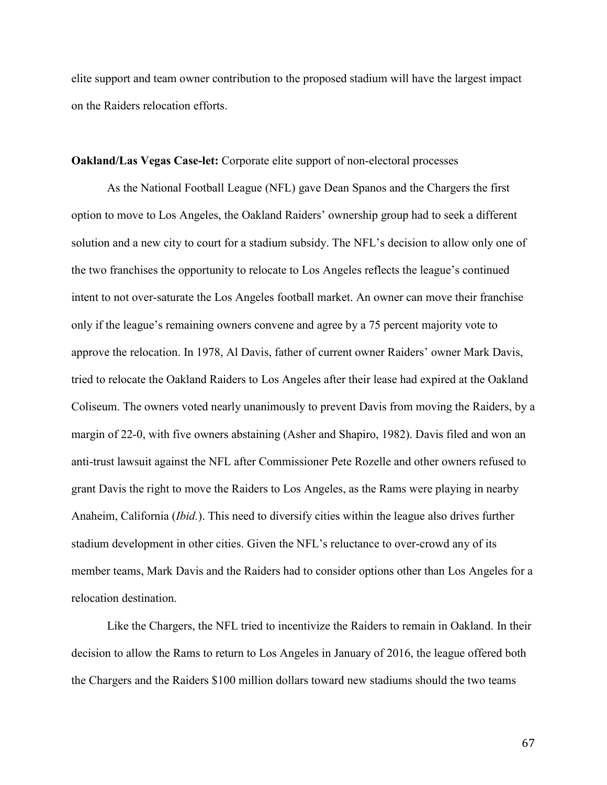elite support and team owner contribution to the proposed stadium will have the largest impact on the Raiders relocation efforts.

### Oakland/Las Vegas Case-let: Corporate elite support of non-electoral processes

As the National Football League (NFL) gave Dean Spanos and the Chargers the first option to move to Los Angeles, the Oakland Raiders' ownership group had to seek a different solution and a new city to court for a stadium subsidy. The NFL's decision to allow only one of the two franchises the opportunity to relocate to Los Angeles reflects the league's continued intent to not over-saturate the Los Angeles football market. An owner can move their franchise only if the league's remaining owners convene and agree by a 75 percent majority vote to approve the relocation. In 1978, Al Davis, father of current owner Raiders' owner Mark Davis, tried to relocate the Oakland Raiders to Los Angeles after their lease had expired at the Oakland Coliseum. The owners voted nearly unanimously to prevent Davis from moving the Raiders, by a margin of 22-0, with five owners abstaining (Asher and Shapiro, 1982). Davis filed and won an anti-trust lawsuit against the NFL after Commissioner Pete Rozelle and other owners refused to grant Davis the right to move the Raiders to Los Angeles, as the Rams were playing in nearby Anaheim, California (*Ibid.*). This need to diversify cities within the league also drives further stadium development in other cities. Given the NFL's reluctance to over-crowd any of its member teams, Mark Davis and the Raiders had to consider options other than Los Angeles for a relocation destination.

Like the Chargers, the NFL tried to incentivize the Raiders to remain in Oakland. In their decision to allow the Rams to return to Los Angeles in January of 2016, the league offered both the Chargers and the Raiders \$100 million dollars toward new stadiums should the two teams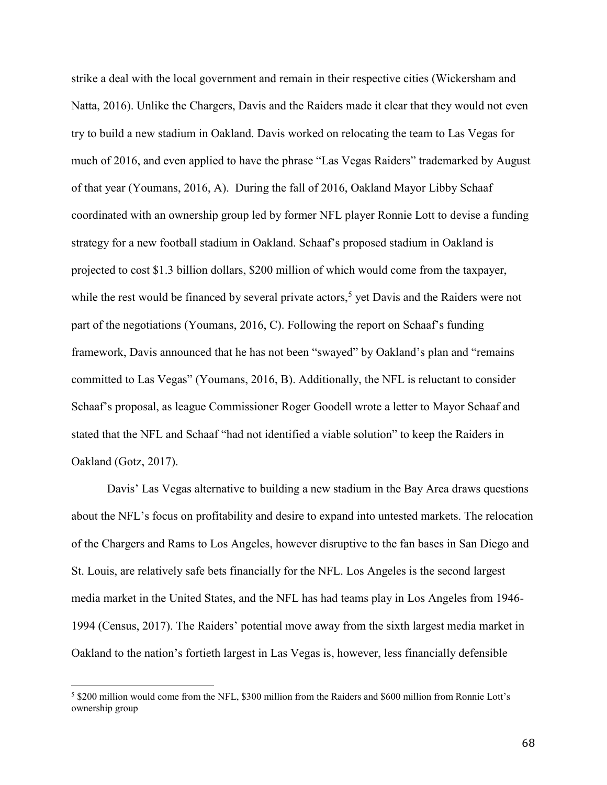strike a deal with the local government and remain in their respective cities (Wickersham and Natta, 2016). Unlike the Chargers, Davis and the Raiders made it clear that they would not even try to build a new stadium in Oakland. Davis worked on relocating the team to Las Vegas for much of 2016, and even applied to have the phrase "Las Vegas Raiders" trademarked by August of that year (Youmans, 2016, A). During the fall of 2016, Oakland Mayor Libby Schaaf coordinated with an ownership group led by former NFL player Ronnie Lott to devise a funding strategy for a new football stadium in Oakland. Schaaf's proposed stadium in Oakland is projected to cost \$1.3 billion dollars, \$200 million of which would come from the taxpayer, while the rest would be financed by several private actors,<sup>5</sup> yet Davis and the Raiders were not part of the negotiations (Youmans, 2016, C). Following the report on Schaaf's funding framework, Davis announced that he has not been "swayed" by Oakland's plan and "remains committed to Las Vegas" (Youmans, 2016, B). Additionally, the NFL is reluctant to consider Schaaf's proposal, as league Commissioner Roger Goodell wrote a letter to Mayor Schaaf and stated that the NFL and Schaaf "had not identified a viable solution" to keep the Raiders in Oakland (Gotz, 2017).

Davis' Las Vegas alternative to building a new stadium in the Bay Area draws questions about the NFL's focus on profitability and desire to expand into untested markets. The relocation of the Chargers and Rams to Los Angeles, however disruptive to the fan bases in San Diego and St. Louis, are relatively safe bets financially for the NFL. Los Angeles is the second largest media market in the United States, and the NFL has had teams play in Los Angeles from 1946- 1994 (Census, 2017). The Raiders' potential move away from the sixth largest media market in Oakland to the nation's fortieth largest in Las Vegas is, however, less financially defensible

l

<sup>5</sup> \$200 million would come from the NFL, \$300 million from the Raiders and \$600 million from Ronnie Lott's ownership group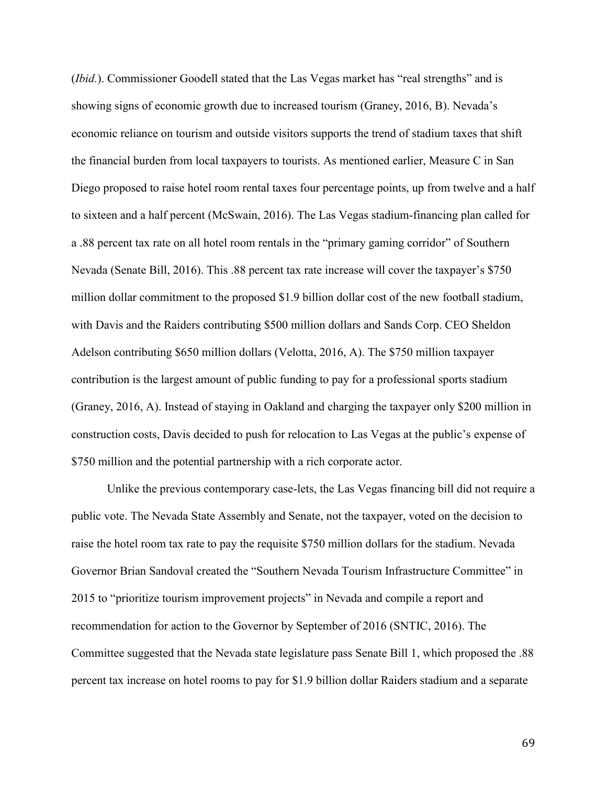(*Ibid.*). Commissioner Goodell stated that the Las Vegas market has "real strengths" and is showing signs of economic growth due to increased tourism (Graney, 2016, B). Nevada's economic reliance on tourism and outside visitors supports the trend of stadium taxes that shift the financial burden from local taxpayers to tourists. As mentioned earlier, Measure C in San Diego proposed to raise hotel room rental taxes four percentage points, up from twelve and a half to sixteen and a half percent (McSwain, 2016). The Las Vegas stadium-financing plan called for a .88 percent tax rate on all hotel room rentals in the "primary gaming corridor" of Southern Nevada (Senate Bill, 2016). This .88 percent tax rate increase will cover the taxpayer's \$750 million dollar commitment to the proposed \$1.9 billion dollar cost of the new football stadium, with Davis and the Raiders contributing \$500 million dollars and Sands Corp. CEO Sheldon Adelson contributing \$650 million dollars (Velotta, 2016, A). The \$750 million taxpayer contribution is the largest amount of public funding to pay for a professional sports stadium (Graney, 2016, A). Instead of staying in Oakland and charging the taxpayer only \$200 million in construction costs, Davis decided to push for relocation to Las Vegas at the public's expense of \$750 million and the potential partnership with a rich corporate actor.

Unlike the previous contemporary case-lets, the Las Vegas financing bill did not require a public vote. The Nevada State Assembly and Senate, not the taxpayer, voted on the decision to raise the hotel room tax rate to pay the requisite \$750 million dollars for the stadium. Nevada Governor Brian Sandoval created the "Southern Nevada Tourism Infrastructure Committee" in 2015 to "prioritize tourism improvement projects" in Nevada and compile a report and recommendation for action to the Governor by September of 2016 (SNTIC, 2016). The Committee suggested that the Nevada state legislature pass Senate Bill 1, which proposed the .88 percent tax increase on hotel rooms to pay for \$1.9 billion dollar Raiders stadium and a separate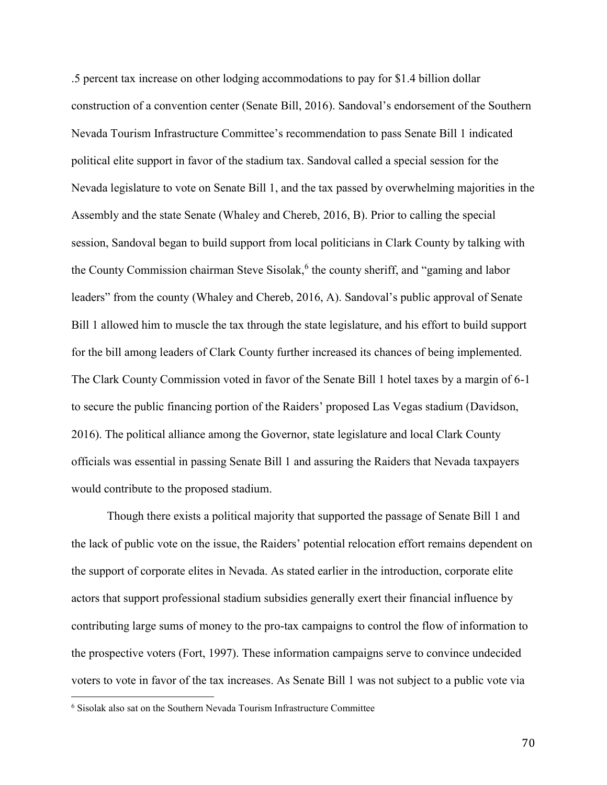.5 percent tax increase on other lodging accommodations to pay for \$1.4 billion dollar construction of a convention center (Senate Bill, 2016). Sandoval's endorsement of the Southern Nevada Tourism Infrastructure Committee's recommendation to pass Senate Bill 1 indicated political elite support in favor of the stadium tax. Sandoval called a special session for the Nevada legislature to vote on Senate Bill 1, and the tax passed by overwhelming majorities in the Assembly and the state Senate (Whaley and Chereb, 2016, B). Prior to calling the special session, Sandoval began to build support from local politicians in Clark County by talking with the County Commission chairman Steve Sisolak, 6 the county sheriff, and "gaming and labor leaders" from the county (Whaley and Chereb, 2016, A). Sandoval's public approval of Senate Bill 1 allowed him to muscle the tax through the state legislature, and his effort to build support for the bill among leaders of Clark County further increased its chances of being implemented. The Clark County Commission voted in favor of the Senate Bill 1 hotel taxes by a margin of 6-1 to secure the public financing portion of the Raiders' proposed Las Vegas stadium (Davidson, 2016). The political alliance among the Governor, state legislature and local Clark County officials was essential in passing Senate Bill 1 and assuring the Raiders that Nevada taxpayers would contribute to the proposed stadium.

Though there exists a political majority that supported the passage of Senate Bill 1 and the lack of public vote on the issue, the Raiders' potential relocation effort remains dependent on the support of corporate elites in Nevada. As stated earlier in the introduction, corporate elite actors that support professional stadium subsidies generally exert their financial influence by contributing large sums of money to the pro-tax campaigns to control the flow of information to the prospective voters (Fort, 1997). These information campaigns serve to convince undecided voters to vote in favor of the tax increases. As Senate Bill 1 was not subject to a public vote via

 $\overline{a}$ 

<sup>6</sup> Sisolak also sat on the Southern Nevada Tourism Infrastructure Committee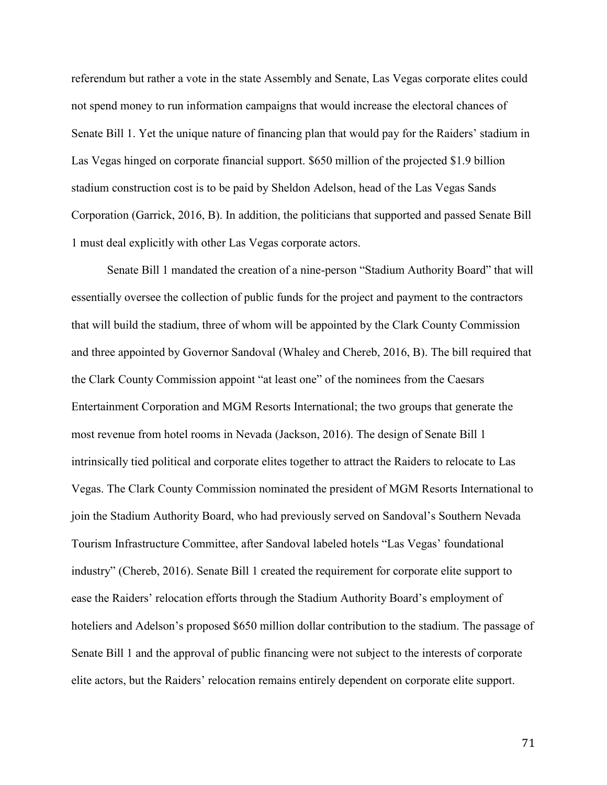referendum but rather a vote in the state Assembly and Senate, Las Vegas corporate elites could not spend money to run information campaigns that would increase the electoral chances of Senate Bill 1. Yet the unique nature of financing plan that would pay for the Raiders' stadium in Las Vegas hinged on corporate financial support. \$650 million of the projected \$1.9 billion stadium construction cost is to be paid by Sheldon Adelson, head of the Las Vegas Sands Corporation (Garrick, 2016, B). In addition, the politicians that supported and passed Senate Bill 1 must deal explicitly with other Las Vegas corporate actors.

Senate Bill 1 mandated the creation of a nine-person "Stadium Authority Board" that will essentially oversee the collection of public funds for the project and payment to the contractors that will build the stadium, three of whom will be appointed by the Clark County Commission and three appointed by Governor Sandoval (Whaley and Chereb, 2016, B). The bill required that the Clark County Commission appoint "at least one" of the nominees from the Caesars Entertainment Corporation and MGM Resorts International; the two groups that generate the most revenue from hotel rooms in Nevada (Jackson, 2016). The design of Senate Bill 1 intrinsically tied political and corporate elites together to attract the Raiders to relocate to Las Vegas. The Clark County Commission nominated the president of MGM Resorts International to join the Stadium Authority Board, who had previously served on Sandoval's Southern Nevada Tourism Infrastructure Committee, after Sandoval labeled hotels "Las Vegas' foundational industry" (Chereb, 2016). Senate Bill 1 created the requirement for corporate elite support to ease the Raiders' relocation efforts through the Stadium Authority Board's employment of hoteliers and Adelson's proposed \$650 million dollar contribution to the stadium. The passage of Senate Bill 1 and the approval of public financing were not subject to the interests of corporate elite actors, but the Raiders' relocation remains entirely dependent on corporate elite support.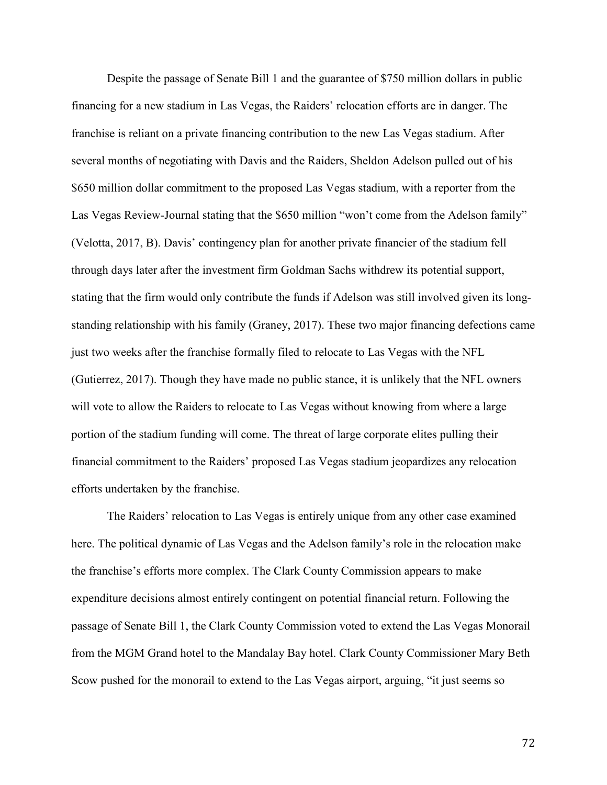Despite the passage of Senate Bill 1 and the guarantee of \$750 million dollars in public financing for a new stadium in Las Vegas, the Raiders' relocation efforts are in danger. The franchise is reliant on a private financing contribution to the new Las Vegas stadium. After several months of negotiating with Davis and the Raiders, Sheldon Adelson pulled out of his \$650 million dollar commitment to the proposed Las Vegas stadium, with a reporter from the Las Vegas Review-Journal stating that the \$650 million "won't come from the Adelson family" (Velotta, 2017, B). Davis' contingency plan for another private financier of the stadium fell through days later after the investment firm Goldman Sachs withdrew its potential support, stating that the firm would only contribute the funds if Adelson was still involved given its longstanding relationship with his family (Graney, 2017). These two major financing defections came just two weeks after the franchise formally filed to relocate to Las Vegas with the NFL (Gutierrez, 2017). Though they have made no public stance, it is unlikely that the NFL owners will vote to allow the Raiders to relocate to Las Vegas without knowing from where a large portion of the stadium funding will come. The threat of large corporate elites pulling their financial commitment to the Raiders' proposed Las Vegas stadium jeopardizes any relocation efforts undertaken by the franchise.

The Raiders' relocation to Las Vegas is entirely unique from any other case examined here. The political dynamic of Las Vegas and the Adelson family's role in the relocation make the franchise's efforts more complex. The Clark County Commission appears to make expenditure decisions almost entirely contingent on potential financial return. Following the passage of Senate Bill 1, the Clark County Commission voted to extend the Las Vegas Monorail from the MGM Grand hotel to the Mandalay Bay hotel. Clark County Commissioner Mary Beth Scow pushed for the monorail to extend to the Las Vegas airport, arguing, "it just seems so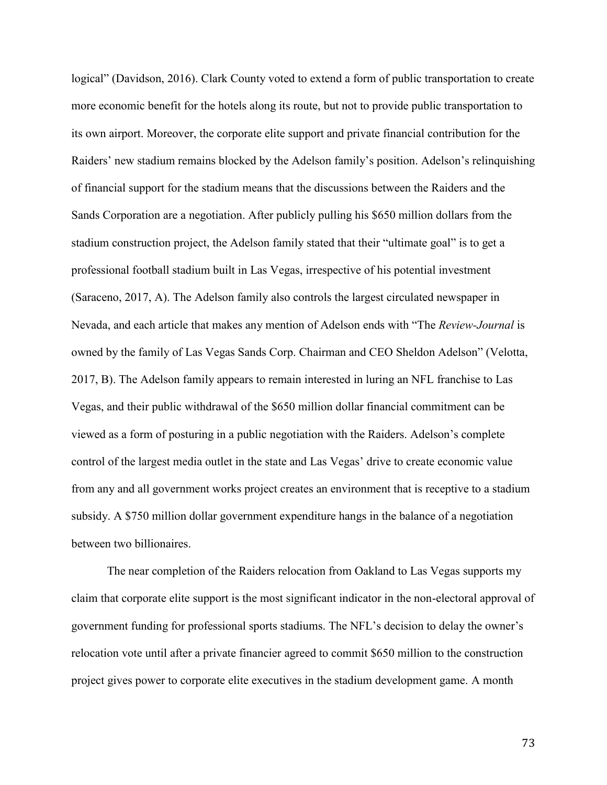logical" (Davidson, 2016). Clark County voted to extend a form of public transportation to create more economic benefit for the hotels along its route, but not to provide public transportation to its own airport. Moreover, the corporate elite support and private financial contribution for the Raiders' new stadium remains blocked by the Adelson family's position. Adelson's relinquishing of financial support for the stadium means that the discussions between the Raiders and the Sands Corporation are a negotiation. After publicly pulling his \$650 million dollars from the stadium construction project, the Adelson family stated that their "ultimate goal" is to get a professional football stadium built in Las Vegas, irrespective of his potential investment (Saraceno, 2017, A). The Adelson family also controls the largest circulated newspaper in Nevada, and each article that makes any mention of Adelson ends with "The *Review-Journal* is owned by the family of Las Vegas Sands Corp. Chairman and CEO Sheldon Adelson" (Velotta, 2017, B). The Adelson family appears to remain interested in luring an NFL franchise to Las Vegas, and their public withdrawal of the \$650 million dollar financial commitment can be viewed as a form of posturing in a public negotiation with the Raiders. Adelson's complete control of the largest media outlet in the state and Las Vegas' drive to create economic value from any and all government works project creates an environment that is receptive to a stadium subsidy. A \$750 million dollar government expenditure hangs in the balance of a negotiation between two billionaires.

The near completion of the Raiders relocation from Oakland to Las Vegas supports my claim that corporate elite support is the most significant indicator in the non-electoral approval of government funding for professional sports stadiums. The NFL's decision to delay the owner's relocation vote until after a private financier agreed to commit \$650 million to the construction project gives power to corporate elite executives in the stadium development game. A month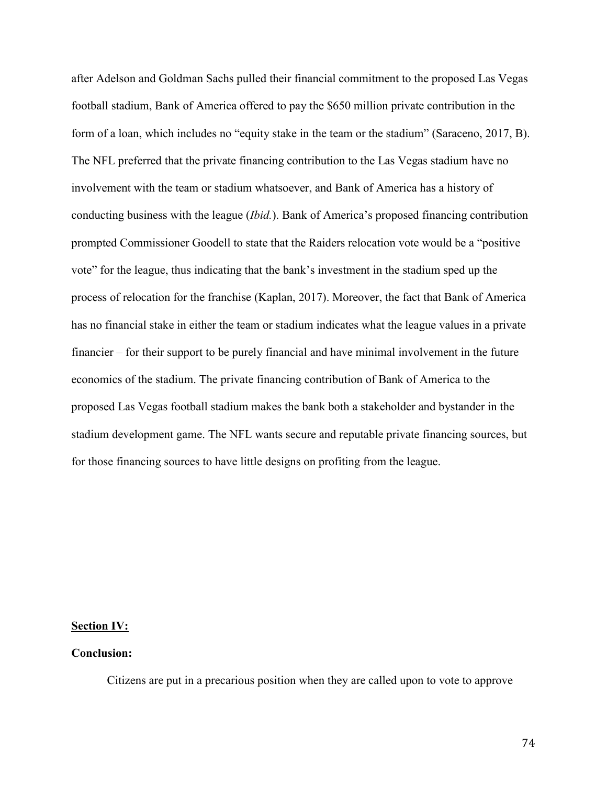after Adelson and Goldman Sachs pulled their financial commitment to the proposed Las Vegas football stadium, Bank of America offered to pay the \$650 million private contribution in the form of a loan, which includes no "equity stake in the team or the stadium" (Saraceno, 2017, B). The NFL preferred that the private financing contribution to the Las Vegas stadium have no involvement with the team or stadium whatsoever, and Bank of America has a history of conducting business with the league (*Ibid.*). Bank of America's proposed financing contribution prompted Commissioner Goodell to state that the Raiders relocation vote would be a "positive vote" for the league, thus indicating that the bank's investment in the stadium sped up the process of relocation for the franchise (Kaplan, 2017). Moreover, the fact that Bank of America has no financial stake in either the team or stadium indicates what the league values in a private financier – for their support to be purely financial and have minimal involvement in the future economics of the stadium. The private financing contribution of Bank of America to the proposed Las Vegas football stadium makes the bank both a stakeholder and bystander in the stadium development game. The NFL wants secure and reputable private financing sources, but for those financing sources to have little designs on profiting from the league.

## Section IV:

## Conclusion:

Citizens are put in a precarious position when they are called upon to vote to approve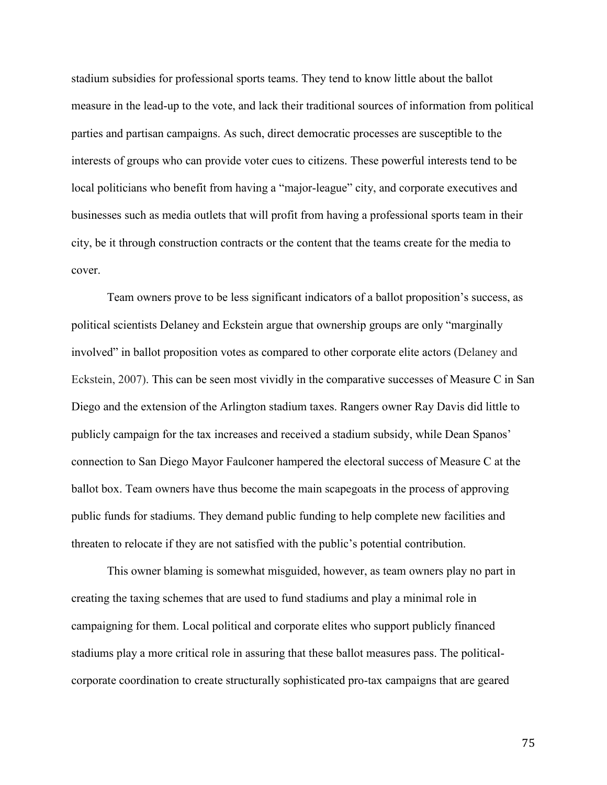stadium subsidies for professional sports teams. They tend to know little about the ballot measure in the lead-up to the vote, and lack their traditional sources of information from political parties and partisan campaigns. As such, direct democratic processes are susceptible to the interests of groups who can provide voter cues to citizens. These powerful interests tend to be local politicians who benefit from having a "major-league" city, and corporate executives and businesses such as media outlets that will profit from having a professional sports team in their city, be it through construction contracts or the content that the teams create for the media to cover.

Team owners prove to be less significant indicators of a ballot proposition's success, as political scientists Delaney and Eckstein argue that ownership groups are only "marginally involved" in ballot proposition votes as compared to other corporate elite actors (Delaney and Eckstein, 2007). This can be seen most vividly in the comparative successes of Measure C in San Diego and the extension of the Arlington stadium taxes. Rangers owner Ray Davis did little to publicly campaign for the tax increases and received a stadium subsidy, while Dean Spanos' connection to San Diego Mayor Faulconer hampered the electoral success of Measure C at the ballot box. Team owners have thus become the main scapegoats in the process of approving public funds for stadiums. They demand public funding to help complete new facilities and threaten to relocate if they are not satisfied with the public's potential contribution.

This owner blaming is somewhat misguided, however, as team owners play no part in creating the taxing schemes that are used to fund stadiums and play a minimal role in campaigning for them. Local political and corporate elites who support publicly financed stadiums play a more critical role in assuring that these ballot measures pass. The politicalcorporate coordination to create structurally sophisticated pro-tax campaigns that are geared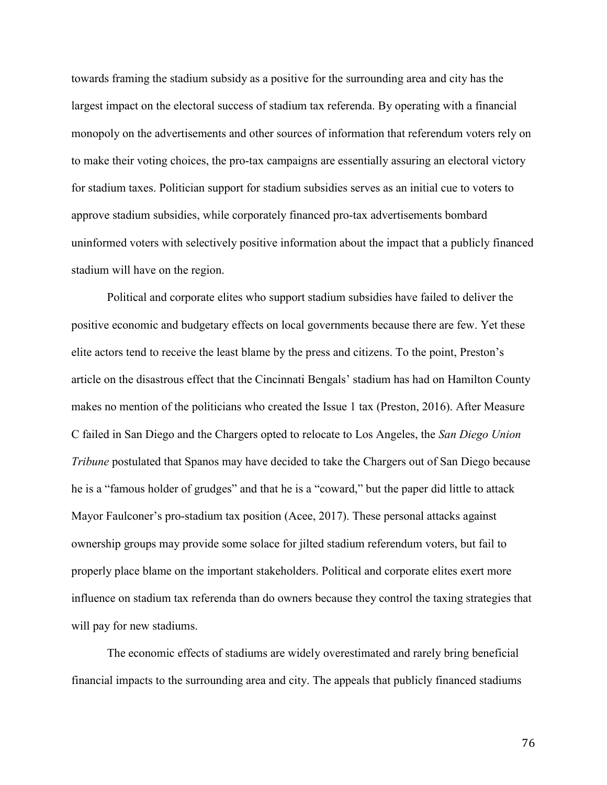towards framing the stadium subsidy as a positive for the surrounding area and city has the largest impact on the electoral success of stadium tax referenda. By operating with a financial monopoly on the advertisements and other sources of information that referendum voters rely on to make their voting choices, the pro-tax campaigns are essentially assuring an electoral victory for stadium taxes. Politician support for stadium subsidies serves as an initial cue to voters to approve stadium subsidies, while corporately financed pro-tax advertisements bombard uninformed voters with selectively positive information about the impact that a publicly financed stadium will have on the region.

Political and corporate elites who support stadium subsidies have failed to deliver the positive economic and budgetary effects on local governments because there are few. Yet these elite actors tend to receive the least blame by the press and citizens. To the point, Preston's article on the disastrous effect that the Cincinnati Bengals' stadium has had on Hamilton County makes no mention of the politicians who created the Issue 1 tax (Preston, 2016). After Measure C failed in San Diego and the Chargers opted to relocate to Los Angeles, the *San Diego Union Tribune* postulated that Spanos may have decided to take the Chargers out of San Diego because he is a "famous holder of grudges" and that he is a "coward," but the paper did little to attack Mayor Faulconer's pro-stadium tax position (Acee, 2017). These personal attacks against ownership groups may provide some solace for jilted stadium referendum voters, but fail to properly place blame on the important stakeholders. Political and corporate elites exert more influence on stadium tax referenda than do owners because they control the taxing strategies that will pay for new stadiums.

The economic effects of stadiums are widely overestimated and rarely bring beneficial financial impacts to the surrounding area and city. The appeals that publicly financed stadiums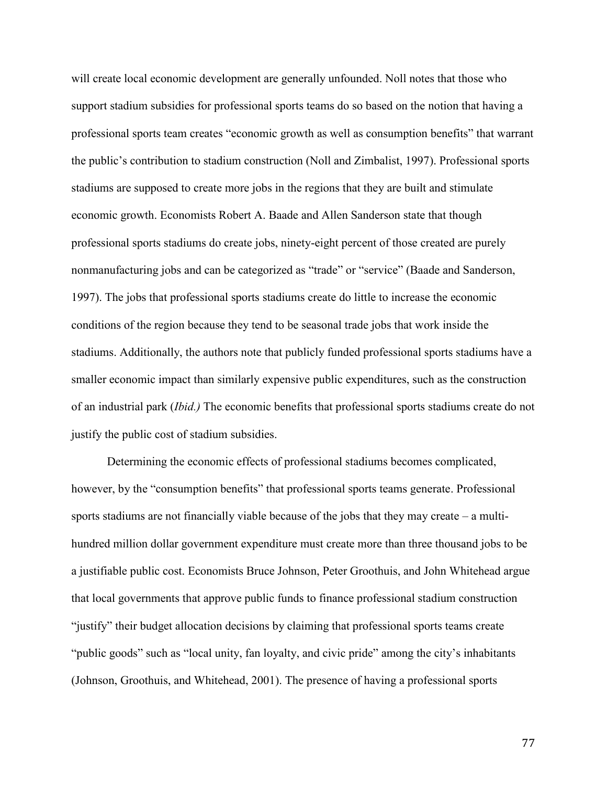will create local economic development are generally unfounded. Noll notes that those who support stadium subsidies for professional sports teams do so based on the notion that having a professional sports team creates "economic growth as well as consumption benefits" that warrant the public's contribution to stadium construction (Noll and Zimbalist, 1997). Professional sports stadiums are supposed to create more jobs in the regions that they are built and stimulate economic growth. Economists Robert A. Baade and Allen Sanderson state that though professional sports stadiums do create jobs, ninety-eight percent of those created are purely nonmanufacturing jobs and can be categorized as "trade" or "service" (Baade and Sanderson, 1997). The jobs that professional sports stadiums create do little to increase the economic conditions of the region because they tend to be seasonal trade jobs that work inside the stadiums. Additionally, the authors note that publicly funded professional sports stadiums have a smaller economic impact than similarly expensive public expenditures, such as the construction of an industrial park (*Ibid.)* The economic benefits that professional sports stadiums create do not justify the public cost of stadium subsidies.

Determining the economic effects of professional stadiums becomes complicated, however, by the "consumption benefits" that professional sports teams generate. Professional sports stadiums are not financially viable because of the jobs that they may create – a multihundred million dollar government expenditure must create more than three thousand jobs to be a justifiable public cost. Economists Bruce Johnson, Peter Groothuis, and John Whitehead argue that local governments that approve public funds to finance professional stadium construction "justify" their budget allocation decisions by claiming that professional sports teams create "public goods" such as "local unity, fan loyalty, and civic pride" among the city's inhabitants (Johnson, Groothuis, and Whitehead, 2001). The presence of having a professional sports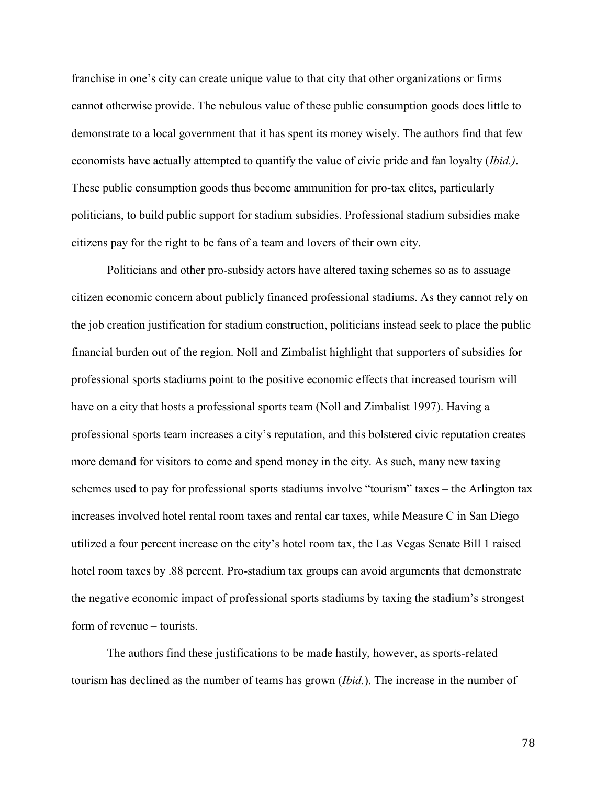franchise in one's city can create unique value to that city that other organizations or firms cannot otherwise provide. The nebulous value of these public consumption goods does little to demonstrate to a local government that it has spent its money wisely. The authors find that few economists have actually attempted to quantify the value of civic pride and fan loyalty (*Ibid.)*. These public consumption goods thus become ammunition for pro-tax elites, particularly politicians, to build public support for stadium subsidies. Professional stadium subsidies make citizens pay for the right to be fans of a team and lovers of their own city.

Politicians and other pro-subsidy actors have altered taxing schemes so as to assuage citizen economic concern about publicly financed professional stadiums. As they cannot rely on the job creation justification for stadium construction, politicians instead seek to place the public financial burden out of the region. Noll and Zimbalist highlight that supporters of subsidies for professional sports stadiums point to the positive economic effects that increased tourism will have on a city that hosts a professional sports team (Noll and Zimbalist 1997). Having a professional sports team increases a city's reputation, and this bolstered civic reputation creates more demand for visitors to come and spend money in the city. As such, many new taxing schemes used to pay for professional sports stadiums involve "tourism" taxes – the Arlington tax increases involved hotel rental room taxes and rental car taxes, while Measure C in San Diego utilized a four percent increase on the city's hotel room tax, the Las Vegas Senate Bill 1 raised hotel room taxes by .88 percent. Pro-stadium tax groups can avoid arguments that demonstrate the negative economic impact of professional sports stadiums by taxing the stadium's strongest form of revenue – tourists.

The authors find these justifications to be made hastily, however, as sports-related tourism has declined as the number of teams has grown (*Ibid.*). The increase in the number of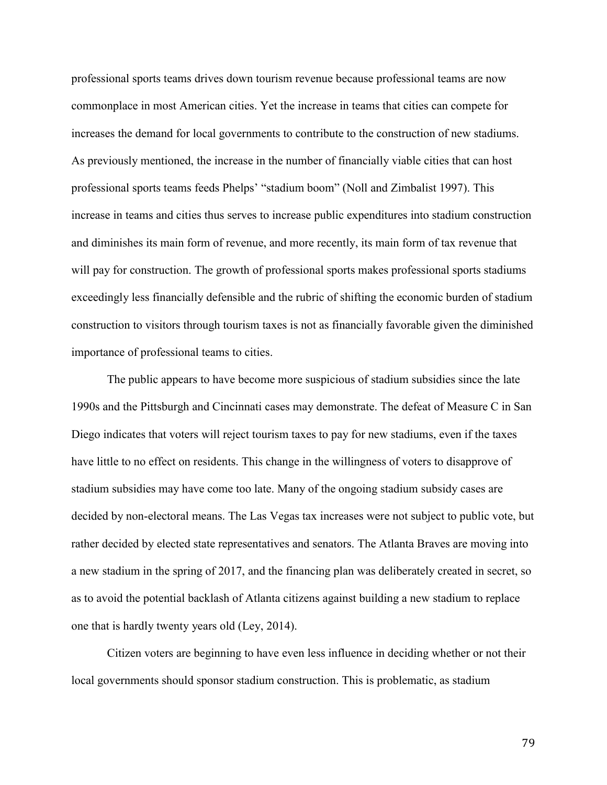professional sports teams drives down tourism revenue because professional teams are now commonplace in most American cities. Yet the increase in teams that cities can compete for increases the demand for local governments to contribute to the construction of new stadiums. As previously mentioned, the increase in the number of financially viable cities that can host professional sports teams feeds Phelps' "stadium boom" (Noll and Zimbalist 1997). This increase in teams and cities thus serves to increase public expenditures into stadium construction and diminishes its main form of revenue, and more recently, its main form of tax revenue that will pay for construction. The growth of professional sports makes professional sports stadiums exceedingly less financially defensible and the rubric of shifting the economic burden of stadium construction to visitors through tourism taxes is not as financially favorable given the diminished importance of professional teams to cities.

The public appears to have become more suspicious of stadium subsidies since the late 1990s and the Pittsburgh and Cincinnati cases may demonstrate. The defeat of Measure C in San Diego indicates that voters will reject tourism taxes to pay for new stadiums, even if the taxes have little to no effect on residents. This change in the willingness of voters to disapprove of stadium subsidies may have come too late. Many of the ongoing stadium subsidy cases are decided by non-electoral means. The Las Vegas tax increases were not subject to public vote, but rather decided by elected state representatives and senators. The Atlanta Braves are moving into a new stadium in the spring of 2017, and the financing plan was deliberately created in secret, so as to avoid the potential backlash of Atlanta citizens against building a new stadium to replace one that is hardly twenty years old (Ley, 2014).

Citizen voters are beginning to have even less influence in deciding whether or not their local governments should sponsor stadium construction. This is problematic, as stadium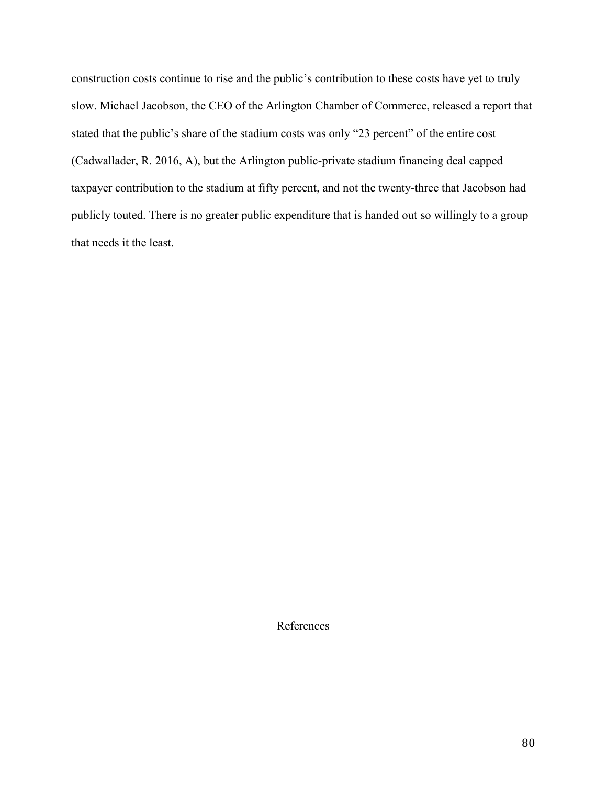construction costs continue to rise and the public's contribution to these costs have yet to truly slow. Michael Jacobson, the CEO of the Arlington Chamber of Commerce, released a report that stated that the public's share of the stadium costs was only "23 percent" of the entire cost (Cadwallader, R. 2016, A), but the Arlington public-private stadium financing deal capped taxpayer contribution to the stadium at fifty percent, and not the twenty-three that Jacobson had publicly touted. There is no greater public expenditure that is handed out so willingly to a group that needs it the least.

References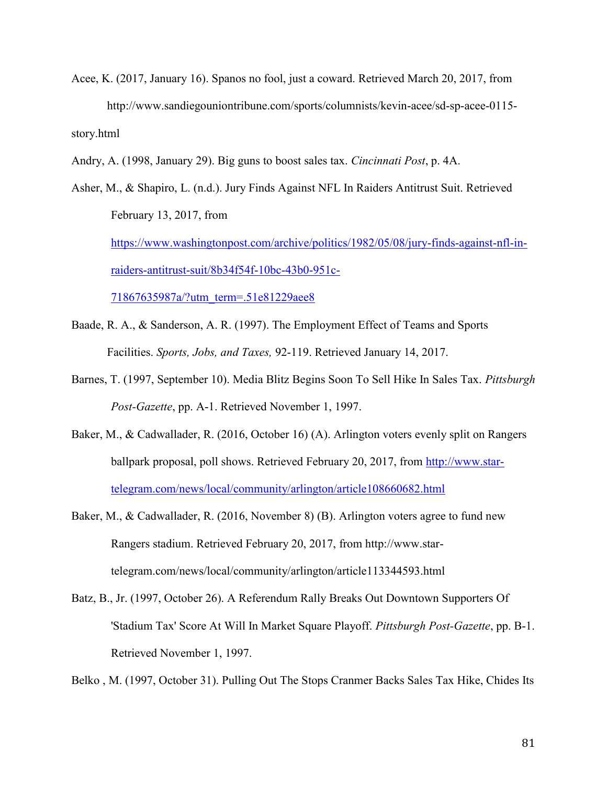- Acee, K. (2017, January 16). Spanos no fool, just a coward. Retrieved March 20, 2017, from http://www.sandiegouniontribune.com/sports/columnists/kevin-acee/sd-sp-acee-0115 story.html
- Andry, A. (1998, January 29). Big guns to boost sales tax. *Cincinnati Post*, p. 4A.

Asher, M., & Shapiro, L. (n.d.). Jury Finds Against NFL In Raiders Antitrust Suit. Retrieved February 13, 2017, from [https://www.washingtonpost.com/archive/politics/1982/05/08/jury-finds-against-nfl-in](https://www.washingtonpost.com/archive/politics/1982/05/08/jury-finds-against-nfl-in-raiders-antitrust-suit/8b34f54f-10bc-43b0-951c-71867635987a/?utm_term=.51e81229aee8)[raiders-antitrust-suit/8b34f54f-10bc-43b0-951c-](https://www.washingtonpost.com/archive/politics/1982/05/08/jury-finds-against-nfl-in-raiders-antitrust-suit/8b34f54f-10bc-43b0-951c-71867635987a/?utm_term=.51e81229aee8)[71867635987a/?utm\\_term=.51e81229aee8](https://www.washingtonpost.com/archive/politics/1982/05/08/jury-finds-against-nfl-in-raiders-antitrust-suit/8b34f54f-10bc-43b0-951c-71867635987a/?utm_term=.51e81229aee8)

- Baade, R. A., & Sanderson, A. R. (1997). The Employment Effect of Teams and Sports Facilities. *Sports, Jobs, and Taxes,* 92-119. Retrieved January 14, 2017.
- Barnes, T. (1997, September 10). Media Blitz Begins Soon To Sell Hike In Sales Tax. *Pittsburgh Post-Gazette*, pp. A-1. Retrieved November 1, 1997.
- Baker, M., & Cadwallader, R. (2016, October 16) (A). Arlington voters evenly split on Rangers ballpark proposal, poll shows. Retrieved February 20, 2017, from [http://www.star](http://www.star-telegram.com/news/local/community/arlington/article108660682.html)[telegram.com/news/local/community/arlington/article108660682.html](http://www.star-telegram.com/news/local/community/arlington/article108660682.html)
- Baker, M., & Cadwallader, R. (2016, November 8) (B). Arlington voters agree to fund new Rangers stadium. Retrieved February 20, 2017, from http://www.startelegram.com/news/local/community/arlington/article113344593.html
- Batz, B., Jr. (1997, October 26). A Referendum Rally Breaks Out Downtown Supporters Of 'Stadium Tax' Score At Will In Market Square Playoff. *Pittsburgh Post-Gazette*, pp. B-1. Retrieved November 1, 1997.

Belko , M. (1997, October 31). Pulling Out The Stops Cranmer Backs Sales Tax Hike, Chides Its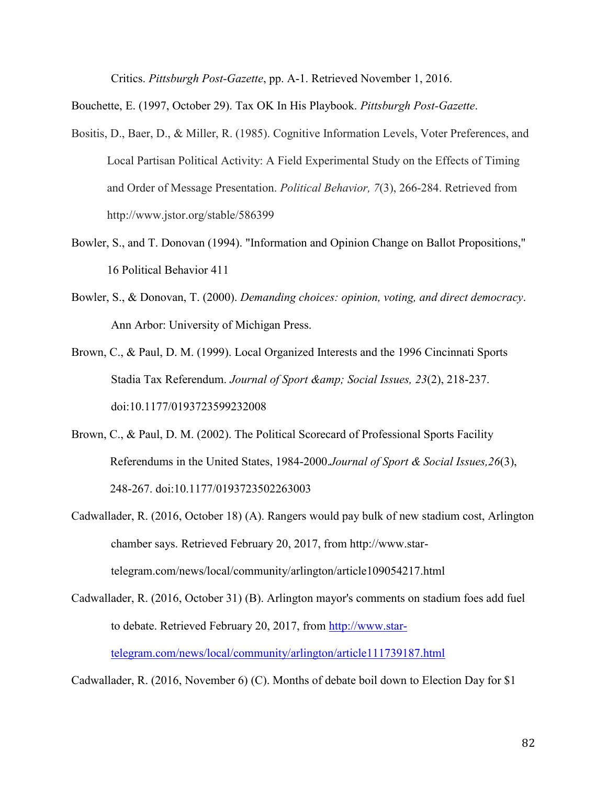Critics. *Pittsburgh Post-Gazette*, pp. A-1. Retrieved November 1, 2016.

Bouchette, E. (1997, October 29). Tax OK In His Playbook. *Pittsburgh Post-Gazette*.

- Bositis, D., Baer, D., & Miller, R. (1985). Cognitive Information Levels, Voter Preferences, and Local Partisan Political Activity: A Field Experimental Study on the Effects of Timing and Order of Message Presentation. *Political Behavior, 7*(3), 266-284. Retrieved from http://www.jstor.org/stable/586399
- Bowler, S., and T. Donovan (1994). "Information and Opinion Change on Ballot Propositions," 16 Political Behavior 411
- Bowler, S., & Donovan, T. (2000). *Demanding choices: opinion, voting, and direct democracy*. Ann Arbor: University of Michigan Press.
- Brown, C., & Paul, D. M. (1999). Local Organized Interests and the 1996 Cincinnati Sports Stadia Tax Referendum. *Journal of Sport & amp; Social Issues, 23(2)*, 218-237. doi:10.1177/0193723599232008
- Brown, C., & Paul, D. M. (2002). The Political Scorecard of Professional Sports Facility Referendums in the United States, 1984-2000.*Journal of Sport & Social Issues,26*(3), 248-267. doi:10.1177/0193723502263003
- Cadwallader, R. (2016, October 18) (A). Rangers would pay bulk of new stadium cost, Arlington chamber says. Retrieved February 20, 2017, from http://www.startelegram.com/news/local/community/arlington/article109054217.html

Cadwallader, R. (2016, October 31) (B). Arlington mayor's comments on stadium foes add fuel to debate. Retrieved February 20, 2017, from [http://www.star](http://www.star-telegram.com/news/local/community/arlington/article111739187.html)[telegram.com/news/local/community/arlington/article111739187.html](http://www.star-telegram.com/news/local/community/arlington/article111739187.html)

Cadwallader, R. (2016, November 6) (C). Months of debate boil down to Election Day for \$1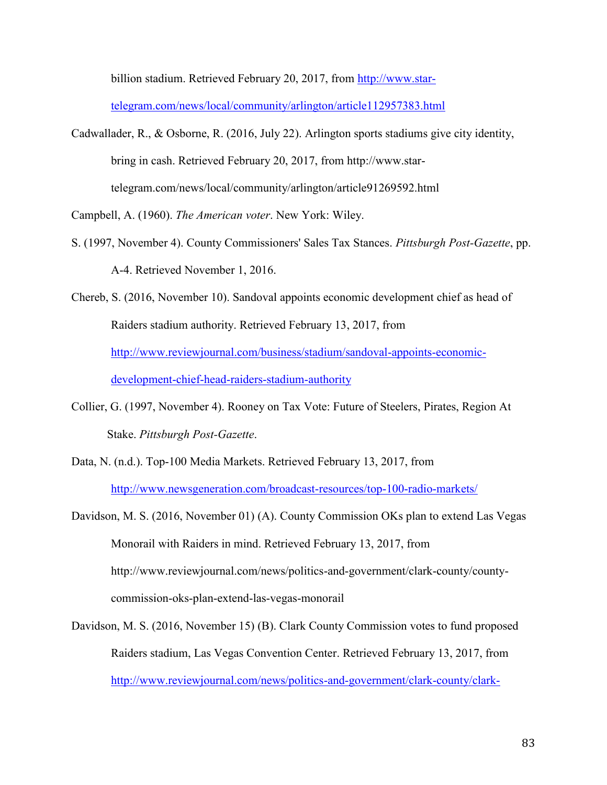billion stadium. Retrieved February 20, 2017, from [http://www.star-](http://www.star-telegram.com/news/local/community/arlington/article112957383.html)

[telegram.com/news/local/community/arlington/article112957383.html](http://www.star-telegram.com/news/local/community/arlington/article112957383.html)

Cadwallader, R., & Osborne, R. (2016, July 22). Arlington sports stadiums give city identity, bring in cash. Retrieved February 20, 2017, from http://www.startelegram.com/news/local/community/arlington/article91269592.html

Campbell, A. (1960). *The American voter*. New York: Wiley.

S. (1997, November 4). County Commissioners' Sales Tax Stances. *Pittsburgh Post-Gazette*, pp. A-4. Retrieved November 1, 2016.

Chereb, S. (2016, November 10). Sandoval appoints economic development chief as head of Raiders stadium authority. Retrieved February 13, 2017, from [http://www.reviewjournal.com/business/stadium/sandoval-appoints-economic](http://www.reviewjournal.com/business/stadium/sandoval-appoints-economic-development-chief-head-raiders-stadium-authority)[development-chief-head-raiders-stadium-authority](http://www.reviewjournal.com/business/stadium/sandoval-appoints-economic-development-chief-head-raiders-stadium-authority)

- Collier, G. (1997, November 4). Rooney on Tax Vote: Future of Steelers, Pirates, Region At Stake. *Pittsburgh Post-Gazette*.
- Data, N. (n.d.). Top-100 Media Markets. Retrieved February 13, 2017, from <http://www.newsgeneration.com/broadcast-resources/top-100-radio-markets/>
- Davidson, M. S. (2016, November 01) (A). County Commission OKs plan to extend Las Vegas Monorail with Raiders in mind. Retrieved February 13, 2017, from http://www.reviewjournal.com/news/politics-and-government/clark-county/countycommission-oks-plan-extend-las-vegas-monorail
- Davidson, M. S. (2016, November 15) (B). Clark County Commission votes to fund proposed Raiders stadium, Las Vegas Convention Center. Retrieved February 13, 2017, from [http://www.reviewjournal.com/news/politics-and-government/clark-county/clark-](http://www.reviewjournal.com/news/politics-and-government/clark-county/clark-county-commission-votes-fund-proposed-raiders)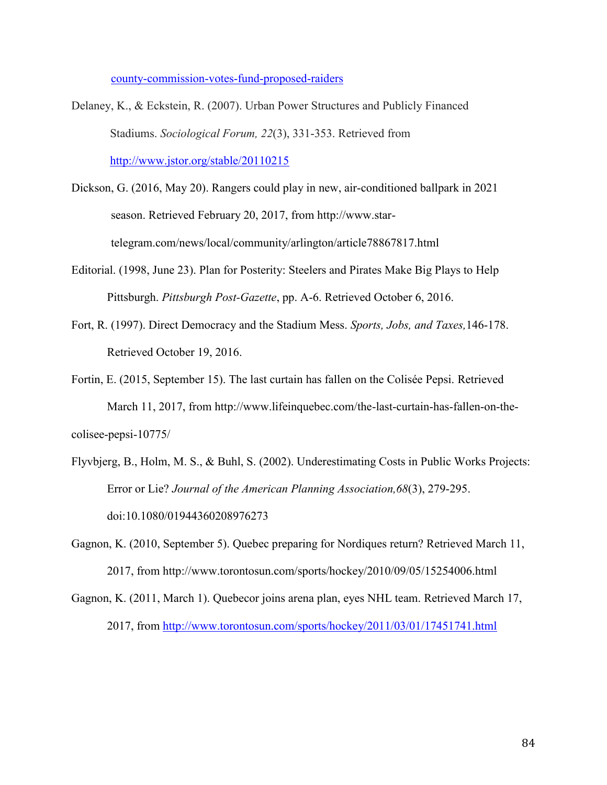[county-commission-votes-fund-proposed-raiders](http://www.reviewjournal.com/news/politics-and-government/clark-county/clark-county-commission-votes-fund-proposed-raiders)

- Delaney, K., & Eckstein, R. (2007). Urban Power Structures and Publicly Financed Stadiums. *Sociological Forum, 22*(3), 331-353. Retrieved from <http://www.jstor.org/stable/20110215>
- Dickson, G. (2016, May 20). Rangers could play in new, air-conditioned ballpark in 2021 season. Retrieved February 20, 2017, from http://www.startelegram.com/news/local/community/arlington/article78867817.html
- Editorial. (1998, June 23). Plan for Posterity: Steelers and Pirates Make Big Plays to Help Pittsburgh. *Pittsburgh Post-Gazette*, pp. A-6. Retrieved October 6, 2016.
- Fort, R. (1997). Direct Democracy and the Stadium Mess. *Sports, Jobs, and Taxes,*146-178. Retrieved October 19, 2016.
- Fortin, E. (2015, September 15). The last curtain has fallen on the Colisée Pepsi. Retrieved March 11, 2017, from http://www.lifeinquebec.com/the-last-curtain-has-fallen-on-thecolisee-pepsi-10775/
- Flyvbjerg, B., Holm, M. S., & Buhl, S. (2002). Underestimating Costs in Public Works Projects: Error or Lie? *Journal of the American Planning Association,68*(3), 279-295. doi:10.1080/01944360208976273
- Gagnon, K. (2010, September 5). Quebec preparing for Nordiques return? Retrieved March 11, 2017, from http://www.torontosun.com/sports/hockey/2010/09/05/15254006.html
- Gagnon, K. (2011, March 1). Quebecor joins arena plan, eyes NHL team. Retrieved March 17, 2017, from<http://www.torontosun.com/sports/hockey/2011/03/01/17451741.html>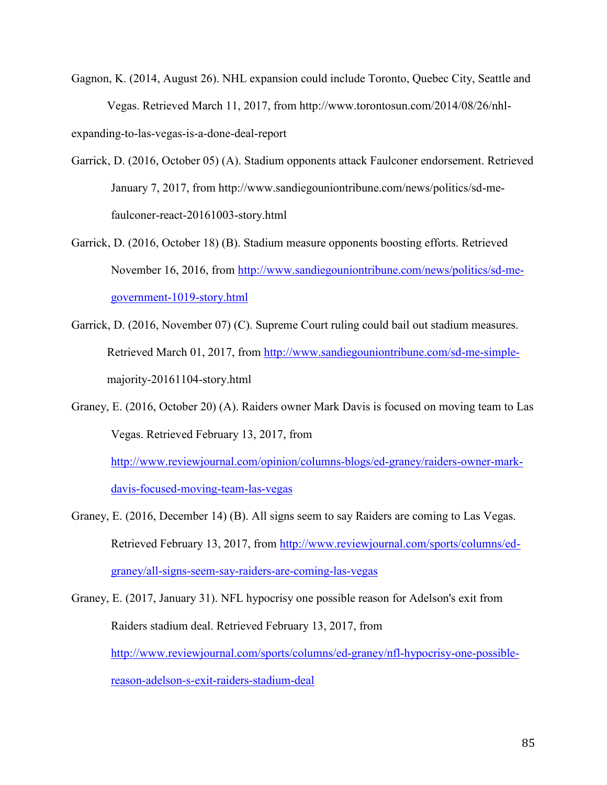- Gagnon, K. (2014, August 26). NHL expansion could include Toronto, Quebec City, Seattle and Vegas. Retrieved March 11, 2017, from http://www.torontosun.com/2014/08/26/nhlexpanding-to-las-vegas-is-a-done-deal-report
- Garrick, D. (2016, October 05) (A). Stadium opponents attack Faulconer endorsement. Retrieved January 7, 2017, from http://www.sandiegouniontribune.com/news/politics/sd-mefaulconer-react-20161003-story.html
- Garrick, D. (2016, October 18) (B). Stadium measure opponents boosting efforts. Retrieved November 16, 2016, from [http://www.sandiegouniontribune.com/news/politics/sd-me](http://www.sandiegouniontribune.com/news/politics/sd-me-government-1019-story.html)[government-1019-story.html](http://www.sandiegouniontribune.com/news/politics/sd-me-government-1019-story.html)
- Garrick, D. (2016, November 07) (C). Supreme Court ruling could bail out stadium measures. Retrieved March 01, 2017, from [http://www.sandiegouniontribune.com/sd-me-simple](http://www.sandiegouniontribune.com/sd-me-simple-)majority-20161104-story.html
- Graney, E. (2016, October 20) (A). Raiders owner Mark Davis is focused on moving team to Las Vegas. Retrieved February 13, 2017, from

[http://www.reviewjournal.com/opinion/columns-blogs/ed-graney/raiders-owner-mark](http://www.reviewjournal.com/opinion/columns-blogs/ed-graney/raiders-owner-mark-davis-focused-moving-team-las-vegas)[davis-focused-moving-team-las-vegas](http://www.reviewjournal.com/opinion/columns-blogs/ed-graney/raiders-owner-mark-davis-focused-moving-team-las-vegas)

Graney, E. (2016, December 14) (B). All signs seem to say Raiders are coming to Las Vegas. Retrieved February 13, 2017, from [http://www.reviewjournal.com/sports/columns/ed](http://www.reviewjournal.com/sports/columns/ed-graney/all-signs-seem-say-raiders-are-coming-las-vegas)[graney/all-signs-seem-say-raiders-are-coming-las-vegas](http://www.reviewjournal.com/sports/columns/ed-graney/all-signs-seem-say-raiders-are-coming-las-vegas)

Graney, E. (2017, January 31). NFL hypocrisy one possible reason for Adelson's exit from Raiders stadium deal. Retrieved February 13, 2017, from [http://www.reviewjournal.com/sports/columns/ed-graney/nfl-hypocrisy-one-possible](http://www.reviewjournal.com/sports/columns/ed-graney/nfl-hypocrisy-one-possible-reason-adelson-s-exit-raiders-stadium-deal)[reason-adelson-s-exit-raiders-stadium-deal](http://www.reviewjournal.com/sports/columns/ed-graney/nfl-hypocrisy-one-possible-reason-adelson-s-exit-raiders-stadium-deal)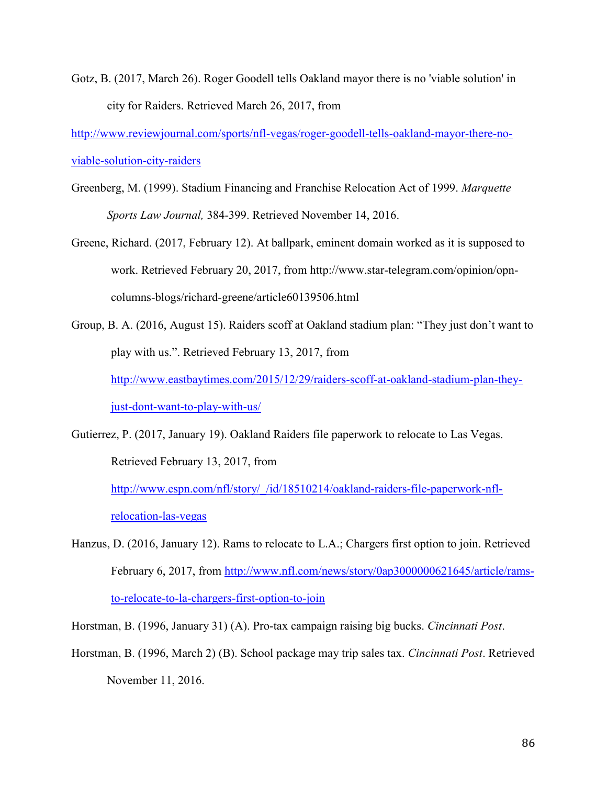Gotz, B. (2017, March 26). Roger Goodell tells Oakland mayor there is no 'viable solution' in city for Raiders. Retrieved March 26, 2017, from

[http://www.reviewjournal.com/sports/nfl-vegas/roger-goodell-tells-oakland-mayor-there-no](http://www.reviewjournal.com/sports/nfl-vegas/roger-goodell-tells-oakland-mayor-there-no-viable-solution-city-raiders)[viable-solution-city-raiders](http://www.reviewjournal.com/sports/nfl-vegas/roger-goodell-tells-oakland-mayor-there-no-viable-solution-city-raiders)

- Greenberg, M. (1999). Stadium Financing and Franchise Relocation Act of 1999. *Marquette Sports Law Journal,* 384-399. Retrieved November 14, 2016.
- Greene, Richard. (2017, February 12). At ballpark, eminent domain worked as it is supposed to work. Retrieved February 20, 2017, from http://www.star-telegram.com/opinion/opncolumns-blogs/richard-greene/article60139506.html
- Group, B. A. (2016, August 15). Raiders scoff at Oakland stadium plan: "They just don't want to play with us.". Retrieved February 13, 2017, from [http://www.eastbaytimes.com/2015/12/29/raiders-scoff-at-oakland-stadium-plan-they](http://www.eastbaytimes.com/2015/12/29/raiders-scoff-at-oakland-stadium-plan-they-just-dont-want-to-play-with-us/)[just-dont-want-to-play-with-us/](http://www.eastbaytimes.com/2015/12/29/raiders-scoff-at-oakland-stadium-plan-they-just-dont-want-to-play-with-us/)
- Gutierrez, P. (2017, January 19). Oakland Raiders file paperwork to relocate to Las Vegas. Retrieved February 13, 2017, from

[http://www.espn.com/nfl/story/\\_/id/18510214/oakland-raiders-file-paperwork-nfl](http://www.espn.com/nfl/story/_/id/18510214/oakland-raiders-file-paperwork-nfl-relocation-las-vegas)[relocation-las-vegas](http://www.espn.com/nfl/story/_/id/18510214/oakland-raiders-file-paperwork-nfl-relocation-las-vegas)

- Hanzus, D. (2016, January 12). Rams to relocate to L.A.; Chargers first option to join. Retrieved February 6, 2017, from [http://www.nfl.com/news/story/0ap3000000621645/article/rams](http://www.nfl.com/news/story/0ap3000000621645/article/rams-to-relocate-to-la-chargers-first-option-to-join)[to-relocate-to-la-chargers-first-option-to-join](http://www.nfl.com/news/story/0ap3000000621645/article/rams-to-relocate-to-la-chargers-first-option-to-join)
- Horstman, B. (1996, January 31) (A). Pro-tax campaign raising big bucks. *Cincinnati Post*.
- Horstman, B. (1996, March 2) (B). School package may trip sales tax. *Cincinnati Post*. Retrieved November 11, 2016.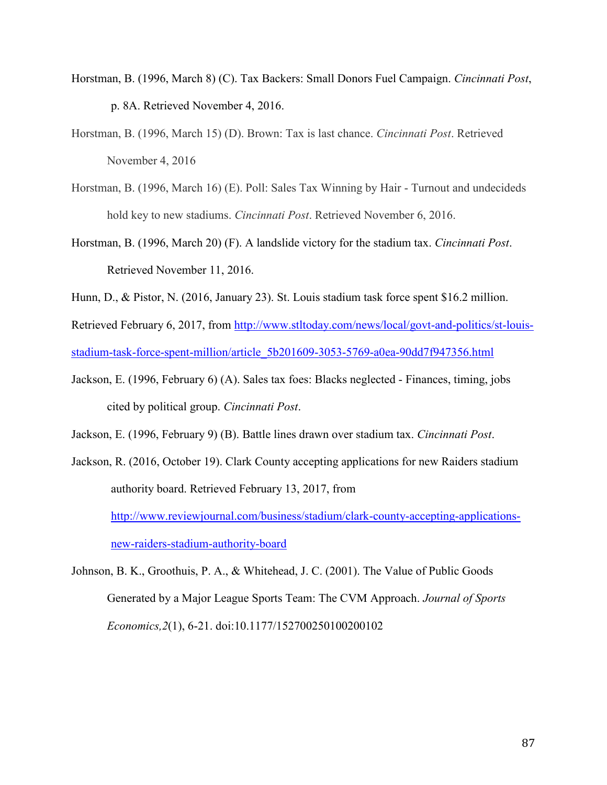- Horstman, B. (1996, March 8) (C). Tax Backers: Small Donors Fuel Campaign. *Cincinnati Post*, p. 8A. Retrieved November 4, 2016.
- Horstman, B. (1996, March 15) (D). Brown: Tax is last chance. *Cincinnati Post*. Retrieved November 4, 2016
- Horstman, B. (1996, March 16) (E). Poll: Sales Tax Winning by Hair Turnout and undecideds hold key to new stadiums. *Cincinnati Post*. Retrieved November 6, 2016.
- Horstman, B. (1996, March 20) (F). A landslide victory for the stadium tax. *Cincinnati Post*. Retrieved November 11, 2016.
- Hunn, D., & Pistor, N. (2016, January 23). St. Louis stadium task force spent \$16.2 million.

Retrieved February 6, 2017, from [http://www.stltoday.com/news/local/govt-and-politics/st-louis](http://www.stltoday.com/news/local/govt-and-politics/st-louis-stadium-task-force-spent-million/article_5b201609-3053-5769-a0ea-90dd7f947356.html)[stadium-task-force-spent-million/article\\_5b201609-3053-5769-a0ea-90dd7f947356.html](http://www.stltoday.com/news/local/govt-and-politics/st-louis-stadium-task-force-spent-million/article_5b201609-3053-5769-a0ea-90dd7f947356.html)

Jackson, E. (1996, February 6) (A). Sales tax foes: Blacks neglected - Finances, timing, jobs cited by political group. *Cincinnati Post*.

Jackson, E. (1996, February 9) (B). Battle lines drawn over stadium tax. *Cincinnati Post*.

Jackson, R. (2016, October 19). Clark County accepting applications for new Raiders stadium authority board. Retrieved February 13, 2017, from [http://www.reviewjournal.com/business/stadium/clark-county-accepting-applications](http://www.reviewjournal.com/business/stadium/clark-county-accepting-applications-new-raiders-stadium-authority-board)[new-raiders-stadium-authority-board](http://www.reviewjournal.com/business/stadium/clark-county-accepting-applications-new-raiders-stadium-authority-board)

Johnson, B. K., Groothuis, P. A., & Whitehead, J. C. (2001). The Value of Public Goods Generated by a Major League Sports Team: The CVM Approach. *Journal of Sports Economics,2*(1), 6-21. doi:10.1177/152700250100200102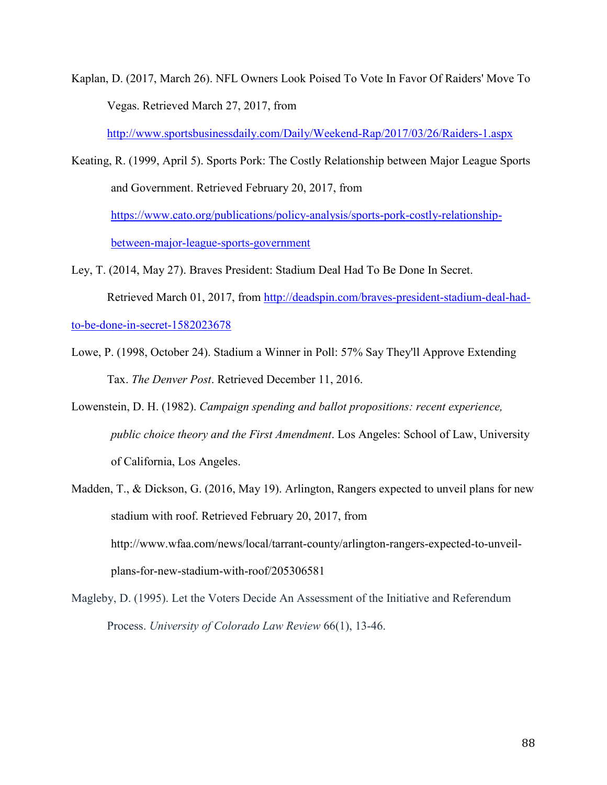Kaplan, D. (2017, March 26). NFL Owners Look Poised To Vote In Favor Of Raiders' Move To Vegas. Retrieved March 27, 2017, from

<http://www.sportsbusinessdaily.com/Daily/Weekend-Rap/2017/03/26/Raiders-1.aspx>

- Keating, R. (1999, April 5). Sports Pork: The Costly Relationship between Major League Sports and Government. Retrieved February 20, 2017, from [https://www.cato.org/publications/policy-analysis/sports-pork-costly-relationship](https://www.cato.org/publications/policy-analysis/sports-pork-costly-relationship-between-major-league-sports-government)[between-major-league-sports-government](https://www.cato.org/publications/policy-analysis/sports-pork-costly-relationship-between-major-league-sports-government)
- Ley, T. (2014, May 27). Braves President: Stadium Deal Had To Be Done In Secret. Retrieved March 01, 2017, from [http://deadspin.com/braves-president-stadium-deal-had-](http://deadspin.com/braves-president-stadium-deal-had-to-be-done-in-secret-1582023678)

[to-be-done-in-secret-1582023678](http://deadspin.com/braves-president-stadium-deal-had-to-be-done-in-secret-1582023678)

- Lowe, P. (1998, October 24). Stadium a Winner in Poll: 57% Say They'll Approve Extending Tax. *The Denver Post*. Retrieved December 11, 2016.
- Lowenstein, D. H. (1982). *Campaign spending and ballot propositions: recent experience, public choice theory and the First Amendment*. Los Angeles: School of Law, University of California, Los Angeles.
- Madden, T., & Dickson, G. (2016, May 19). Arlington, Rangers expected to unveil plans for new stadium with roof. Retrieved February 20, 2017, from http://www.wfaa.com/news/local/tarrant-county/arlington-rangers-expected-to-unveilplans-for-new-stadium-with-roof/205306581
- Magleby, D. (1995). Let the Voters Decide An Assessment of the Initiative and Referendum Process. *University of Colorado Law Review* 66(1), 13-46.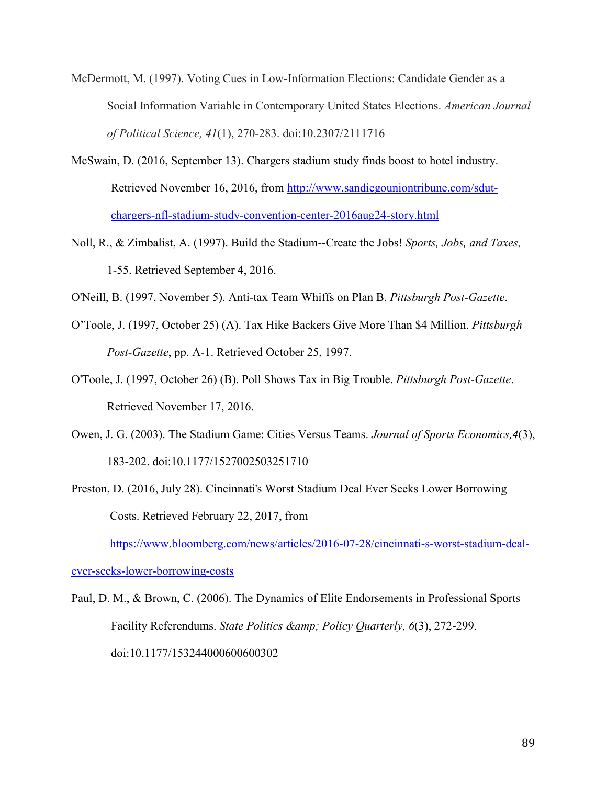- McDermott, M. (1997). Voting Cues in Low-Information Elections: Candidate Gender as a Social Information Variable in Contemporary United States Elections. *American Journal of Political Science, 41*(1), 270-283. doi:10.2307/2111716
- McSwain, D. (2016, September 13). Chargers stadium study finds boost to hotel industry. Retrieved November 16, 2016, from [http://www.sandiegouniontribune.com/sdut](http://www.sandiegouniontribune.com/sdut-chargers-nfl-stadium-study-convention-center-2016aug24-story.html)[chargers-nfl-stadium-study-convention-center-2016aug24-story.html](http://www.sandiegouniontribune.com/sdut-chargers-nfl-stadium-study-convention-center-2016aug24-story.html)
- Noll, R., & Zimbalist, A. (1997). Build the Stadium--Create the Jobs! *Sports, Jobs, and Taxes,* 1-55. Retrieved September 4, 2016.
- O'Neill, B. (1997, November 5). Anti-tax Team Whiffs on Plan B. *Pittsburgh Post-Gazette*.
- O'Toole, J. (1997, October 25) (A). Tax Hike Backers Give More Than \$4 Million. *Pittsburgh Post-Gazette*, pp. A-1. Retrieved October 25, 1997.
- O'Toole, J. (1997, October 26) (B). Poll Shows Tax in Big Trouble. *Pittsburgh Post-Gazette*. Retrieved November 17, 2016.
- Owen, J. G. (2003). The Stadium Game: Cities Versus Teams. *Journal of Sports Economics,4*(3), 183-202. doi:10.1177/1527002503251710
- Preston, D. (2016, July 28). Cincinnati's Worst Stadium Deal Ever Seeks Lower Borrowing Costs. Retrieved February 22, 2017, from

[https://www.bloomberg.com/news/articles/2016-07-28/cincinnati-s-worst-stadium-deal-](https://www.bloomberg.com/news/articles/2016-07-28/cincinnati-s-worst-stadium-deal-ever-seeks-lower-borrowing-costs)

[ever-seeks-lower-borrowing-costs](https://www.bloomberg.com/news/articles/2016-07-28/cincinnati-s-worst-stadium-deal-ever-seeks-lower-borrowing-costs)

Paul, D. M., & Brown, C. (2006). The Dynamics of Elite Endorsements in Professional Sports Facility Referendums. *State Politics & amp*; *Policy Quarterly*, 6(3), 272-299. doi:10.1177/153244000600600302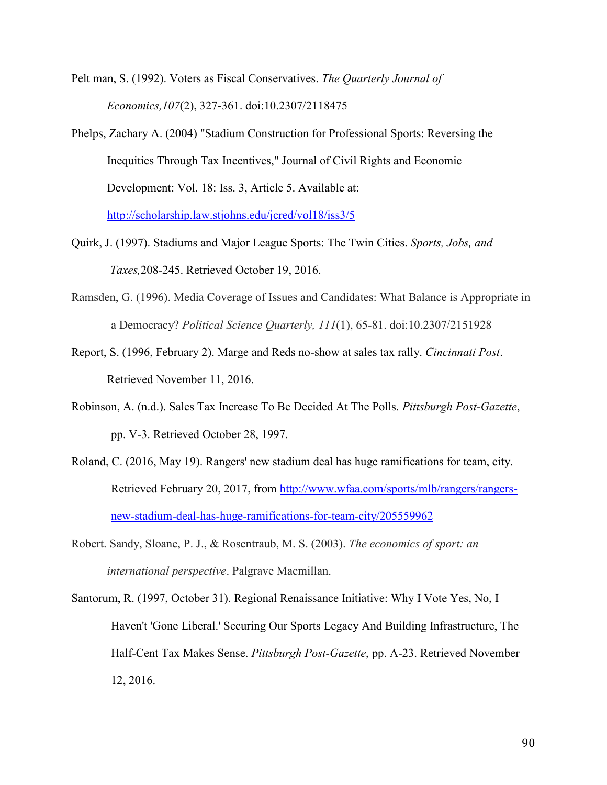Pelt man, S. (1992). Voters as Fiscal Conservatives. *The Quarterly Journal of Economics,107*(2), 327-361. doi:10.2307/2118475

- Phelps, Zachary A. (2004) "Stadium Construction for Professional Sports: Reversing the Inequities Through Tax Incentives," Journal of Civil Rights and Economic Development: Vol. 18: Iss. 3, Article 5. Available at: <http://scholarship.law.stjohns.edu/jcred/vol18/iss3/5>
- Quirk, J. (1997). Stadiums and Major League Sports: The Twin Cities. *Sports, Jobs, and Taxes,*208-245. Retrieved October 19, 2016.
- Ramsden, G. (1996). Media Coverage of Issues and Candidates: What Balance is Appropriate in a Democracy? *Political Science Quarterly, 111*(1), 65-81. doi:10.2307/2151928
- Report, S. (1996, February 2). Marge and Reds no-show at sales tax rally. *Cincinnati Post*. Retrieved November 11, 2016.
- Robinson, A. (n.d.). Sales Tax Increase To Be Decided At The Polls. *Pittsburgh Post-Gazette*, pp. V-3. Retrieved October 28, 1997.
- Roland, C. (2016, May 19). Rangers' new stadium deal has huge ramifications for team, city. Retrieved February 20, 2017, from [http://www.wfaa.com/sports/mlb/rangers/rangers](http://www.wfaa.com/sports/mlb/rangers/rangers-new-stadium-deal-has-huge-ramifications-for-team-city/205559962)[new-stadium-deal-has-huge-ramifications-for-team-city/205559962](http://www.wfaa.com/sports/mlb/rangers/rangers-new-stadium-deal-has-huge-ramifications-for-team-city/205559962)
- Robert. Sandy, Sloane, P. J., & Rosentraub, M. S. (2003). *The economics of sport: an international perspective*. Palgrave Macmillan.
- Santorum, R. (1997, October 31). Regional Renaissance Initiative: Why I Vote Yes, No, I Haven't 'Gone Liberal.' Securing Our Sports Legacy And Building Infrastructure, The Half-Cent Tax Makes Sense. *Pittsburgh Post-Gazette*, pp. A-23. Retrieved November 12, 2016.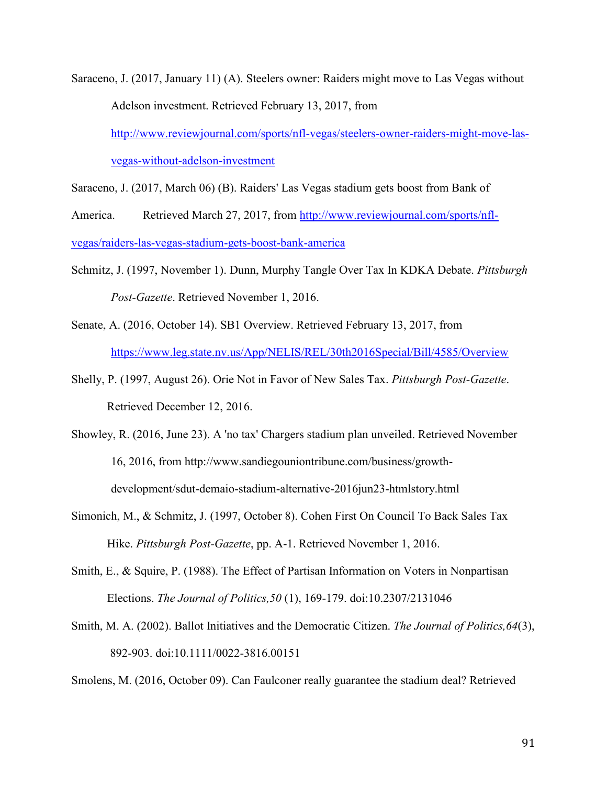Saraceno, J. (2017, January 11) (A). Steelers owner: Raiders might move to Las Vegas without Adelson investment. Retrieved February 13, 2017, from [http://www.reviewjournal.com/sports/nfl-vegas/steelers-owner-raiders-might-move-las](http://www.reviewjournal.com/sports/nfl-vegas/steelers-owner-raiders-might-move-las-vegas-without-adelson-investment)[vegas-without-adelson-investment](http://www.reviewjournal.com/sports/nfl-vegas/steelers-owner-raiders-might-move-las-vegas-without-adelson-investment)

Saraceno, J. (2017, March 06) (B). Raiders' Las Vegas stadium gets boost from Bank of

America. Retrieved March 27, 2017, from [http://www.reviewjournal.com/sports/nfl](http://www.reviewjournal.com/sports/nfl-vegas/raiders-las-vegas-stadium-gets-boost-bank-america)[vegas/raiders-las-vegas-stadium-gets-boost-bank-america](http://www.reviewjournal.com/sports/nfl-vegas/raiders-las-vegas-stadium-gets-boost-bank-america)

- Schmitz, J. (1997, November 1). Dunn, Murphy Tangle Over Tax In KDKA Debate. *Pittsburgh Post-Gazette*. Retrieved November 1, 2016.
- Senate, A. (2016, October 14). SB1 Overview. Retrieved February 13, 2017, from <https://www.leg.state.nv.us/App/NELIS/REL/30th2016Special/Bill/4585/Overview>
- Shelly, P. (1997, August 26). Orie Not in Favor of New Sales Tax. *Pittsburgh Post-Gazette*. Retrieved December 12, 2016.
- Showley, R. (2016, June 23). A 'no tax' Chargers stadium plan unveiled. Retrieved November 16, 2016, from http://www.sandiegouniontribune.com/business/growthdevelopment/sdut-demaio-stadium-alternative-2016jun23-htmlstory.html
- Simonich, M., & Schmitz, J. (1997, October 8). Cohen First On Council To Back Sales Tax Hike. *Pittsburgh Post-Gazette*, pp. A-1. Retrieved November 1, 2016.
- Smith, E., & Squire, P. (1988). The Effect of Partisan Information on Voters in Nonpartisan Elections. *The Journal of Politics,50* (1), 169-179. doi:10.2307/2131046
- Smith, M. A. (2002). Ballot Initiatives and the Democratic Citizen. *The Journal of Politics,64*(3), 892-903. doi:10.1111/0022-3816.00151

Smolens, M. (2016, October 09). Can Faulconer really guarantee the stadium deal? Retrieved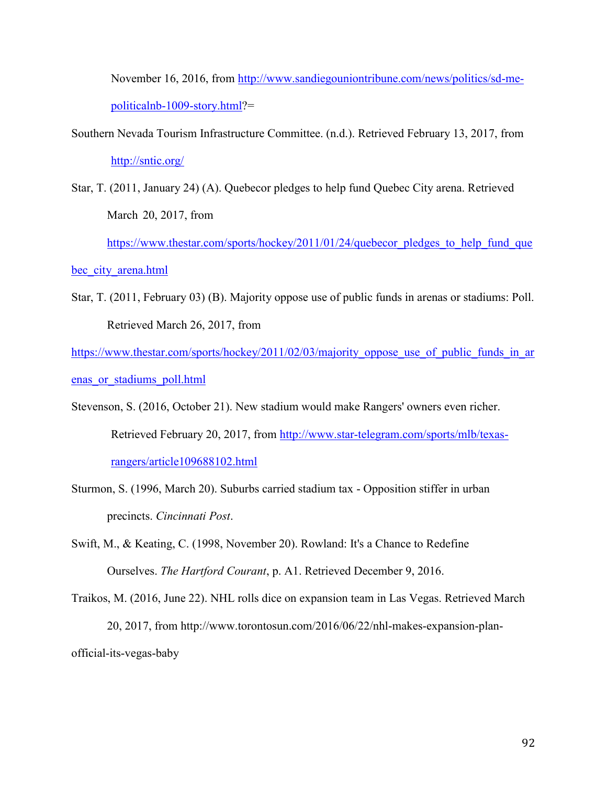November 16, 2016, from [http://www.sandiegouniontribune.com/news/politics/sd-me](http://www.sandiegouniontribune.com/news/politics/sd-me-politicalnb-1009-story.html)[politicalnb-1009-story.html?](http://www.sandiegouniontribune.com/news/politics/sd-me-politicalnb-1009-story.html)=

- Southern Nevada Tourism Infrastructure Committee. (n.d.). Retrieved February 13, 2017, from <http://sntic.org/>
- Star, T. (2011, January 24) (A). Quebecor pledges to help fund Quebec City arena. Retrieved March 20, 2017, from

[https://www.thestar.com/sports/hockey/2011/01/24/quebecor\\_pledges\\_to\\_help\\_fund\\_que](https://www.thestar.com/sports/hockey/2011/01/24/quebecor_pledges_to_help_fund_quebec_city_arena.html)

bec city arena.html

Star, T. (2011, February 03) (B). Majority oppose use of public funds in arenas or stadiums: Poll. Retrieved March 26, 2017, from

[https://www.thestar.com/sports/hockey/2011/02/03/majority\\_oppose\\_use\\_of\\_public\\_funds\\_in\\_ar](https://www.thestar.com/sports/hockey/2011/02/03/majority_oppose_use_of_public_funds_in_arenas_or_stadiums_poll.html) [enas\\_or\\_stadiums\\_poll.html](https://www.thestar.com/sports/hockey/2011/02/03/majority_oppose_use_of_public_funds_in_arenas_or_stadiums_poll.html)

Stevenson, S. (2016, October 21). New stadium would make Rangers' owners even richer. Retrieved February 20, 2017, from [http://www.star-telegram.com/sports/mlb/texas](http://www.star-telegram.com/sports/mlb/texas-rangers/article109688102.html)[rangers/article109688102.html](http://www.star-telegram.com/sports/mlb/texas-rangers/article109688102.html)

Sturmon, S. (1996, March 20). Suburbs carried stadium tax - Opposition stiffer in urban precincts. *Cincinnati Post*.

Swift, M., & Keating, C. (1998, November 20). Rowland: It's a Chance to Redefine Ourselves. *The Hartford Courant*, p. A1. Retrieved December 9, 2016.

Traikos, M. (2016, June 22). NHL rolls dice on expansion team in Las Vegas. Retrieved March 20, 2017, from http://www.torontosun.com/2016/06/22/nhl-makes-expansion-planofficial-its-vegas-baby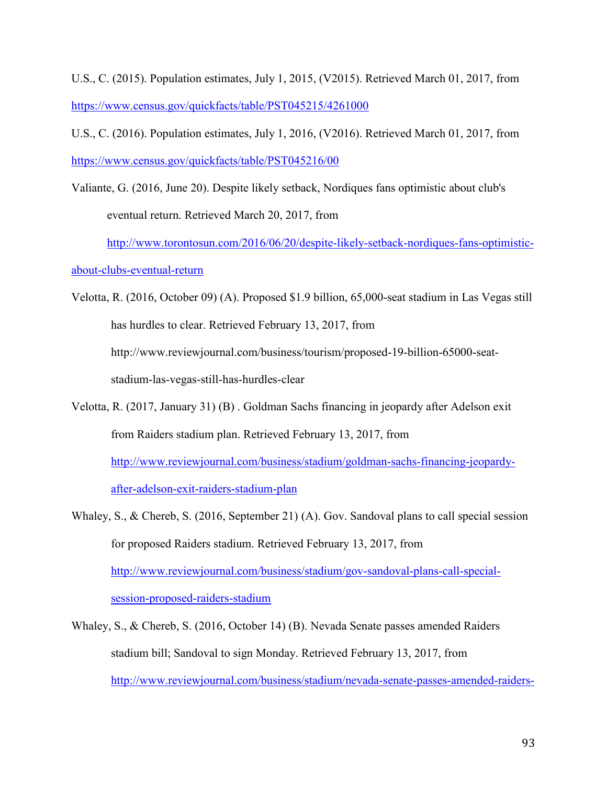U.S., C. (2015). Population estimates, July 1, 2015, (V2015). Retrieved March 01, 2017, from <https://www.census.gov/quickfacts/table/PST045215/4261000>

U.S., C. (2016). Population estimates, July 1, 2016, (V2016). Retrieved March 01, 2017, from <https://www.census.gov/quickfacts/table/PST045216/00>

Valiante, G. (2016, June 20). Despite likely setback, Nordiques fans optimistic about club's eventual return. Retrieved March 20, 2017, from

[http://www.torontosun.com/2016/06/20/despite-likely-setback-nordiques-fans-optimistic-](http://www.torontosun.com/2016/06/20/despite-likely-setback-nordiques-fans-optimistic-about-clubs-eventual-return)

[about-clubs-eventual-return](http://www.torontosun.com/2016/06/20/despite-likely-setback-nordiques-fans-optimistic-about-clubs-eventual-return)

Velotta, R. (2016, October 09) (A). Proposed \$1.9 billion, 65,000-seat stadium in Las Vegas still has hurdles to clear. Retrieved February 13, 2017, from http://www.reviewjournal.com/business/tourism/proposed-19-billion-65000-seatstadium-las-vegas-still-has-hurdles-clear

- Velotta, R. (2017, January 31) (B) . Goldman Sachs financing in jeopardy after Adelson exit from Raiders stadium plan. Retrieved February 13, 2017, from [http://www.reviewjournal.com/business/stadium/goldman-sachs-financing-jeopardy](http://www.reviewjournal.com/business/stadium/goldman-sachs-financing-jeopardy-after-adelson-exit-raiders-stadium-plan)[after-adelson-exit-raiders-stadium-plan](http://www.reviewjournal.com/business/stadium/goldman-sachs-financing-jeopardy-after-adelson-exit-raiders-stadium-plan)
- Whaley, S., & Chereb, S. (2016, September 21) (A). Gov. Sandoval plans to call special session for proposed Raiders stadium. Retrieved February 13, 2017, from [http://www.reviewjournal.com/business/stadium/gov-sandoval-plans-call-special](http://www.reviewjournal.com/business/stadium/gov-sandoval-plans-call-special-session-proposed-raiders-stadium)[session-proposed-raiders-stadium](http://www.reviewjournal.com/business/stadium/gov-sandoval-plans-call-special-session-proposed-raiders-stadium)
- Whaley, S., & Chereb, S. (2016, October 14) (B). Nevada Senate passes amended Raiders stadium bill; Sandoval to sign Monday. Retrieved February 13, 2017, from [http://www.reviewjournal.com/business/stadium/nevada-senate-passes-amended-raiders-](http://www.reviewjournal.com/business/stadium/nevada-senate-passes-amended-raiders-stadium-bill-sandoval-sign-monday)